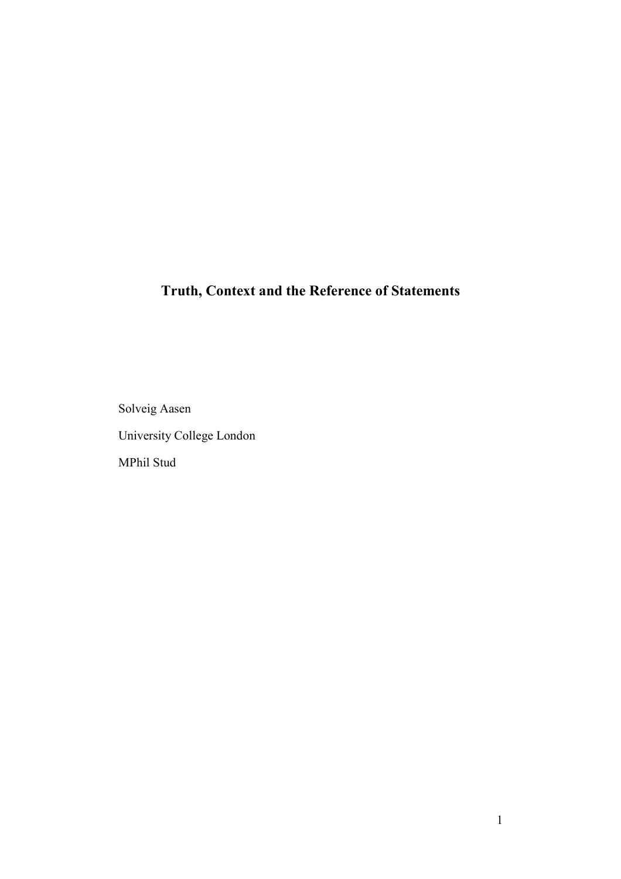# **Truth, Context and the Reference of Statements**

Solveig Aasen University College London MPhil Stud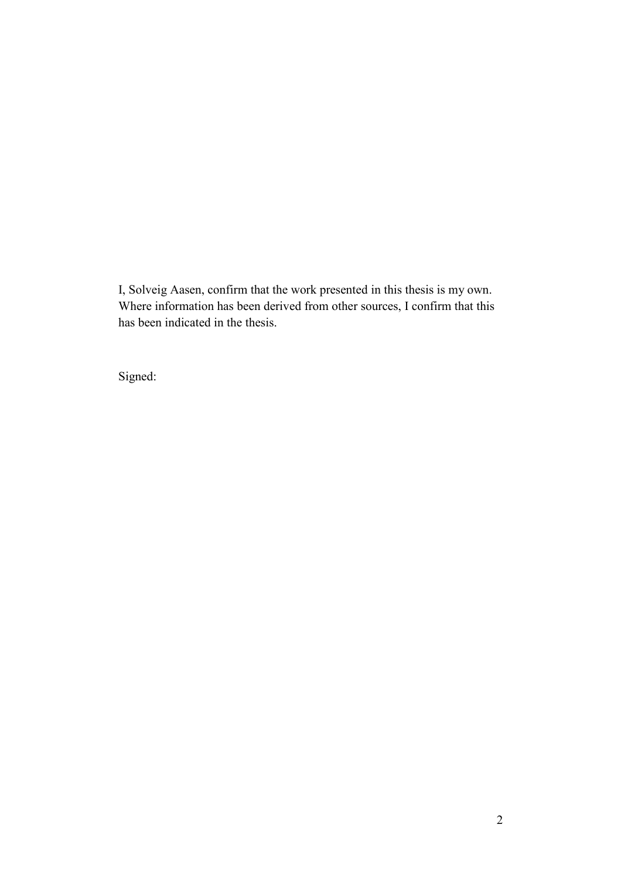I, Solveig Aasen, confirm that the work presented in this thesis is my own. Where information has been derived from other sources, I confirm that this has been indicated in the thesis.

Signed: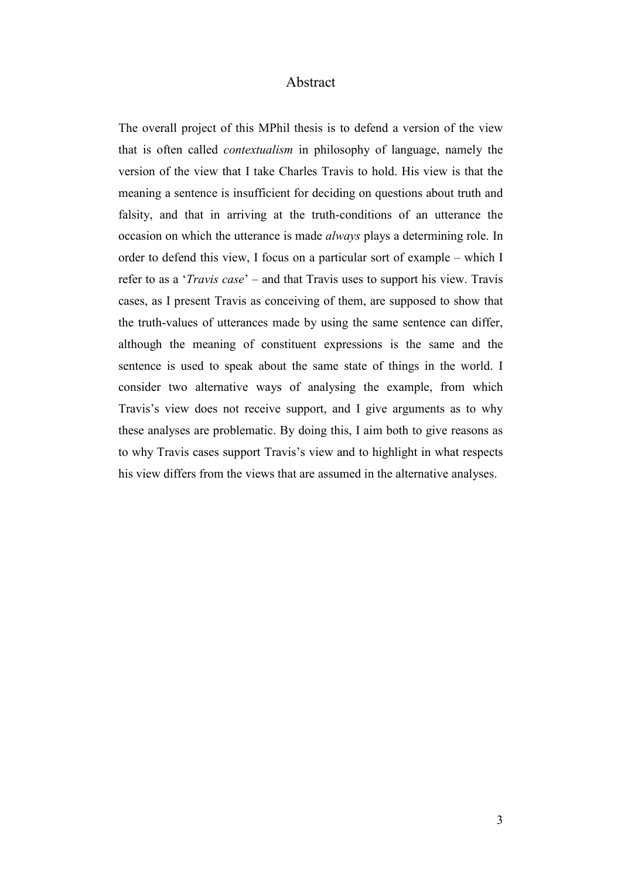## Abstract

The overall project of this MPhil thesis is to defend a version of the view that is often called *contextualism* in philosophy of language, namely the version of the view that I take Charles Travis to hold. His view is that the meaning a sentence is insufficient for deciding on questions about truth and falsity, and that in arriving at the truth-conditions of an utterance the occasion on which the utterance is made *always* plays a determining role. In order to defend this view, I focus on a particular sort of example – which I refer to as a '*Travis case*' – and that Travis uses to support his view. Travis cases, as I present Travis as conceiving of them, are supposed to show that the truth-values of utterances made by using the same sentence can differ, although the meaning of constituent expressions is the same and the sentence is used to speak about the same state of things in the world. I consider two alternative ways of analysing the example, from which Travis's view does not receive support, and I give arguments as to why these analyses are problematic. By doing this, I aim both to give reasons as to why Travis cases support Travis's view and to highlight in what respects his view differs from the views that are assumed in the alternative analyses.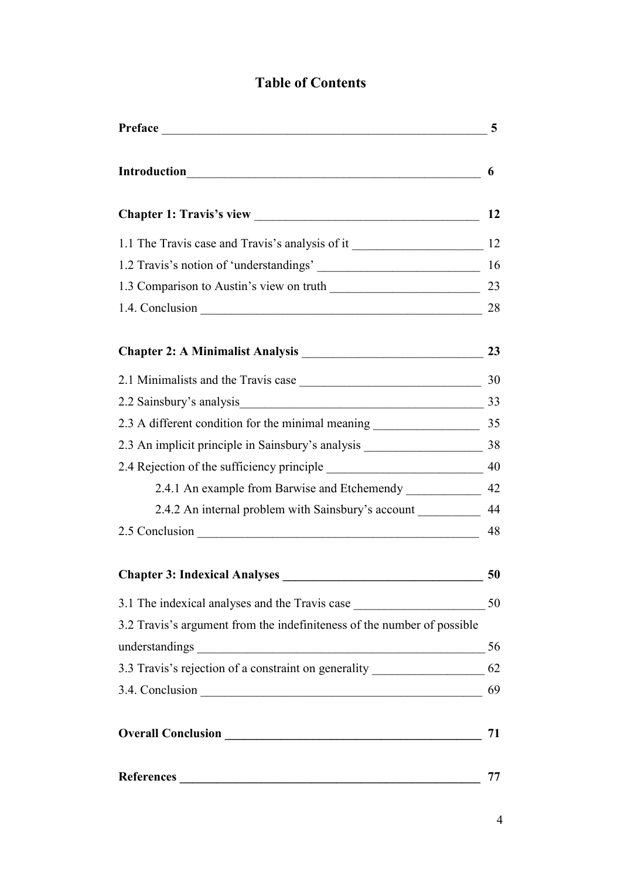## **Table of Contents**

| Preface                                                                                                                                   | 5  |
|-------------------------------------------------------------------------------------------------------------------------------------------|----|
|                                                                                                                                           | 6  |
|                                                                                                                                           | 12 |
|                                                                                                                                           |    |
|                                                                                                                                           | 16 |
|                                                                                                                                           |    |
|                                                                                                                                           | 28 |
|                                                                                                                                           |    |
|                                                                                                                                           |    |
| 2.2 Sainsbury's analysis<br>33                                                                                                            |    |
| 2.3 A different condition for the minimal meaning 2.3 A different condition for the minimal meaning                                       |    |
|                                                                                                                                           |    |
|                                                                                                                                           |    |
| 2.4.1 An example from Barwise and Etchemendy _______________ 42                                                                           |    |
| 2.4.2 An internal problem with Sainsbury's account ____________ 44                                                                        |    |
| 2.5 Conclusion 48                                                                                                                         |    |
|                                                                                                                                           | 50 |
|                                                                                                                                           |    |
| 3.2 Travis's argument from the indefiniteness of the number of possible                                                                   |    |
|                                                                                                                                           |    |
| 3.3 Travis's rejection of a constraint on generality ___________________________ 62                                                       |    |
|                                                                                                                                           |    |
|                                                                                                                                           | 71 |
| <b>References</b><br><u> 1980 - Jan Stein Stein Stein Stein Stein Stein Stein Stein Stein Stein Stein Stein Stein Stein Stein Stein S</u> | 77 |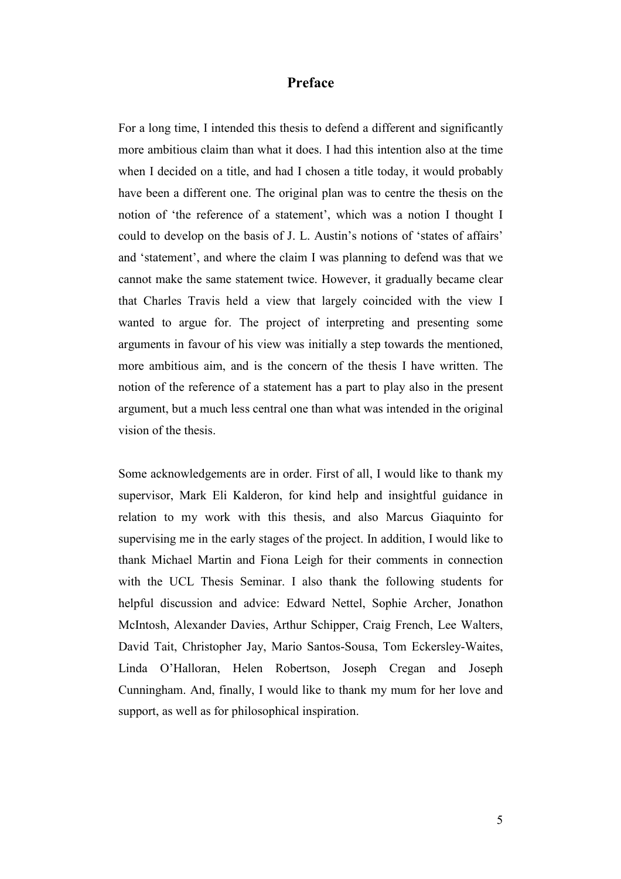## **Preface**

For a long time, I intended this thesis to defend a different and significantly more ambitious claim than what it does. I had this intention also at the time when I decided on a title, and had I chosen a title today, it would probably have been a different one. The original plan was to centre the thesis on the notion of 'the reference of a statement', which was a notion I thought I could to develop on the basis of J. L. Austin's notions of 'states of affairs' and 'statement', and where the claim I was planning to defend was that we cannot make the same statement twice. However, it gradually became clear that Charles Travis held a view that largely coincided with the view I wanted to argue for. The project of interpreting and presenting some arguments in favour of his view was initially a step towards the mentioned, more ambitious aim, and is the concern of the thesis I have written. The notion of the reference of a statement has a part to play also in the present argument, but a much less central one than what was intended in the original vision of the thesis.

Some acknowledgements are in order. First of all, I would like to thank my supervisor, Mark Eli Kalderon, for kind help and insightful guidance in relation to my work with this thesis, and also Marcus Giaquinto for supervising me in the early stages of the project. In addition, I would like to thank Michael Martin and Fiona Leigh for their comments in connection with the UCL Thesis Seminar. I also thank the following students for helpful discussion and advice: Edward Nettel, Sophie Archer, Jonathon McIntosh, Alexander Davies, Arthur Schipper, Craig French, Lee Walters, David Tait, Christopher Jay, Mario Santos-Sousa, Tom Eckersley-Waites, Linda O'Halloran, Helen Robertson, Joseph Cregan and Joseph Cunningham. And, finally, I would like to thank my mum for her love and support, as well as for philosophical inspiration.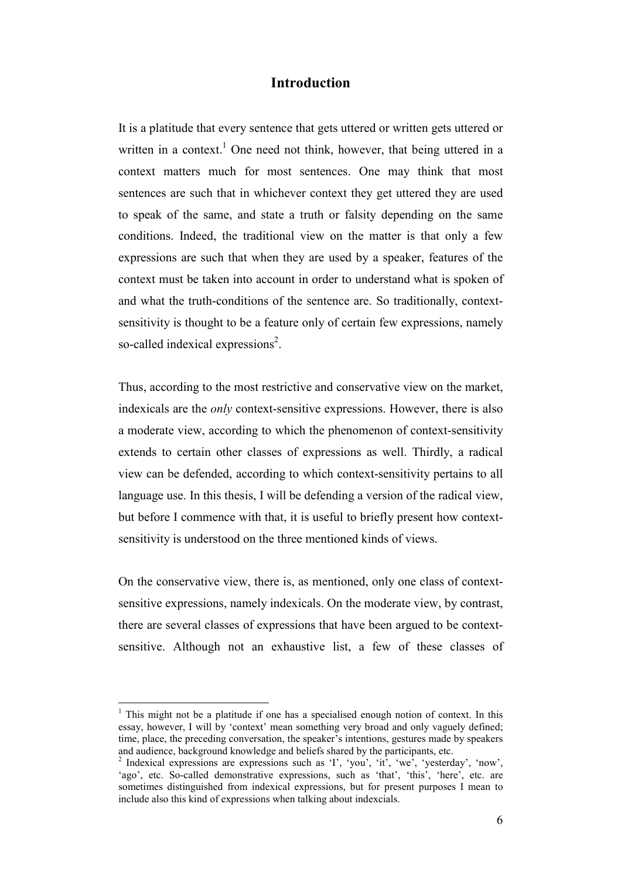## **Introduction**

It is a platitude that every sentence that gets uttered or written gets uttered or written in a context.<sup>1</sup> One need not think, however, that being uttered in a context matters much for most sentences. One may think that most sentences are such that in whichever context they get uttered they are used to speak of the same, and state a truth or falsity depending on the same conditions. Indeed, the traditional view on the matter is that only a few expressions are such that when they are used by a speaker, features of the context must be taken into account in order to understand what is spoken of and what the truth-conditions of the sentence are. So traditionally, contextsensitivity is thought to be a feature only of certain few expressions, namely so-called indexical expressions<sup>2</sup>.

Thus, according to the most restrictive and conservative view on the market, indexicals are the *only* context-sensitive expressions. However, there is also a moderate view, according to which the phenomenon of context-sensitivity extends to certain other classes of expressions as well. Thirdly, a radical view can be defended, according to which context-sensitivity pertains to all language use. In this thesis, I will be defending a version of the radical view, but before I commence with that, it is useful to briefly present how contextsensitivity is understood on the three mentioned kinds of views.

On the conservative view, there is, as mentioned, only one class of contextsensitive expressions, namely indexicals. On the moderate view, by contrast, there are several classes of expressions that have been argued to be contextsensitive. Although not an exhaustive list, a few of these classes of

<sup>&</sup>lt;sup>1</sup> This might not be a platitude if one has a specialised enough notion of context. In this essay, however, I will by 'context' mean something very broad and only vaguely defined; time, place, the preceding conversation, the speaker's intentions, gestures made by speakers and audience, background knowledge and beliefs shared by the participants, etc.

<sup>2</sup> Indexical expressions are expressions such as 'I', 'you', 'it', 'we', 'yesterday', 'now', 'ago', etc. So-called demonstrative expressions, such as 'that', 'this', 'here', etc. are sometimes distinguished from indexical expressions, but for present purposes I mean to include also this kind of expressions when talking about indexcials.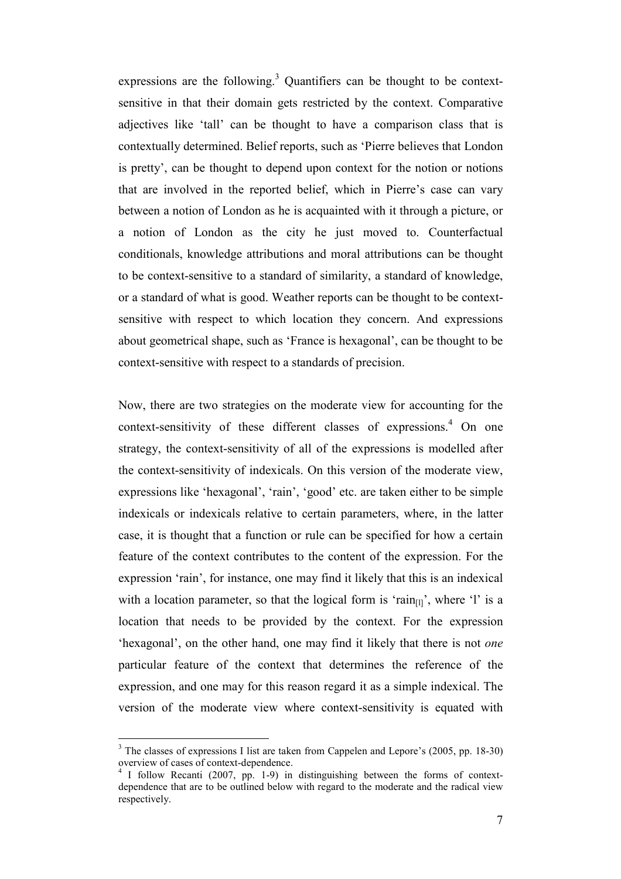expressions are the following.<sup>3</sup> Quantifiers can be thought to be contextsensitive in that their domain gets restricted by the context. Comparative adjectives like 'tall' can be thought to have a comparison class that is contextually determined. Belief reports, such as 'Pierre believes that London is pretty', can be thought to depend upon context for the notion or notions that are involved in the reported belief, which in Pierre's case can vary between a notion of London as he is acquainted with it through a picture, or a notion of London as the city he just moved to. Counterfactual conditionals, knowledge attributions and moral attributions can be thought to be context-sensitive to a standard of similarity, a standard of knowledge, or a standard of what is good. Weather reports can be thought to be contextsensitive with respect to which location they concern. And expressions about geometrical shape, such as 'France is hexagonal', can be thought to be context-sensitive with respect to a standards of precision.

Now, there are two strategies on the moderate view for accounting for the context-sensitivity of these different classes of expressions.<sup>4</sup> On one strategy, the context-sensitivity of all of the expressions is modelled after the context-sensitivity of indexicals. On this version of the moderate view, expressions like 'hexagonal', 'rain', 'good' etc. are taken either to be simple indexicals or indexicals relative to certain parameters, where, in the latter case, it is thought that a function or rule can be specified for how a certain feature of the context contributes to the content of the expression. For the expression 'rain', for instance, one may find it likely that this is an indexical with a location parameter, so that the logical form is 'rain $_{\text{III}}$ ', where 'l' is a location that needs to be provided by the context. For the expression 'hexagonal', on the other hand, one may find it likely that there is not *one* particular feature of the context that determines the reference of the expression, and one may for this reason regard it as a simple indexical. The version of the moderate view where context-sensitivity is equated with

<sup>3</sup> The classes of expressions I list are taken from Cappelen and Lepore's (2005, pp. 18-30) overview of cases of context-dependence.

<sup>&</sup>lt;sup>4</sup> I follow Recanti (2007, pp. 1-9) in distinguishing between the forms of contextdependence that are to be outlined below with regard to the moderate and the radical view respectively.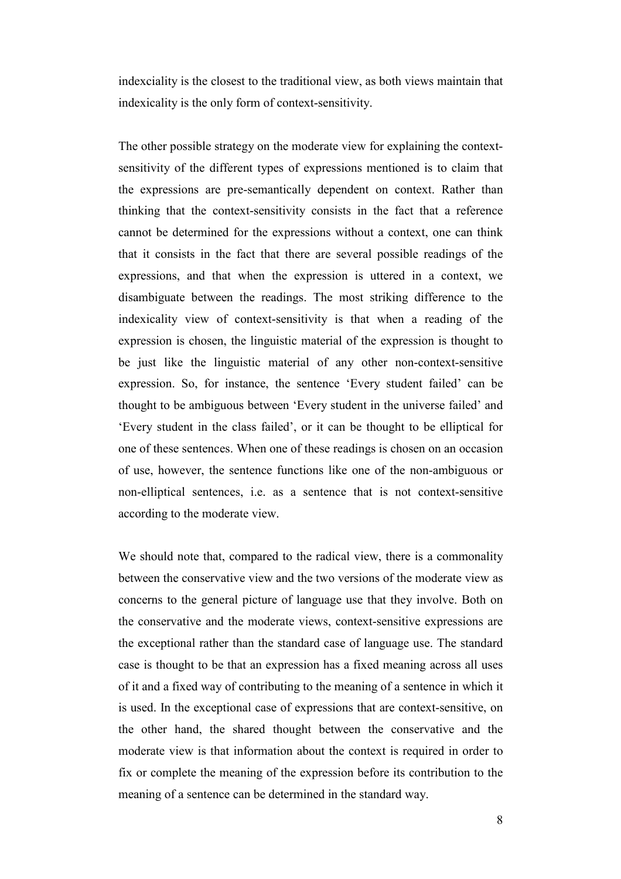indexciality is the closest to the traditional view, as both views maintain that indexicality is the only form of context-sensitivity.

The other possible strategy on the moderate view for explaining the contextsensitivity of the different types of expressions mentioned is to claim that the expressions are pre-semantically dependent on context. Rather than thinking that the context-sensitivity consists in the fact that a reference cannot be determined for the expressions without a context, one can think that it consists in the fact that there are several possible readings of the expressions, and that when the expression is uttered in a context, we disambiguate between the readings. The most striking difference to the indexicality view of context-sensitivity is that when a reading of the expression is chosen, the linguistic material of the expression is thought to be just like the linguistic material of any other non-context-sensitive expression. So, for instance, the sentence 'Every student failed' can be thought to be ambiguous between 'Every student in the universe failed' and 'Every student in the class failed', or it can be thought to be elliptical for one of these sentences. When one of these readings is chosen on an occasion of use, however, the sentence functions like one of the non-ambiguous or non-elliptical sentences, i.e. as a sentence that is not context-sensitive according to the moderate view.

We should note that, compared to the radical view, there is a commonality between the conservative view and the two versions of the moderate view as concerns to the general picture of language use that they involve. Both on the conservative and the moderate views, context-sensitive expressions are the exceptional rather than the standard case of language use. The standard case is thought to be that an expression has a fixed meaning across all uses of it and a fixed way of contributing to the meaning of a sentence in which it is used. In the exceptional case of expressions that are context-sensitive, on the other hand, the shared thought between the conservative and the moderate view is that information about the context is required in order to fix or complete the meaning of the expression before its contribution to the meaning of a sentence can be determined in the standard way.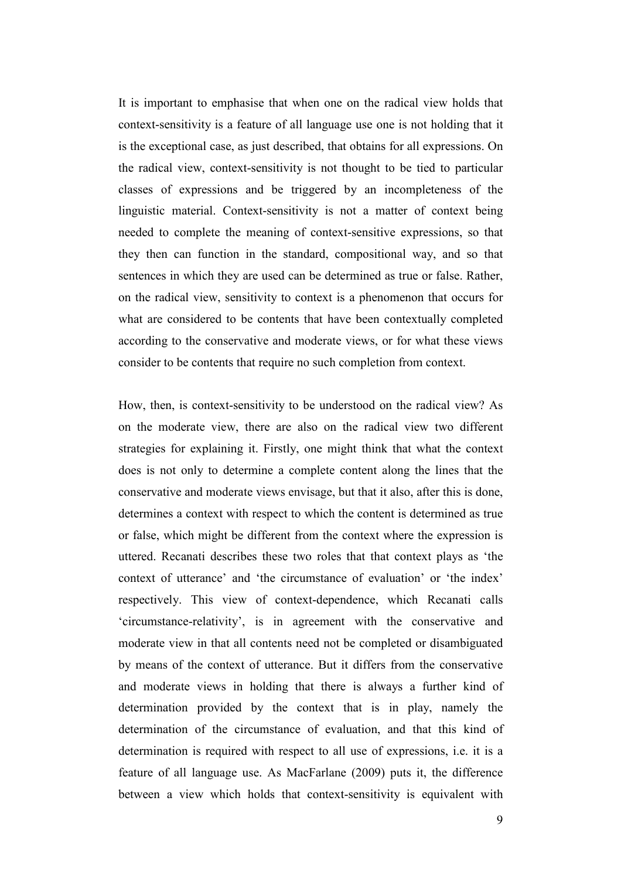It is important to emphasise that when one on the radical view holds that context-sensitivity is a feature of all language use one is not holding that it is the exceptional case, as just described, that obtains for all expressions. On the radical view, context-sensitivity is not thought to be tied to particular classes of expressions and be triggered by an incompleteness of the linguistic material. Context-sensitivity is not a matter of context being needed to complete the meaning of context-sensitive expressions, so that they then can function in the standard, compositional way, and so that sentences in which they are used can be determined as true or false. Rather, on the radical view, sensitivity to context is a phenomenon that occurs for what are considered to be contents that have been contextually completed according to the conservative and moderate views, or for what these views consider to be contents that require no such completion from context.

How, then, is context-sensitivity to be understood on the radical view? As on the moderate view, there are also on the radical view two different strategies for explaining it. Firstly, one might think that what the context does is not only to determine a complete content along the lines that the conservative and moderate views envisage, but that it also, after this is done, determines a context with respect to which the content is determined as true or false, which might be different from the context where the expression is uttered. Recanati describes these two roles that that context plays as 'the context of utterance' and 'the circumstance of evaluation' or 'the index' respectively. This view of context-dependence, which Recanati calls 'circumstance-relativity', is in agreement with the conservative and moderate view in that all contents need not be completed or disambiguated by means of the context of utterance. But it differs from the conservative and moderate views in holding that there is always a further kind of determination provided by the context that is in play, namely the determination of the circumstance of evaluation, and that this kind of determination is required with respect to all use of expressions, i.e. it is a feature of all language use. As MacFarlane (2009) puts it, the difference between a view which holds that context-sensitivity is equivalent with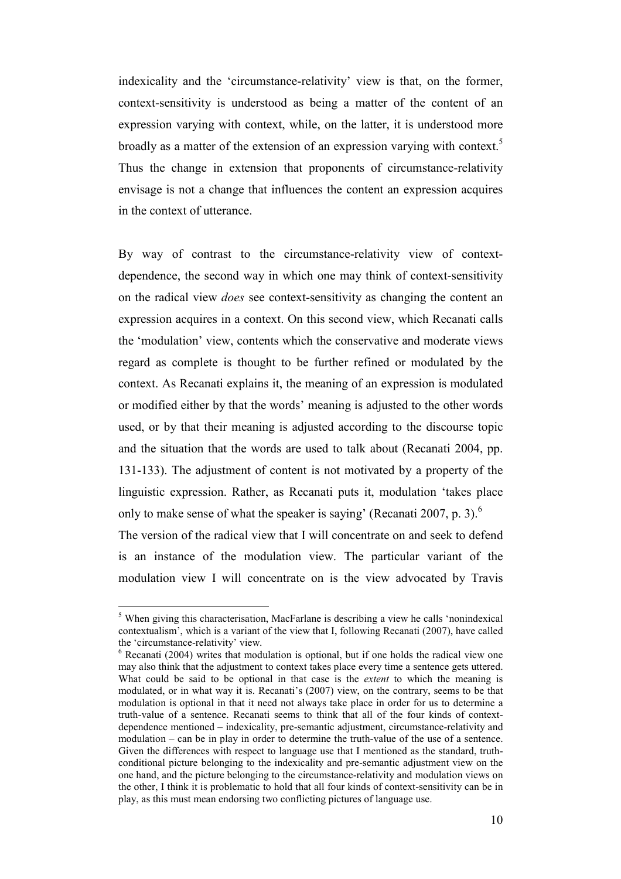indexicality and the 'circumstance-relativity' view is that, on the former, context-sensitivity is understood as being a matter of the content of an expression varying with context, while, on the latter, it is understood more broadly as a matter of the extension of an expression varying with context.<sup>5</sup> Thus the change in extension that proponents of circumstance-relativity envisage is not a change that influences the content an expression acquires in the context of utterance.

By way of contrast to the circumstance-relativity view of contextdependence, the second way in which one may think of context-sensitivity on the radical view *does* see context-sensitivity as changing the content an expression acquires in a context. On this second view, which Recanati calls the 'modulation' view, contents which the conservative and moderate views regard as complete is thought to be further refined or modulated by the context. As Recanati explains it, the meaning of an expression is modulated or modified either by that the words' meaning is adjusted to the other words used, or by that their meaning is adjusted according to the discourse topic and the situation that the words are used to talk about (Recanati 2004, pp. 131-133). The adjustment of content is not motivated by a property of the linguistic expression. Rather, as Recanati puts it, modulation 'takes place only to make sense of what the speaker is saying' (Recanati 2007, p. 3).<sup>6</sup> The version of the radical view that I will concentrate on and seek to defend is an instance of the modulation view. The particular variant of the modulation view I will concentrate on is the view advocated by Travis

<sup>&</sup>lt;sup>5</sup> When giving this characterisation, MacFarlane is describing a view he calls 'nonindexical contextualism', which is a variant of the view that I, following Recanati (2007), have called the 'circumstance-relativity' view.

<sup>&</sup>lt;sup>6</sup> Recanati (2004) writes that modulation is optional, but if one holds the radical view one may also think that the adjustment to context takes place every time a sentence gets uttered. What could be said to be optional in that case is the *extent* to which the meaning is modulated, or in what way it is. Recanati's (2007) view, on the contrary, seems to be that modulation is optional in that it need not always take place in order for us to determine a truth-value of a sentence. Recanati seems to think that all of the four kinds of contextdependence mentioned – indexicality, pre-semantic adjustment, circumstance-relativity and modulation – can be in play in order to determine the truth-value of the use of a sentence. Given the differences with respect to language use that I mentioned as the standard, truthconditional picture belonging to the indexicality and pre-semantic adjustment view on the one hand, and the picture belonging to the circumstance-relativity and modulation views on the other, I think it is problematic to hold that all four kinds of context-sensitivity can be in play, as this must mean endorsing two conflicting pictures of language use.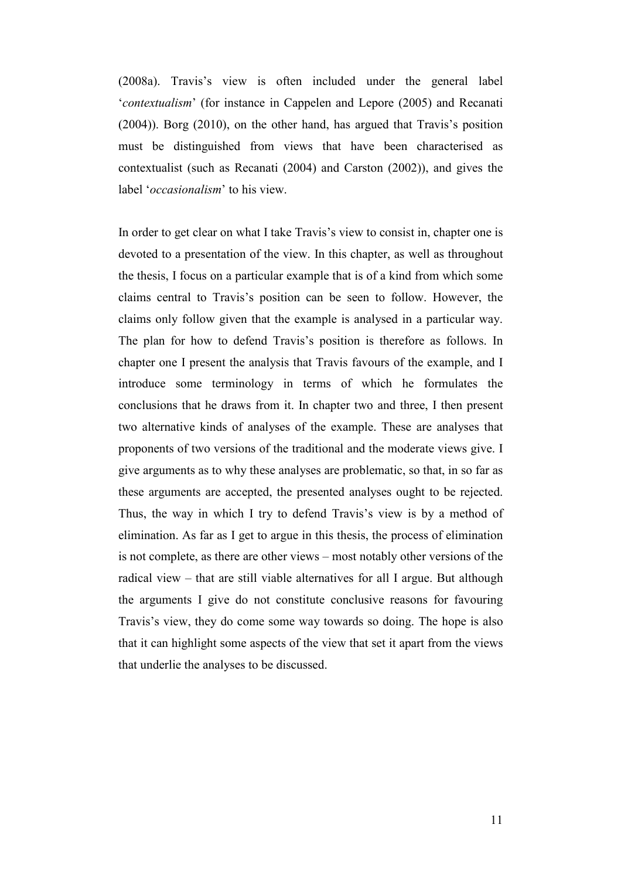(2008a). Travis's view is often included under the general label '*contextualism*' (for instance in Cappelen and Lepore (2005) and Recanati (2004)). Borg (2010), on the other hand, has argued that Travis's position must be distinguished from views that have been characterised as contextualist (such as Recanati (2004) and Carston (2002)), and gives the label '*occasionalism*' to his view.

In order to get clear on what I take Travis's view to consist in, chapter one is devoted to a presentation of the view. In this chapter, as well as throughout the thesis, I focus on a particular example that is of a kind from which some claims central to Travis's position can be seen to follow. However, the claims only follow given that the example is analysed in a particular way. The plan for how to defend Travis's position is therefore as follows. In chapter one I present the analysis that Travis favours of the example, and I introduce some terminology in terms of which he formulates the conclusions that he draws from it. In chapter two and three, I then present two alternative kinds of analyses of the example. These are analyses that proponents of two versions of the traditional and the moderate views give. I give arguments as to why these analyses are problematic, so that, in so far as these arguments are accepted, the presented analyses ought to be rejected. Thus, the way in which I try to defend Travis's view is by a method of elimination. As far as I get to argue in this thesis, the process of elimination is not complete, as there are other views – most notably other versions of the radical view – that are still viable alternatives for all I argue. But although the arguments I give do not constitute conclusive reasons for favouring Travis's view, they do come some way towards so doing. The hope is also that it can highlight some aspects of the view that set it apart from the views that underlie the analyses to be discussed.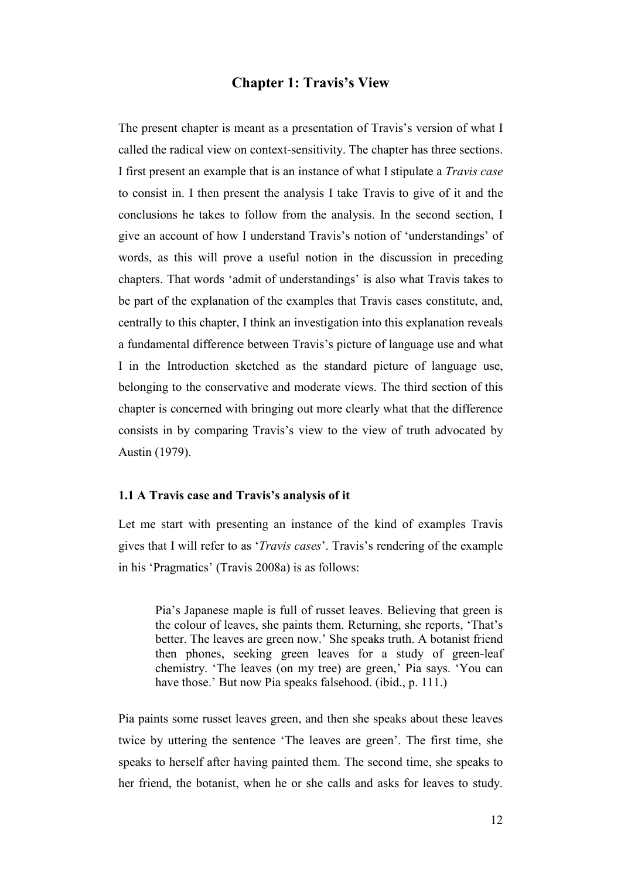## **Chapter 1: Travis's View**

The present chapter is meant as a presentation of Travis's version of what I called the radical view on context-sensitivity. The chapter has three sections. I first present an example that is an instance of what I stipulate a *Travis case* to consist in. I then present the analysis I take Travis to give of it and the conclusions he takes to follow from the analysis. In the second section, I give an account of how I understand Travis's notion of 'understandings' of words, as this will prove a useful notion in the discussion in preceding chapters. That words 'admit of understandings' is also what Travis takes to be part of the explanation of the examples that Travis cases constitute, and, centrally to this chapter, I think an investigation into this explanation reveals a fundamental difference between Travis's picture of language use and what I in the Introduction sketched as the standard picture of language use, belonging to the conservative and moderate views. The third section of this chapter is concerned with bringing out more clearly what that the difference consists in by comparing Travis's view to the view of truth advocated by Austin (1979).

#### **1.1 A Travis case and Travis's analysis of it**

Let me start with presenting an instance of the kind of examples Travis gives that I will refer to as '*Travis cases*'. Travis's rendering of the example in his 'Pragmatics' (Travis 2008a) is as follows:

Pia's Japanese maple is full of russet leaves. Believing that green is the colour of leaves, she paints them. Returning, she reports, 'That's better. The leaves are green now.' She speaks truth. A botanist friend then phones, seeking green leaves for a study of green-leaf chemistry. 'The leaves (on my tree) are green,' Pia says. 'You can have those.' But now Pia speaks falsehood. (ibid., p. 111.)

Pia paints some russet leaves green, and then she speaks about these leaves twice by uttering the sentence 'The leaves are green'. The first time, she speaks to herself after having painted them. The second time, she speaks to her friend, the botanist, when he or she calls and asks for leaves to study.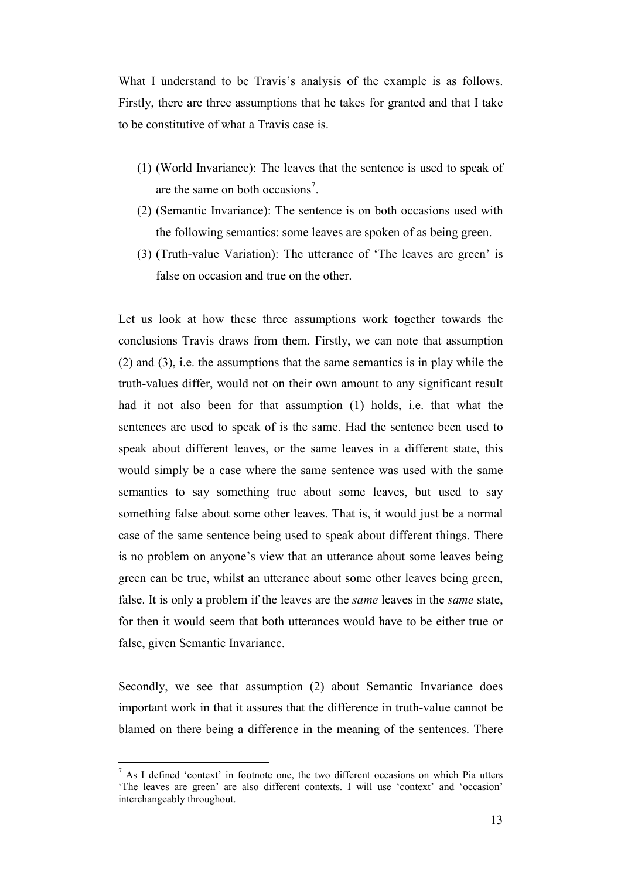What I understand to be Travis's analysis of the example is as follows. Firstly, there are three assumptions that he takes for granted and that I take to be constitutive of what a Travis case is.

- (1) (World Invariance): The leaves that the sentence is used to speak of are the same on both occasions<sup>7</sup>.
- (2) (Semantic Invariance): The sentence is on both occasions used with the following semantics: some leaves are spoken of as being green.
- (3) (Truth-value Variation): The utterance of 'The leaves are green' is false on occasion and true on the other.

Let us look at how these three assumptions work together towards the conclusions Travis draws from them. Firstly, we can note that assumption (2) and (3), i.e. the assumptions that the same semantics is in play while the truth-values differ, would not on their own amount to any significant result had it not also been for that assumption (1) holds, i.e. that what the sentences are used to speak of is the same. Had the sentence been used to speak about different leaves, or the same leaves in a different state, this would simply be a case where the same sentence was used with the same semantics to say something true about some leaves, but used to say something false about some other leaves. That is, it would just be a normal case of the same sentence being used to speak about different things. There is no problem on anyone's view that an utterance about some leaves being green can be true, whilst an utterance about some other leaves being green, false. It is only a problem if the leaves are the *same* leaves in the *same* state, for then it would seem that both utterances would have to be either true or false, given Semantic Invariance.

Secondly, we see that assumption (2) about Semantic Invariance does important work in that it assures that the difference in truth-value cannot be blamed on there being a difference in the meaning of the sentences. There

 $<sup>7</sup>$  As I defined 'context' in footnote one, the two different occasions on which Pia utters</sup> 'The leaves are green' are also different contexts. I will use 'context' and 'occasion' interchangeably throughout.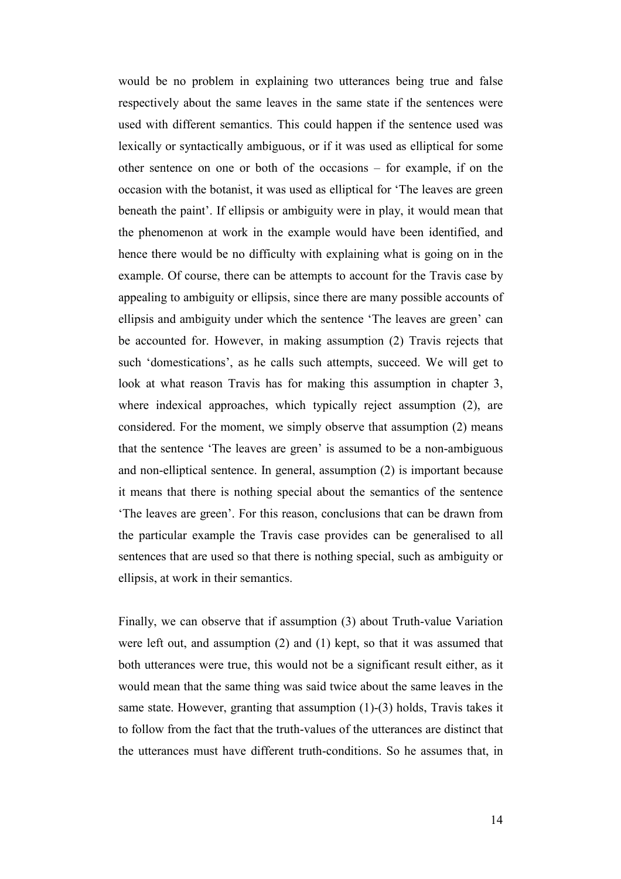would be no problem in explaining two utterances being true and false respectively about the same leaves in the same state if the sentences were used with different semantics. This could happen if the sentence used was lexically or syntactically ambiguous, or if it was used as elliptical for some other sentence on one or both of the occasions – for example, if on the occasion with the botanist, it was used as elliptical for 'The leaves are green beneath the paint'. If ellipsis or ambiguity were in play, it would mean that the phenomenon at work in the example would have been identified, and hence there would be no difficulty with explaining what is going on in the example. Of course, there can be attempts to account for the Travis case by appealing to ambiguity or ellipsis, since there are many possible accounts of ellipsis and ambiguity under which the sentence 'The leaves are green' can be accounted for. However, in making assumption (2) Travis rejects that such 'domestications', as he calls such attempts, succeed. We will get to look at what reason Travis has for making this assumption in chapter 3, where indexical approaches, which typically reject assumption  $(2)$ , are considered. For the moment, we simply observe that assumption (2) means that the sentence 'The leaves are green' is assumed to be a non-ambiguous and non-elliptical sentence. In general, assumption (2) is important because it means that there is nothing special about the semantics of the sentence 'The leaves are green'. For this reason, conclusions that can be drawn from the particular example the Travis case provides can be generalised to all sentences that are used so that there is nothing special, such as ambiguity or ellipsis, at work in their semantics.

Finally, we can observe that if assumption (3) about Truth-value Variation were left out, and assumption (2) and (1) kept, so that it was assumed that both utterances were true, this would not be a significant result either, as it would mean that the same thing was said twice about the same leaves in the same state. However, granting that assumption (1)-(3) holds, Travis takes it to follow from the fact that the truth-values of the utterances are distinct that the utterances must have different truth-conditions. So he assumes that, in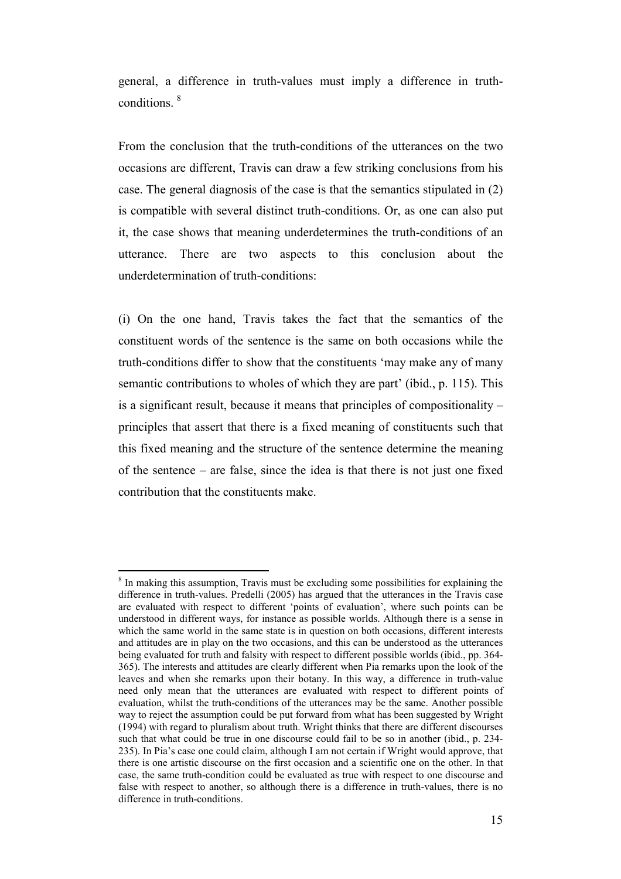general, a difference in truth-values must imply a difference in truthconditions. <sup>8</sup>

From the conclusion that the truth-conditions of the utterances on the two occasions are different, Travis can draw a few striking conclusions from his case. The general diagnosis of the case is that the semantics stipulated in (2) is compatible with several distinct truth-conditions. Or, as one can also put it, the case shows that meaning underdetermines the truth-conditions of an utterance. There are two aspects to this conclusion about the underdetermination of truth-conditions:

(i) On the one hand, Travis takes the fact that the semantics of the constituent words of the sentence is the same on both occasions while the truth-conditions differ to show that the constituents 'may make any of many semantic contributions to wholes of which they are part' (ibid., p. 115). This is a significant result, because it means that principles of compositionality – principles that assert that there is a fixed meaning of constituents such that this fixed meaning and the structure of the sentence determine the meaning of the sentence – are false, since the idea is that there is not just one fixed contribution that the constituents make.

<sup>&</sup>lt;sup>8</sup> In making this assumption, Travis must be excluding some possibilities for explaining the difference in truth-values. Predelli (2005) has argued that the utterances in the Travis case are evaluated with respect to different 'points of evaluation', where such points can be understood in different ways, for instance as possible worlds. Although there is a sense in which the same world in the same state is in question on both occasions, different interests and attitudes are in play on the two occasions, and this can be understood as the utterances being evaluated for truth and falsity with respect to different possible worlds (ibid., pp. 364- 365). The interests and attitudes are clearly different when Pia remarks upon the look of the leaves and when she remarks upon their botany. In this way, a difference in truth-value need only mean that the utterances are evaluated with respect to different points of evaluation, whilst the truth-conditions of the utterances may be the same. Another possible way to reject the assumption could be put forward from what has been suggested by Wright (1994) with regard to pluralism about truth. Wright thinks that there are different discourses such that what could be true in one discourse could fail to be so in another (ibid., p. 234- 235). In Pia's case one could claim, although I am not certain if Wright would approve, that there is one artistic discourse on the first occasion and a scientific one on the other. In that case, the same truth-condition could be evaluated as true with respect to one discourse and false with respect to another, so although there is a difference in truth-values, there is no difference in truth-conditions.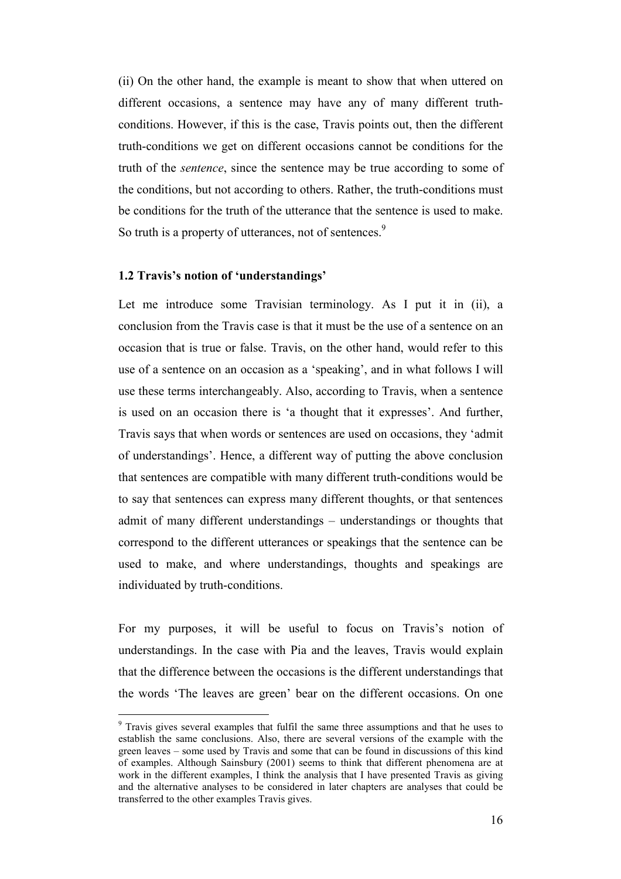(ii) On the other hand, the example is meant to show that when uttered on different occasions, a sentence may have any of many different truthconditions. However, if this is the case, Travis points out, then the different truth-conditions we get on different occasions cannot be conditions for the truth of the *sentence*, since the sentence may be true according to some of the conditions, but not according to others. Rather, the truth-conditions must be conditions for the truth of the utterance that the sentence is used to make. So truth is a property of utterances, not of sentences.<sup>9</sup>

#### **1.2 Travis's notion of 'understandings'**

 $\overline{a}$ 

Let me introduce some Travisian terminology. As I put it in (ii), a conclusion from the Travis case is that it must be the use of a sentence on an occasion that is true or false. Travis, on the other hand, would refer to this use of a sentence on an occasion as a 'speaking', and in what follows I will use these terms interchangeably. Also, according to Travis, when a sentence is used on an occasion there is 'a thought that it expresses'. And further, Travis says that when words or sentences are used on occasions, they 'admit of understandings'. Hence, a different way of putting the above conclusion that sentences are compatible with many different truth-conditions would be to say that sentences can express many different thoughts, or that sentences admit of many different understandings – understandings or thoughts that correspond to the different utterances or speakings that the sentence can be used to make, and where understandings, thoughts and speakings are individuated by truth-conditions.

For my purposes, it will be useful to focus on Travis's notion of understandings. In the case with Pia and the leaves, Travis would explain that the difference between the occasions is the different understandings that the words 'The leaves are green' bear on the different occasions. On one

<sup>&</sup>lt;sup>9</sup> Travis gives several examples that fulfil the same three assumptions and that he uses to establish the same conclusions. Also, there are several versions of the example with the green leaves – some used by Travis and some that can be found in discussions of this kind of examples. Although Sainsbury (2001) seems to think that different phenomena are at work in the different examples, I think the analysis that I have presented Travis as giving and the alternative analyses to be considered in later chapters are analyses that could be transferred to the other examples Travis gives.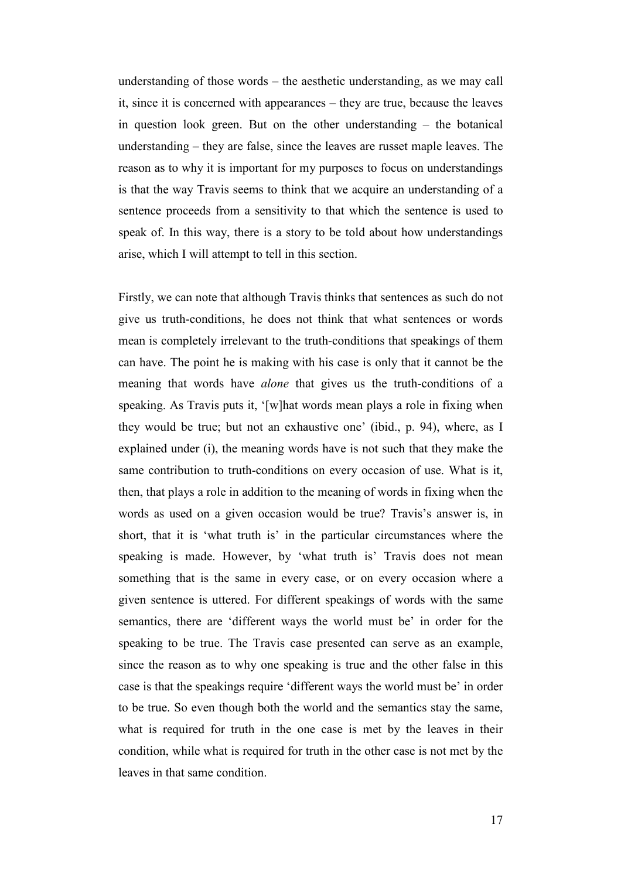understanding of those words – the aesthetic understanding, as we may call it, since it is concerned with appearances – they are true, because the leaves in question look green. But on the other understanding – the botanical understanding – they are false, since the leaves are russet maple leaves. The reason as to why it is important for my purposes to focus on understandings is that the way Travis seems to think that we acquire an understanding of a sentence proceeds from a sensitivity to that which the sentence is used to speak of. In this way, there is a story to be told about how understandings arise, which I will attempt to tell in this section.

Firstly, we can note that although Travis thinks that sentences as such do not give us truth-conditions, he does not think that what sentences or words mean is completely irrelevant to the truth-conditions that speakings of them can have. The point he is making with his case is only that it cannot be the meaning that words have *alone* that gives us the truth-conditions of a speaking. As Travis puts it, '[w]hat words mean plays a role in fixing when they would be true; but not an exhaustive one' (ibid., p. 94), where, as I explained under (i), the meaning words have is not such that they make the same contribution to truth-conditions on every occasion of use. What is it, then, that plays a role in addition to the meaning of words in fixing when the words as used on a given occasion would be true? Travis's answer is, in short, that it is 'what truth is' in the particular circumstances where the speaking is made. However, by 'what truth is' Travis does not mean something that is the same in every case, or on every occasion where a given sentence is uttered. For different speakings of words with the same semantics, there are 'different ways the world must be' in order for the speaking to be true. The Travis case presented can serve as an example, since the reason as to why one speaking is true and the other false in this case is that the speakings require 'different ways the world must be' in order to be true. So even though both the world and the semantics stay the same, what is required for truth in the one case is met by the leaves in their condition, while what is required for truth in the other case is not met by the leaves in that same condition.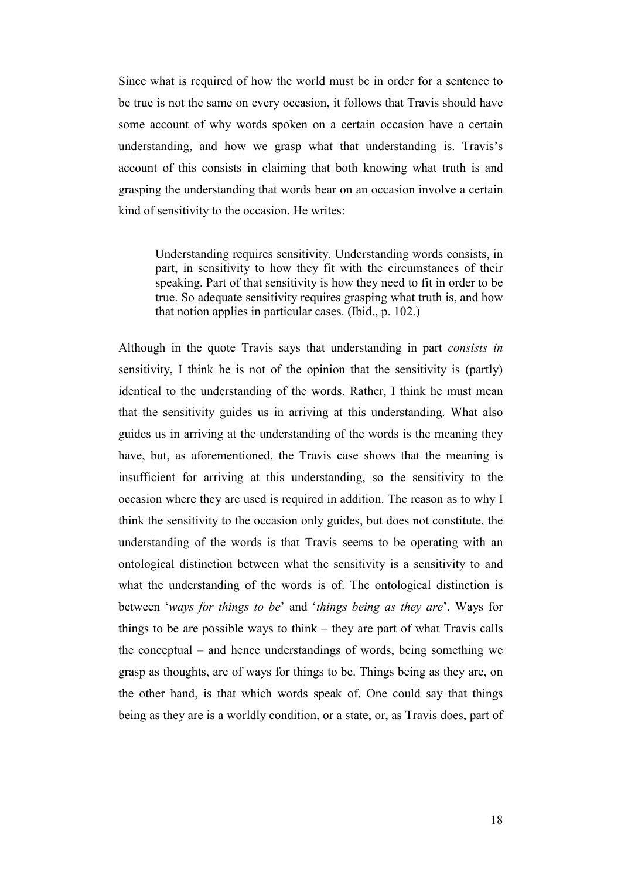Since what is required of how the world must be in order for a sentence to be true is not the same on every occasion, it follows that Travis should have some account of why words spoken on a certain occasion have a certain understanding, and how we grasp what that understanding is. Travis's account of this consists in claiming that both knowing what truth is and grasping the understanding that words bear on an occasion involve a certain kind of sensitivity to the occasion. He writes:

Understanding requires sensitivity. Understanding words consists, in part, in sensitivity to how they fit with the circumstances of their speaking. Part of that sensitivity is how they need to fit in order to be true. So adequate sensitivity requires grasping what truth is, and how that notion applies in particular cases. (Ibid., p. 102.)

Although in the quote Travis says that understanding in part *consists in* sensitivity, I think he is not of the opinion that the sensitivity is (partly) identical to the understanding of the words. Rather, I think he must mean that the sensitivity guides us in arriving at this understanding. What also guides us in arriving at the understanding of the words is the meaning they have, but, as aforementioned, the Travis case shows that the meaning is insufficient for arriving at this understanding, so the sensitivity to the occasion where they are used is required in addition. The reason as to why I think the sensitivity to the occasion only guides, but does not constitute, the understanding of the words is that Travis seems to be operating with an ontological distinction between what the sensitivity is a sensitivity to and what the understanding of the words is of. The ontological distinction is between '*ways for things to be*' and '*things being as they are*'. Ways for things to be are possible ways to think – they are part of what Travis calls the conceptual – and hence understandings of words, being something we grasp as thoughts, are of ways for things to be. Things being as they are, on the other hand, is that which words speak of. One could say that things being as they are is a worldly condition, or a state, or, as Travis does, part of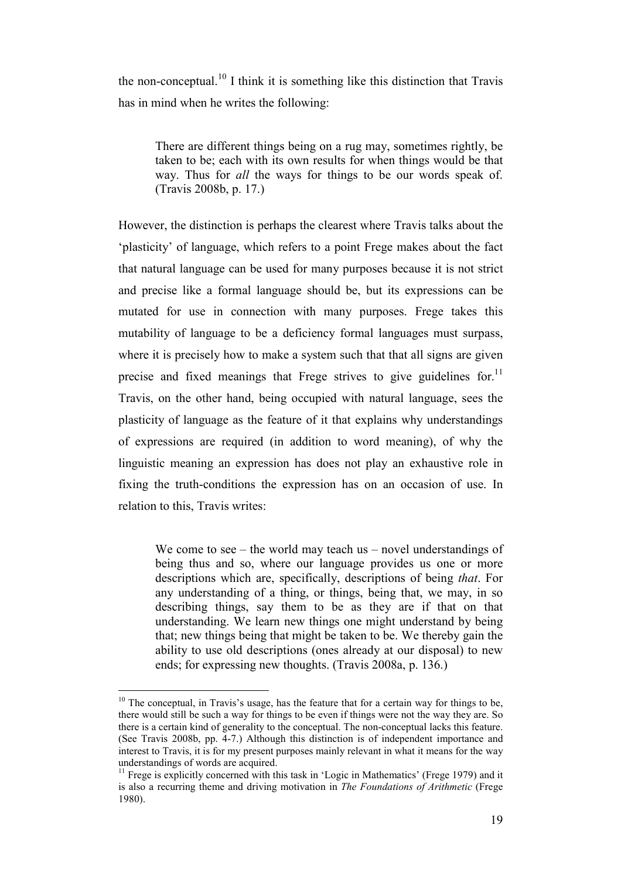the non-conceptual.<sup>10</sup> I think it is something like this distinction that Travis has in mind when he writes the following:

There are different things being on a rug may, sometimes rightly, be taken to be; each with its own results for when things would be that way. Thus for *all* the ways for things to be our words speak of. (Travis 2008b, p. 17.)

However, the distinction is perhaps the clearest where Travis talks about the 'plasticity' of language, which refers to a point Frege makes about the fact that natural language can be used for many purposes because it is not strict and precise like a formal language should be, but its expressions can be mutated for use in connection with many purposes. Frege takes this mutability of language to be a deficiency formal languages must surpass, where it is precisely how to make a system such that that all signs are given precise and fixed meanings that Frege strives to give guidelines for.<sup>11</sup> Travis, on the other hand, being occupied with natural language, sees the plasticity of language as the feature of it that explains why understandings of expressions are required (in addition to word meaning), of why the linguistic meaning an expression has does not play an exhaustive role in fixing the truth-conditions the expression has on an occasion of use. In relation to this, Travis writes:

We come to see – the world may teach us – novel understandings of being thus and so, where our language provides us one or more descriptions which are, specifically, descriptions of being *that*. For any understanding of a thing, or things, being that, we may, in so describing things, say them to be as they are if that on that understanding. We learn new things one might understand by being that; new things being that might be taken to be. We thereby gain the ability to use old descriptions (ones already at our disposal) to new ends; for expressing new thoughts. (Travis 2008a, p. 136.)

 $10$  The conceptual, in Travis's usage, has the feature that for a certain way for things to be, there would still be such a way for things to be even if things were not the way they are. So there is a certain kind of generality to the conceptual. The non-conceptual lacks this feature. (See Travis 2008b, pp. 4-7.) Although this distinction is of independent importance and interest to Travis, it is for my present purposes mainly relevant in what it means for the way understandings of words are acquired.

<sup>&</sup>lt;sup>11</sup> Frege is explicitly concerned with this task in 'Logic in Mathematics' (Frege 1979) and it is also a recurring theme and driving motivation in *The Foundations of Arithmetic* (Frege 1980).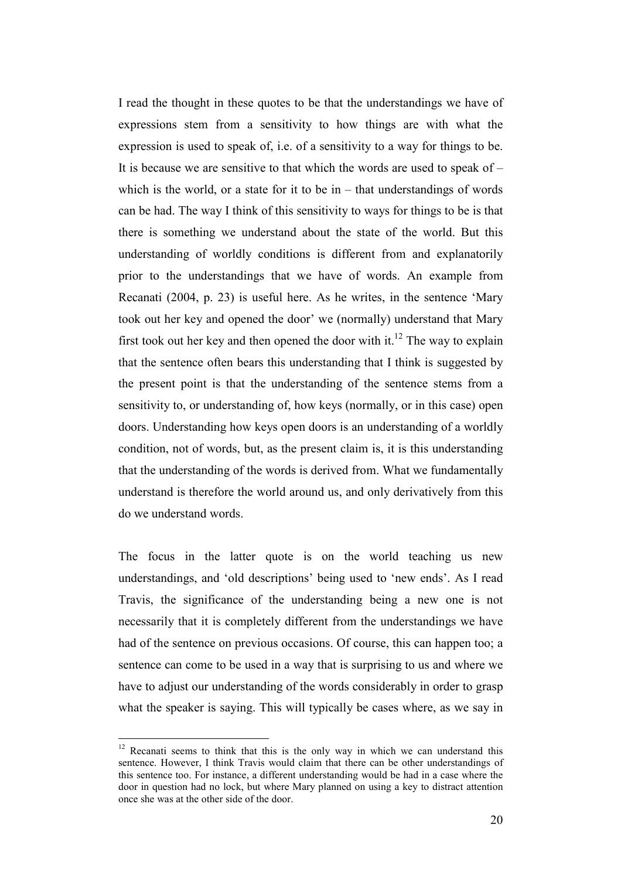I read the thought in these quotes to be that the understandings we have of expressions stem from a sensitivity to how things are with what the expression is used to speak of, i.e. of a sensitivity to a way for things to be. It is because we are sensitive to that which the words are used to speak of  $$ which is the world, or a state for it to be in  $-$  that understandings of words can be had. The way I think of this sensitivity to ways for things to be is that there is something we understand about the state of the world. But this understanding of worldly conditions is different from and explanatorily prior to the understandings that we have of words. An example from Recanati (2004, p. 23) is useful here. As he writes, in the sentence 'Mary took out her key and opened the door' we (normally) understand that Mary first took out her key and then opened the door with it.<sup>12</sup> The way to explain that the sentence often bears this understanding that I think is suggested by the present point is that the understanding of the sentence stems from a sensitivity to, or understanding of, how keys (normally, or in this case) open doors. Understanding how keys open doors is an understanding of a worldly condition, not of words, but, as the present claim is, it is this understanding that the understanding of the words is derived from. What we fundamentally understand is therefore the world around us, and only derivatively from this do we understand words.

The focus in the latter quote is on the world teaching us new understandings, and 'old descriptions' being used to 'new ends'. As I read Travis, the significance of the understanding being a new one is not necessarily that it is completely different from the understandings we have had of the sentence on previous occasions. Of course, this can happen too; a sentence can come to be used in a way that is surprising to us and where we have to adjust our understanding of the words considerably in order to grasp what the speaker is saying. This will typically be cases where, as we say in

 $12$  Recanati seems to think that this is the only way in which we can understand this sentence. However, I think Travis would claim that there can be other understandings of this sentence too. For instance, a different understanding would be had in a case where the door in question had no lock, but where Mary planned on using a key to distract attention once she was at the other side of the door.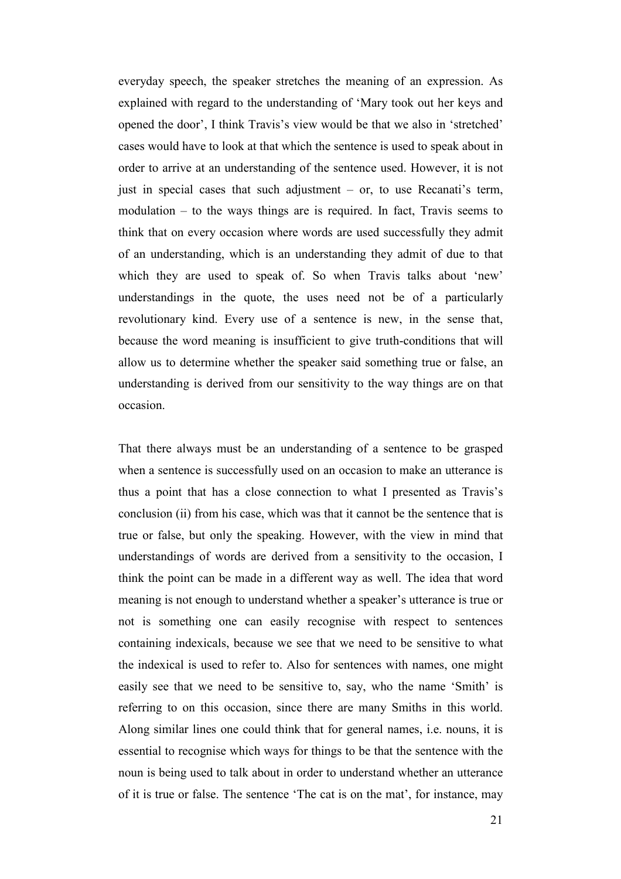everyday speech, the speaker stretches the meaning of an expression. As explained with regard to the understanding of 'Mary took out her keys and opened the door', I think Travis's view would be that we also in 'stretched' cases would have to look at that which the sentence is used to speak about in order to arrive at an understanding of the sentence used. However, it is not just in special cases that such adjustment – or, to use Recanati's term, modulation – to the ways things are is required. In fact, Travis seems to think that on every occasion where words are used successfully they admit of an understanding, which is an understanding they admit of due to that which they are used to speak of. So when Travis talks about 'new' understandings in the quote, the uses need not be of a particularly revolutionary kind. Every use of a sentence is new, in the sense that, because the word meaning is insufficient to give truth-conditions that will allow us to determine whether the speaker said something true or false, an understanding is derived from our sensitivity to the way things are on that occasion.

That there always must be an understanding of a sentence to be grasped when a sentence is successfully used on an occasion to make an utterance is thus a point that has a close connection to what I presented as Travis's conclusion (ii) from his case, which was that it cannot be the sentence that is true or false, but only the speaking. However, with the view in mind that understandings of words are derived from a sensitivity to the occasion, I think the point can be made in a different way as well. The idea that word meaning is not enough to understand whether a speaker's utterance is true or not is something one can easily recognise with respect to sentences containing indexicals, because we see that we need to be sensitive to what the indexical is used to refer to. Also for sentences with names, one might easily see that we need to be sensitive to, say, who the name 'Smith' is referring to on this occasion, since there are many Smiths in this world. Along similar lines one could think that for general names, i.e. nouns, it is essential to recognise which ways for things to be that the sentence with the noun is being used to talk about in order to understand whether an utterance of it is true or false. The sentence 'The cat is on the mat', for instance, may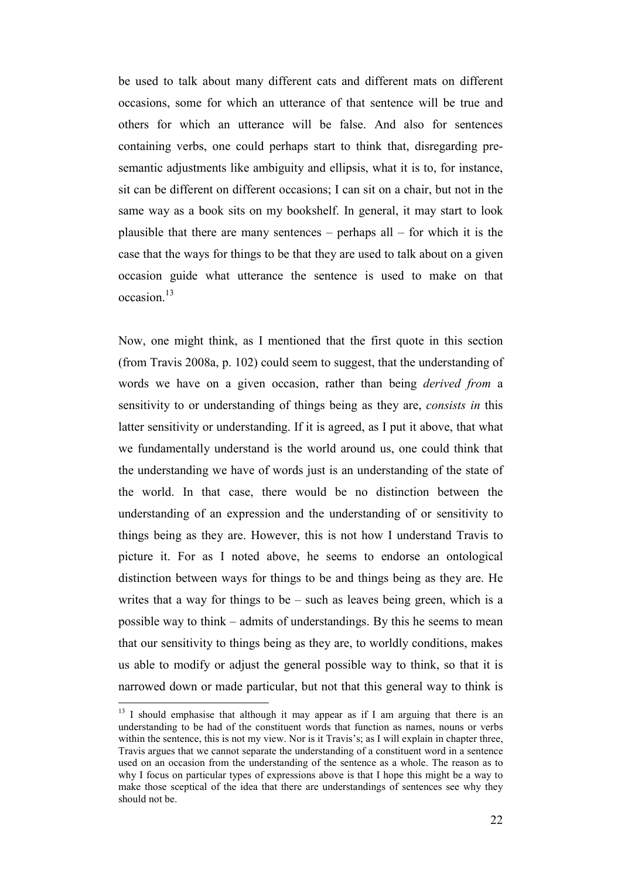be used to talk about many different cats and different mats on different occasions, some for which an utterance of that sentence will be true and others for which an utterance will be false. And also for sentences containing verbs, one could perhaps start to think that, disregarding presemantic adjustments like ambiguity and ellipsis, what it is to, for instance, sit can be different on different occasions; I can sit on a chair, but not in the same way as a book sits on my bookshelf. In general, it may start to look plausible that there are many sentences – perhaps all – for which it is the case that the ways for things to be that they are used to talk about on a given occasion guide what utterance the sentence is used to make on that occasion.<sup>13</sup>

Now, one might think, as I mentioned that the first quote in this section (from Travis 2008a, p. 102) could seem to suggest, that the understanding of words we have on a given occasion, rather than being *derived from* a sensitivity to or understanding of things being as they are, *consists in* this latter sensitivity or understanding. If it is agreed, as I put it above, that what we fundamentally understand is the world around us, one could think that the understanding we have of words just is an understanding of the state of the world. In that case, there would be no distinction between the understanding of an expression and the understanding of or sensitivity to things being as they are. However, this is not how I understand Travis to picture it. For as I noted above, he seems to endorse an ontological distinction between ways for things to be and things being as they are. He writes that a way for things to be – such as leaves being green, which is a possible way to think – admits of understandings. By this he seems to mean that our sensitivity to things being as they are, to worldly conditions, makes us able to modify or adjust the general possible way to think, so that it is narrowed down or made particular, but not that this general way to think is

<sup>&</sup>lt;sup>13</sup> I should emphasise that although it may appear as if I am arguing that there is an understanding to be had of the constituent words that function as names, nouns or verbs within the sentence, this is not my view. Nor is it Travis's; as I will explain in chapter three, Travis argues that we cannot separate the understanding of a constituent word in a sentence used on an occasion from the understanding of the sentence as a whole. The reason as to why I focus on particular types of expressions above is that I hope this might be a way to make those sceptical of the idea that there are understandings of sentences see why they should not be.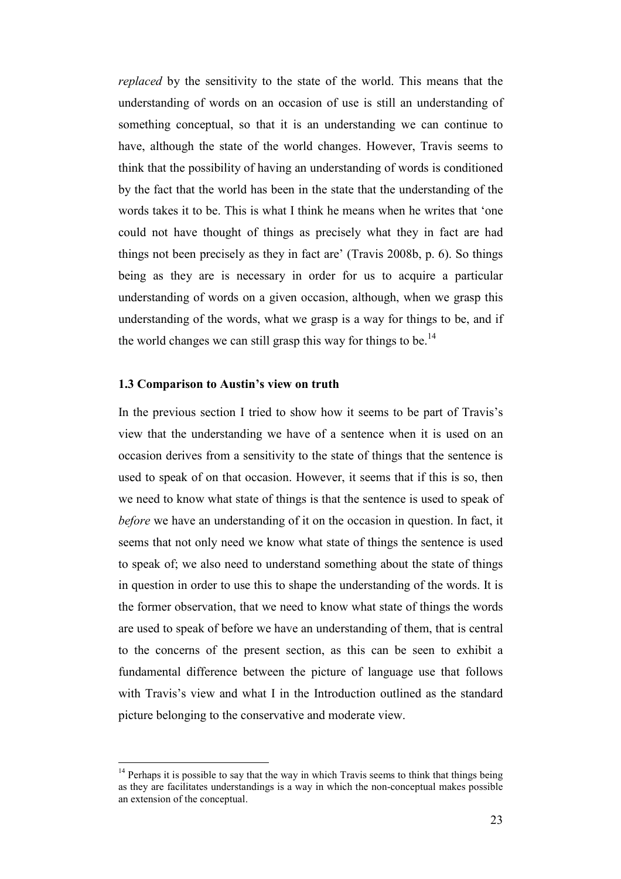*replaced* by the sensitivity to the state of the world. This means that the understanding of words on an occasion of use is still an understanding of something conceptual, so that it is an understanding we can continue to have, although the state of the world changes. However, Travis seems to think that the possibility of having an understanding of words is conditioned by the fact that the world has been in the state that the understanding of the words takes it to be. This is what I think he means when he writes that 'one could not have thought of things as precisely what they in fact are had things not been precisely as they in fact are' (Travis 2008b, p. 6). So things being as they are is necessary in order for us to acquire a particular understanding of words on a given occasion, although, when we grasp this understanding of the words, what we grasp is a way for things to be, and if the world changes we can still grasp this way for things to be.<sup>14</sup>

#### **1.3 Comparison to Austin's view on truth**

 $\overline{a}$ 

In the previous section I tried to show how it seems to be part of Travis's view that the understanding we have of a sentence when it is used on an occasion derives from a sensitivity to the state of things that the sentence is used to speak of on that occasion. However, it seems that if this is so, then we need to know what state of things is that the sentence is used to speak of *before* we have an understanding of it on the occasion in question. In fact, it seems that not only need we know what state of things the sentence is used to speak of; we also need to understand something about the state of things in question in order to use this to shape the understanding of the words. It is the former observation, that we need to know what state of things the words are used to speak of before we have an understanding of them, that is central to the concerns of the present section, as this can be seen to exhibit a fundamental difference between the picture of language use that follows with Travis's view and what I in the Introduction outlined as the standard picture belonging to the conservative and moderate view.

 $14$  Perhaps it is possible to say that the way in which Travis seems to think that things being as they are facilitates understandings is a way in which the non-conceptual makes possible an extension of the conceptual.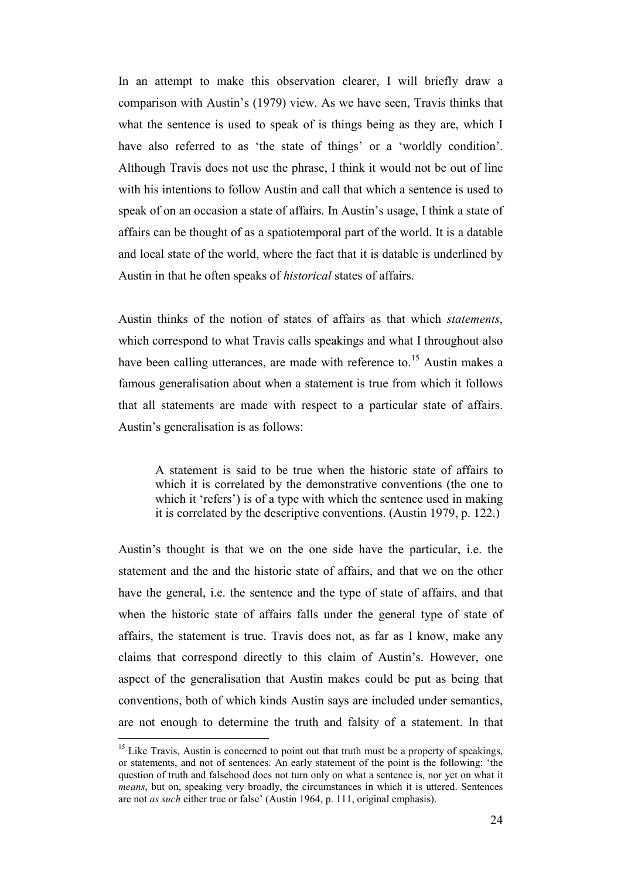In an attempt to make this observation clearer, I will briefly draw a comparison with Austin's (1979) view. As we have seen, Travis thinks that what the sentence is used to speak of is things being as they are, which I have also referred to as 'the state of things' or a 'worldly condition'. Although Travis does not use the phrase, I think it would not be out of line with his intentions to follow Austin and call that which a sentence is used to speak of on an occasion a state of affairs. In Austin's usage, I think a state of affairs can be thought of as a spatiotemporal part of the world. It is a datable and local state of the world, where the fact that it is datable is underlined by Austin in that he often speaks of *historical* states of affairs.

Austin thinks of the notion of states of affairs as that which *statements*, which correspond to what Travis calls speakings and what I throughout also have been calling utterances, are made with reference to.<sup>15</sup> Austin makes a famous generalisation about when a statement is true from which it follows that all statements are made with respect to a particular state of affairs. Austin's generalisation is as follows:

A statement is said to be true when the historic state of affairs to which it is correlated by the demonstrative conventions (the one to which it 'refers') is of a type with which the sentence used in making it is correlated by the descriptive conventions. (Austin 1979, p. 122.)

Austin's thought is that we on the one side have the particular, i.e. the statement and the and the historic state of affairs, and that we on the other have the general, i.e. the sentence and the type of state of affairs, and that when the historic state of affairs falls under the general type of state of affairs, the statement is true. Travis does not, as far as I know, make any claims that correspond directly to this claim of Austin's. However, one aspect of the generalisation that Austin makes could be put as being that conventions, both of which kinds Austin says are included under semantics, are not enough to determine the truth and falsity of a statement. In that

<sup>&</sup>lt;sup>15</sup> Like Travis, Austin is concerned to point out that truth must be a property of speakings, or statements, and not of sentences. An early statement of the point is the following: 'the question of truth and falsehood does not turn only on what a sentence is, nor yet on what it *means*, but on, speaking very broadly, the circumstances in which it is uttered. Sentences are not *as such* either true or false' (Austin 1964, p. 111, original emphasis).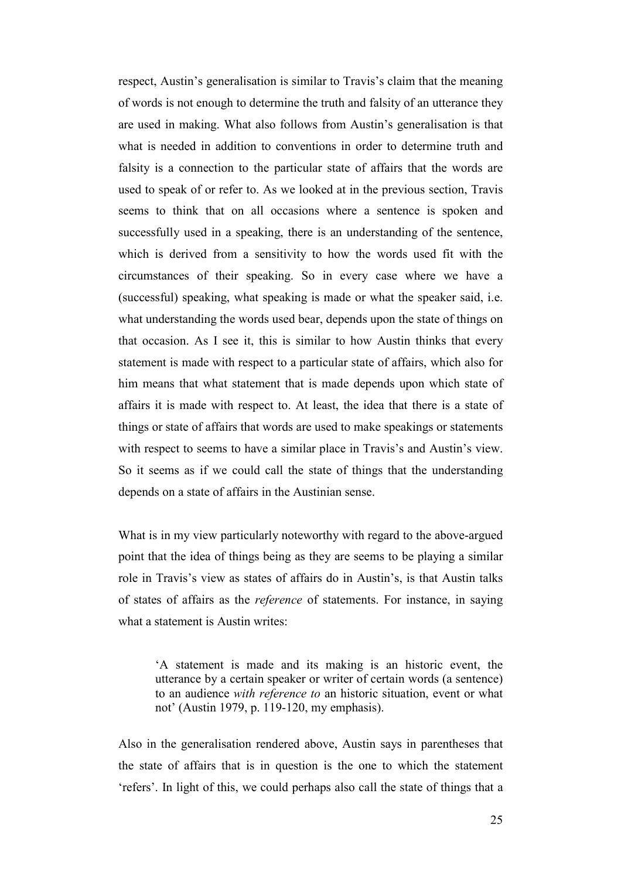respect, Austin's generalisation is similar to Travis's claim that the meaning of words is not enough to determine the truth and falsity of an utterance they are used in making. What also follows from Austin's generalisation is that what is needed in addition to conventions in order to determine truth and falsity is a connection to the particular state of affairs that the words are used to speak of or refer to. As we looked at in the previous section, Travis seems to think that on all occasions where a sentence is spoken and successfully used in a speaking, there is an understanding of the sentence, which is derived from a sensitivity to how the words used fit with the circumstances of their speaking. So in every case where we have a (successful) speaking, what speaking is made or what the speaker said, i.e. what understanding the words used bear, depends upon the state of things on that occasion. As I see it, this is similar to how Austin thinks that every statement is made with respect to a particular state of affairs, which also for him means that what statement that is made depends upon which state of affairs it is made with respect to. At least, the idea that there is a state of things or state of affairs that words are used to make speakings or statements with respect to seems to have a similar place in Travis's and Austin's view. So it seems as if we could call the state of things that the understanding depends on a state of affairs in the Austinian sense.

What is in my view particularly noteworthy with regard to the above-argued point that the idea of things being as they are seems to be playing a similar role in Travis's view as states of affairs do in Austin's, is that Austin talks of states of affairs as the *reference* of statements. For instance, in saying what a statement is Austin writes:

'A statement is made and its making is an historic event, the utterance by a certain speaker or writer of certain words (a sentence) to an audience *with reference to* an historic situation, event or what not' (Austin 1979, p. 119-120, my emphasis).

Also in the generalisation rendered above, Austin says in parentheses that the state of affairs that is in question is the one to which the statement 'refers'. In light of this, we could perhaps also call the state of things that a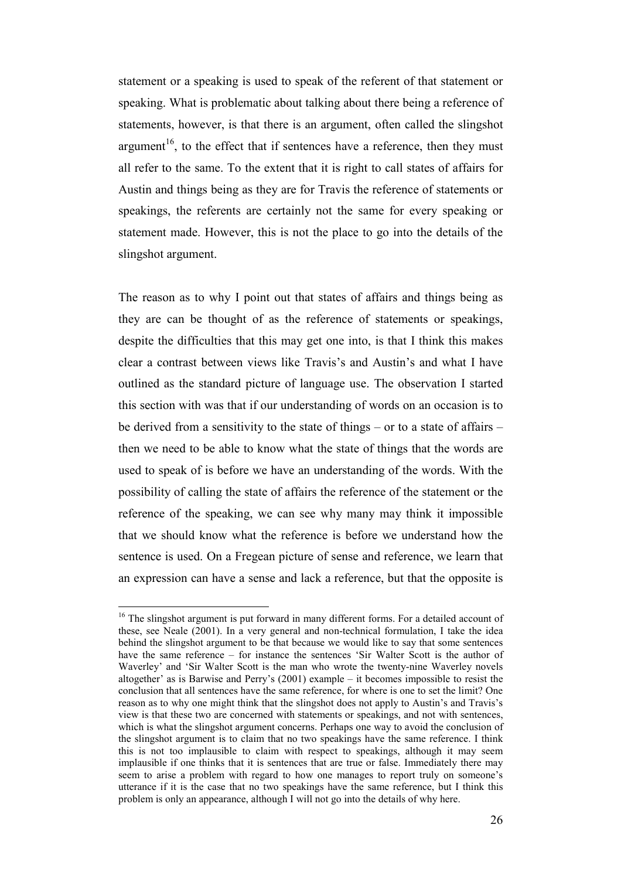statement or a speaking is used to speak of the referent of that statement or speaking. What is problematic about talking about there being a reference of statements, however, is that there is an argument, often called the slingshot argument<sup>16</sup>, to the effect that if sentences have a reference, then they must all refer to the same. To the extent that it is right to call states of affairs for Austin and things being as they are for Travis the reference of statements or speakings, the referents are certainly not the same for every speaking or statement made. However, this is not the place to go into the details of the slingshot argument.

The reason as to why I point out that states of affairs and things being as they are can be thought of as the reference of statements or speakings, despite the difficulties that this may get one into, is that I think this makes clear a contrast between views like Travis's and Austin's and what I have outlined as the standard picture of language use. The observation I started this section with was that if our understanding of words on an occasion is to be derived from a sensitivity to the state of things – or to a state of affairs – then we need to be able to know what the state of things that the words are used to speak of is before we have an understanding of the words. With the possibility of calling the state of affairs the reference of the statement or the reference of the speaking, we can see why many may think it impossible that we should know what the reference is before we understand how the sentence is used. On a Fregean picture of sense and reference, we learn that an expression can have a sense and lack a reference, but that the opposite is

<sup>&</sup>lt;sup>16</sup> The slingshot argument is put forward in many different forms. For a detailed account of these, see Neale (2001). In a very general and non-technical formulation, I take the idea behind the slingshot argument to be that because we would like to say that some sentences have the same reference – for instance the sentences 'Sir Walter Scott is the author of Waverley' and 'Sir Walter Scott is the man who wrote the twenty-nine Waverley novels altogether' as is Barwise and Perry's (2001) example – it becomes impossible to resist the conclusion that all sentences have the same reference, for where is one to set the limit? One reason as to why one might think that the slingshot does not apply to Austin's and Travis's view is that these two are concerned with statements or speakings, and not with sentences, which is what the slingshot argument concerns. Perhaps one way to avoid the conclusion of the slingshot argument is to claim that no two speakings have the same reference. I think this is not too implausible to claim with respect to speakings, although it may seem implausible if one thinks that it is sentences that are true or false. Immediately there may seem to arise a problem with regard to how one manages to report truly on someone's utterance if it is the case that no two speakings have the same reference, but I think this problem is only an appearance, although I will not go into the details of why here.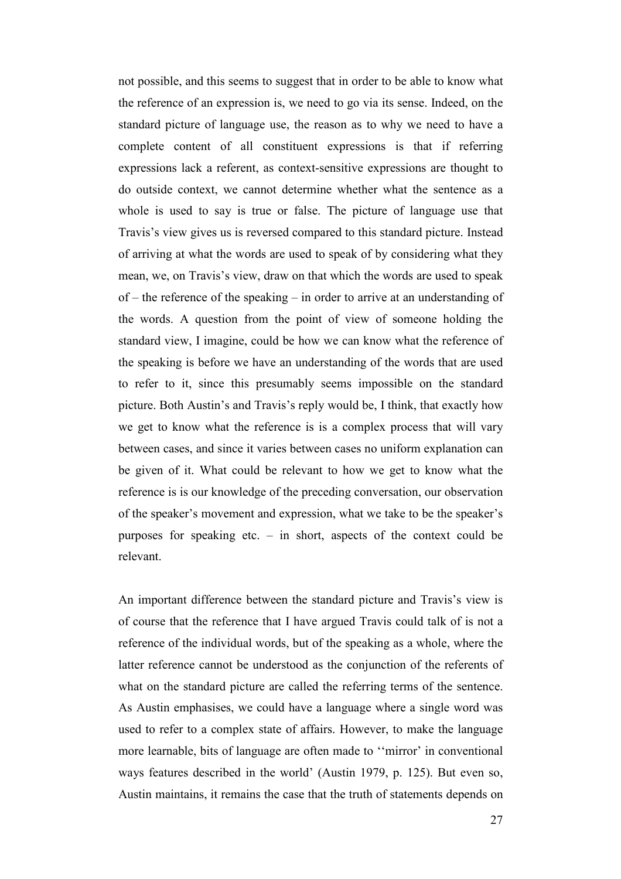not possible, and this seems to suggest that in order to be able to know what the reference of an expression is, we need to go via its sense. Indeed, on the standard picture of language use, the reason as to why we need to have a complete content of all constituent expressions is that if referring expressions lack a referent, as context-sensitive expressions are thought to do outside context, we cannot determine whether what the sentence as a whole is used to say is true or false. The picture of language use that Travis's view gives us is reversed compared to this standard picture. Instead of arriving at what the words are used to speak of by considering what they mean, we, on Travis's view, draw on that which the words are used to speak of – the reference of the speaking – in order to arrive at an understanding of the words. A question from the point of view of someone holding the standard view, I imagine, could be how we can know what the reference of the speaking is before we have an understanding of the words that are used to refer to it, since this presumably seems impossible on the standard picture. Both Austin's and Travis's reply would be, I think, that exactly how we get to know what the reference is is a complex process that will vary between cases, and since it varies between cases no uniform explanation can be given of it. What could be relevant to how we get to know what the reference is is our knowledge of the preceding conversation, our observation of the speaker's movement and expression, what we take to be the speaker's purposes for speaking etc.  $-$  in short, aspects of the context could be relevant.

An important difference between the standard picture and Travis's view is of course that the reference that I have argued Travis could talk of is not a reference of the individual words, but of the speaking as a whole, where the latter reference cannot be understood as the conjunction of the referents of what on the standard picture are called the referring terms of the sentence. As Austin emphasises, we could have a language where a single word was used to refer to a complex state of affairs. However, to make the language more learnable, bits of language are often made to ''mirror' in conventional ways features described in the world' (Austin 1979, p. 125). But even so, Austin maintains, it remains the case that the truth of statements depends on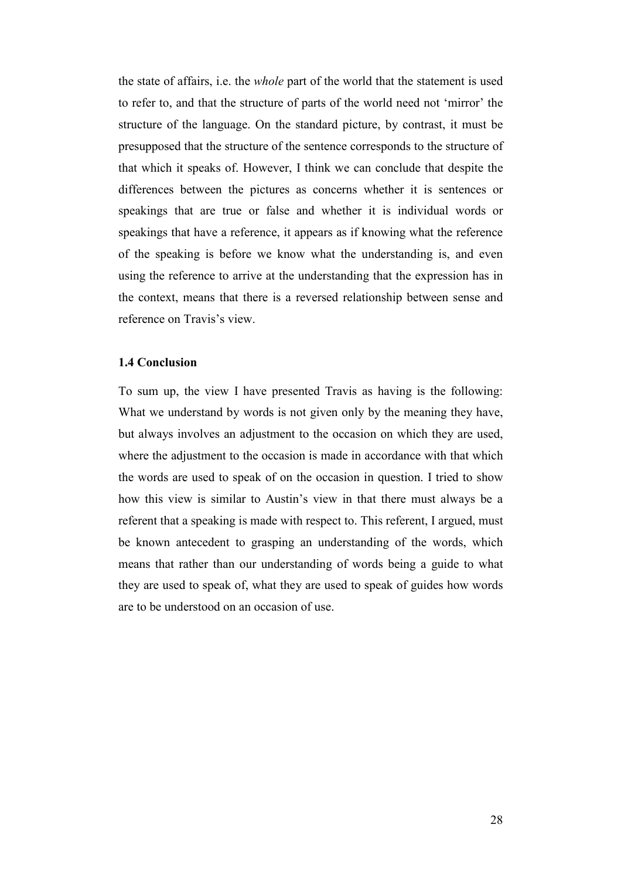the state of affairs, i.e. the *whole* part of the world that the statement is used to refer to, and that the structure of parts of the world need not 'mirror' the structure of the language. On the standard picture, by contrast, it must be presupposed that the structure of the sentence corresponds to the structure of that which it speaks of. However, I think we can conclude that despite the differences between the pictures as concerns whether it is sentences or speakings that are true or false and whether it is individual words or speakings that have a reference, it appears as if knowing what the reference of the speaking is before we know what the understanding is, and even using the reference to arrive at the understanding that the expression has in the context, means that there is a reversed relationship between sense and reference on Travis's view.

#### **1.4 Conclusion**

To sum up, the view I have presented Travis as having is the following: What we understand by words is not given only by the meaning they have, but always involves an adjustment to the occasion on which they are used, where the adjustment to the occasion is made in accordance with that which the words are used to speak of on the occasion in question. I tried to show how this view is similar to Austin's view in that there must always be a referent that a speaking is made with respect to. This referent, I argued, must be known antecedent to grasping an understanding of the words, which means that rather than our understanding of words being a guide to what they are used to speak of, what they are used to speak of guides how words are to be understood on an occasion of use.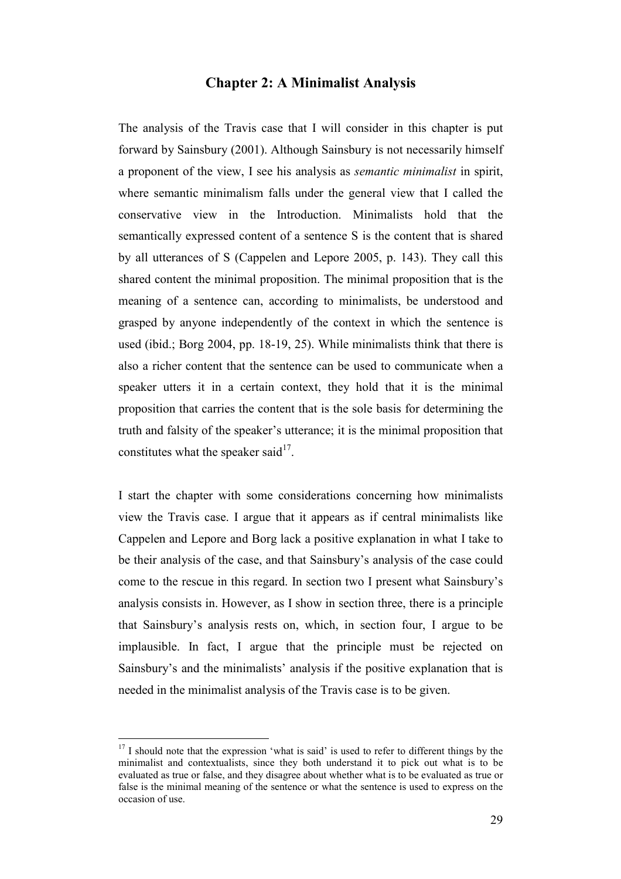## **Chapter 2: A Minimalist Analysis**

The analysis of the Travis case that I will consider in this chapter is put forward by Sainsbury (2001). Although Sainsbury is not necessarily himself a proponent of the view, I see his analysis as *semantic minimalist* in spirit, where semantic minimalism falls under the general view that I called the conservative view in the Introduction. Minimalists hold that the semantically expressed content of a sentence S is the content that is shared by all utterances of S (Cappelen and Lepore 2005, p. 143). They call this shared content the minimal proposition. The minimal proposition that is the meaning of a sentence can, according to minimalists, be understood and grasped by anyone independently of the context in which the sentence is used (ibid.; Borg 2004, pp. 18-19, 25). While minimalists think that there is also a richer content that the sentence can be used to communicate when a speaker utters it in a certain context, they hold that it is the minimal proposition that carries the content that is the sole basis for determining the truth and falsity of the speaker's utterance; it is the minimal proposition that constitutes what the speaker said $17$ .

I start the chapter with some considerations concerning how minimalists view the Travis case. I argue that it appears as if central minimalists like Cappelen and Lepore and Borg lack a positive explanation in what I take to be their analysis of the case, and that Sainsbury's analysis of the case could come to the rescue in this regard. In section two I present what Sainsbury's analysis consists in. However, as I show in section three, there is a principle that Sainsbury's analysis rests on, which, in section four, I argue to be implausible. In fact, I argue that the principle must be rejected on Sainsbury's and the minimalists' analysis if the positive explanation that is needed in the minimalist analysis of the Travis case is to be given.

 $17$  I should note that the expression 'what is said' is used to refer to different things by the minimalist and contextualists, since they both understand it to pick out what is to be evaluated as true or false, and they disagree about whether what is to be evaluated as true or false is the minimal meaning of the sentence or what the sentence is used to express on the occasion of use.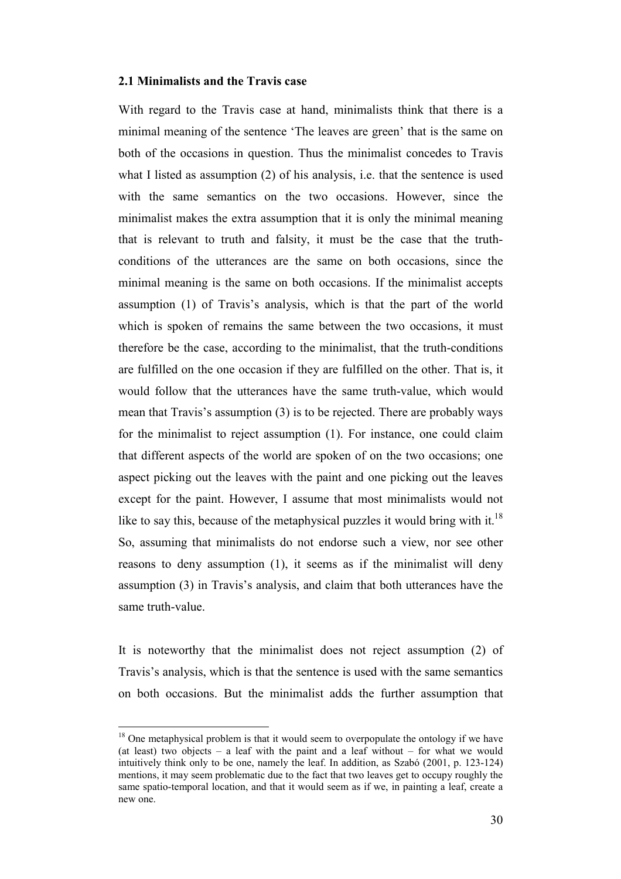#### **2.1 Minimalists and the Travis case**

With regard to the Travis case at hand, minimalists think that there is a minimal meaning of the sentence 'The leaves are green' that is the same on both of the occasions in question. Thus the minimalist concedes to Travis what I listed as assumption (2) of his analysis, i.e. that the sentence is used with the same semantics on the two occasions. However, since the minimalist makes the extra assumption that it is only the minimal meaning that is relevant to truth and falsity, it must be the case that the truthconditions of the utterances are the same on both occasions, since the minimal meaning is the same on both occasions. If the minimalist accepts assumption (1) of Travis's analysis, which is that the part of the world which is spoken of remains the same between the two occasions, it must therefore be the case, according to the minimalist, that the truth-conditions are fulfilled on the one occasion if they are fulfilled on the other. That is, it would follow that the utterances have the same truth-value, which would mean that Travis's assumption (3) is to be rejected. There are probably ways for the minimalist to reject assumption (1). For instance, one could claim that different aspects of the world are spoken of on the two occasions; one aspect picking out the leaves with the paint and one picking out the leaves except for the paint. However, I assume that most minimalists would not like to say this, because of the metaphysical puzzles it would bring with it.<sup>18</sup> So, assuming that minimalists do not endorse such a view, nor see other reasons to deny assumption (1), it seems as if the minimalist will deny assumption (3) in Travis's analysis, and claim that both utterances have the same truth-value.

It is noteworthy that the minimalist does not reject assumption (2) of Travis's analysis, which is that the sentence is used with the same semantics on both occasions. But the minimalist adds the further assumption that

 $18$  One metaphysical problem is that it would seem to overpopulate the ontology if we have (at least) two objects – a leaf with the paint and a leaf without – for what we would intuitively think only to be one, namely the leaf. In addition, as Szabó (2001, p. 123-124) mentions, it may seem problematic due to the fact that two leaves get to occupy roughly the same spatio-temporal location, and that it would seem as if we, in painting a leaf, create a new one.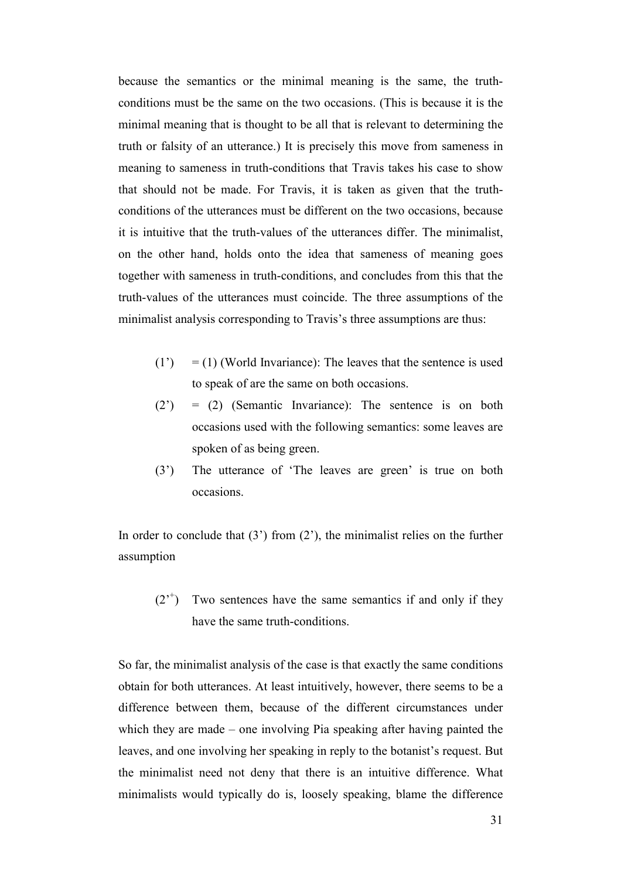because the semantics or the minimal meaning is the same, the truthconditions must be the same on the two occasions. (This is because it is the minimal meaning that is thought to be all that is relevant to determining the truth or falsity of an utterance.) It is precisely this move from sameness in meaning to sameness in truth-conditions that Travis takes his case to show that should not be made. For Travis, it is taken as given that the truthconditions of the utterances must be different on the two occasions, because it is intuitive that the truth-values of the utterances differ. The minimalist, on the other hand, holds onto the idea that sameness of meaning goes together with sameness in truth-conditions, and concludes from this that the truth-values of the utterances must coincide. The three assumptions of the minimalist analysis corresponding to Travis's three assumptions are thus:

- $(1') = (1)$  (World Invariance): The leaves that the sentence is used to speak of are the same on both occasions.
- (2') = (2) (Semantic Invariance): The sentence is on both occasions used with the following semantics: some leaves are spoken of as being green.
- (3') The utterance of 'The leaves are green' is true on both occasions.

In order to conclude that  $(3')$  from  $(2')$ , the minimalist relies on the further assumption

 $(2<sup>+</sup>)$  Two sentences have the same semantics if and only if they have the same truth-conditions.

So far, the minimalist analysis of the case is that exactly the same conditions obtain for both utterances. At least intuitively, however, there seems to be a difference between them, because of the different circumstances under which they are made – one involving Pia speaking after having painted the leaves, and one involving her speaking in reply to the botanist's request. But the minimalist need not deny that there is an intuitive difference. What minimalists would typically do is, loosely speaking, blame the difference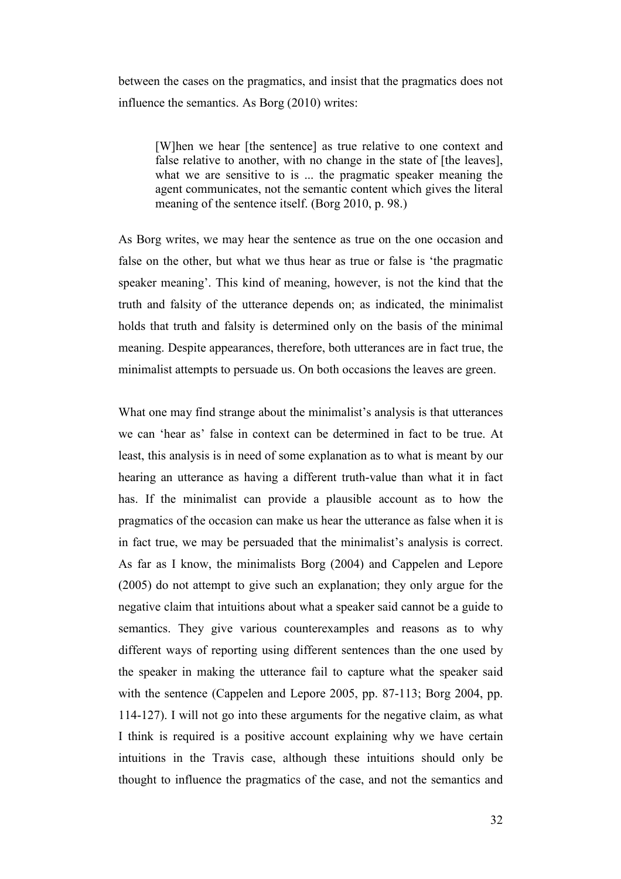between the cases on the pragmatics, and insist that the pragmatics does not influence the semantics. As Borg (2010) writes:

[W]hen we hear [the sentence] as true relative to one context and false relative to another, with no change in the state of [the leaves], what we are sensitive to is ... the pragmatic speaker meaning the agent communicates, not the semantic content which gives the literal meaning of the sentence itself. (Borg 2010, p. 98.)

As Borg writes, we may hear the sentence as true on the one occasion and false on the other, but what we thus hear as true or false is 'the pragmatic speaker meaning'. This kind of meaning, however, is not the kind that the truth and falsity of the utterance depends on; as indicated, the minimalist holds that truth and falsity is determined only on the basis of the minimal meaning. Despite appearances, therefore, both utterances are in fact true, the minimalist attempts to persuade us. On both occasions the leaves are green.

What one may find strange about the minimalist's analysis is that utterances we can 'hear as' false in context can be determined in fact to be true. At least, this analysis is in need of some explanation as to what is meant by our hearing an utterance as having a different truth-value than what it in fact has. If the minimalist can provide a plausible account as to how the pragmatics of the occasion can make us hear the utterance as false when it is in fact true, we may be persuaded that the minimalist's analysis is correct. As far as I know, the minimalists Borg (2004) and Cappelen and Lepore (2005) do not attempt to give such an explanation; they only argue for the negative claim that intuitions about what a speaker said cannot be a guide to semantics. They give various counterexamples and reasons as to why different ways of reporting using different sentences than the one used by the speaker in making the utterance fail to capture what the speaker said with the sentence (Cappelen and Lepore 2005, pp. 87-113; Borg 2004, pp. 114-127). I will not go into these arguments for the negative claim, as what I think is required is a positive account explaining why we have certain intuitions in the Travis case, although these intuitions should only be thought to influence the pragmatics of the case, and not the semantics and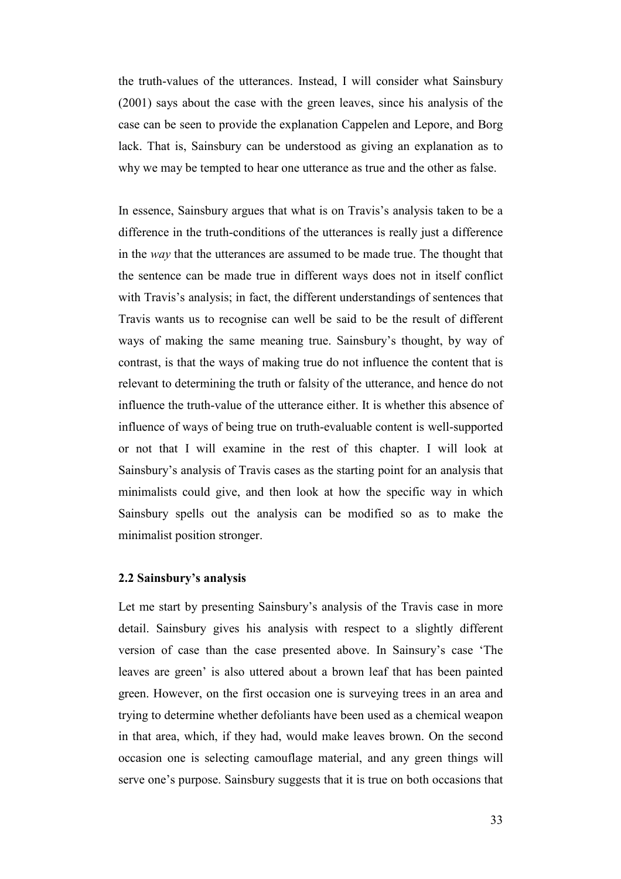the truth-values of the utterances. Instead, I will consider what Sainsbury (2001) says about the case with the green leaves, since his analysis of the case can be seen to provide the explanation Cappelen and Lepore, and Borg lack. That is, Sainsbury can be understood as giving an explanation as to why we may be tempted to hear one utterance as true and the other as false.

In essence, Sainsbury argues that what is on Travis's analysis taken to be a difference in the truth-conditions of the utterances is really just a difference in the *way* that the utterances are assumed to be made true. The thought that the sentence can be made true in different ways does not in itself conflict with Travis's analysis; in fact, the different understandings of sentences that Travis wants us to recognise can well be said to be the result of different ways of making the same meaning true. Sainsbury's thought, by way of contrast, is that the ways of making true do not influence the content that is relevant to determining the truth or falsity of the utterance, and hence do not influence the truth-value of the utterance either. It is whether this absence of influence of ways of being true on truth-evaluable content is well-supported or not that I will examine in the rest of this chapter. I will look at Sainsbury's analysis of Travis cases as the starting point for an analysis that minimalists could give, and then look at how the specific way in which Sainsbury spells out the analysis can be modified so as to make the minimalist position stronger.

## **2.2 Sainsbury's analysis**

Let me start by presenting Sainsbury's analysis of the Travis case in more detail. Sainsbury gives his analysis with respect to a slightly different version of case than the case presented above. In Sainsury's case 'The leaves are green' is also uttered about a brown leaf that has been painted green. However, on the first occasion one is surveying trees in an area and trying to determine whether defoliants have been used as a chemical weapon in that area, which, if they had, would make leaves brown. On the second occasion one is selecting camouflage material, and any green things will serve one's purpose. Sainsbury suggests that it is true on both occasions that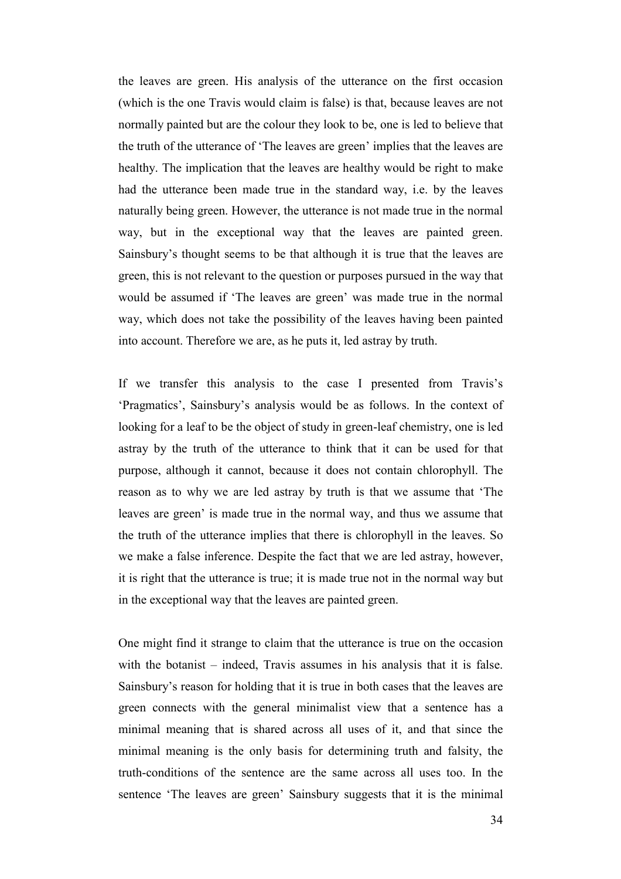the leaves are green. His analysis of the utterance on the first occasion (which is the one Travis would claim is false) is that, because leaves are not normally painted but are the colour they look to be, one is led to believe that the truth of the utterance of 'The leaves are green' implies that the leaves are healthy. The implication that the leaves are healthy would be right to make had the utterance been made true in the standard way, i.e. by the leaves naturally being green. However, the utterance is not made true in the normal way, but in the exceptional way that the leaves are painted green. Sainsbury's thought seems to be that although it is true that the leaves are green, this is not relevant to the question or purposes pursued in the way that would be assumed if 'The leaves are green' was made true in the normal way, which does not take the possibility of the leaves having been painted into account. Therefore we are, as he puts it, led astray by truth.

If we transfer this analysis to the case I presented from Travis's 'Pragmatics', Sainsbury's analysis would be as follows. In the context of looking for a leaf to be the object of study in green-leaf chemistry, one is led astray by the truth of the utterance to think that it can be used for that purpose, although it cannot, because it does not contain chlorophyll. The reason as to why we are led astray by truth is that we assume that 'The leaves are green' is made true in the normal way, and thus we assume that the truth of the utterance implies that there is chlorophyll in the leaves. So we make a false inference. Despite the fact that we are led astray, however, it is right that the utterance is true; it is made true not in the normal way but in the exceptional way that the leaves are painted green.

One might find it strange to claim that the utterance is true on the occasion with the botanist – indeed, Travis assumes in his analysis that it is false. Sainsbury's reason for holding that it is true in both cases that the leaves are green connects with the general minimalist view that a sentence has a minimal meaning that is shared across all uses of it, and that since the minimal meaning is the only basis for determining truth and falsity, the truth-conditions of the sentence are the same across all uses too. In the sentence 'The leaves are green' Sainsbury suggests that it is the minimal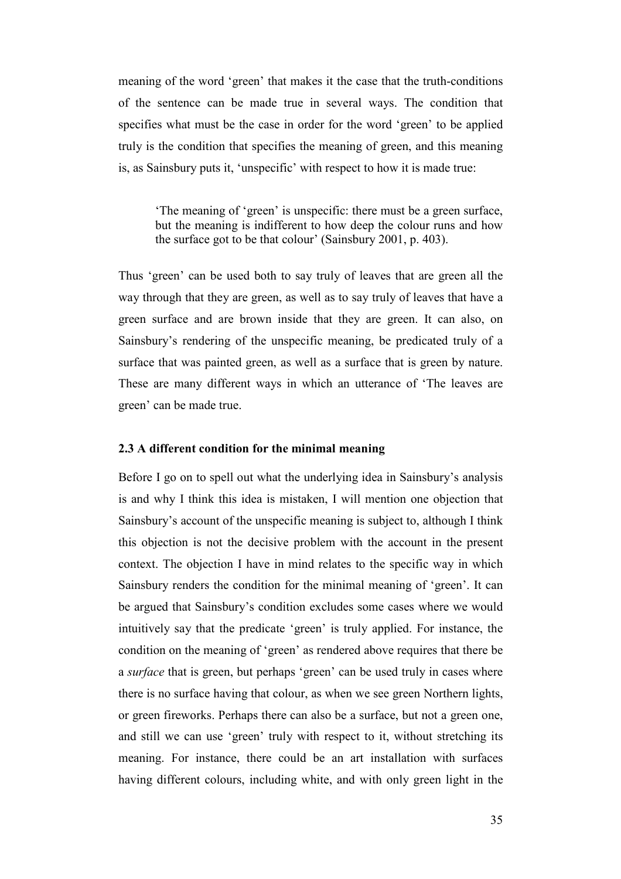meaning of the word 'green' that makes it the case that the truth-conditions of the sentence can be made true in several ways. The condition that specifies what must be the case in order for the word 'green' to be applied truly is the condition that specifies the meaning of green, and this meaning is, as Sainsbury puts it, 'unspecific' with respect to how it is made true:

'The meaning of 'green' is unspecific: there must be a green surface, but the meaning is indifferent to how deep the colour runs and how the surface got to be that colour' (Sainsbury 2001, p. 403).

Thus 'green' can be used both to say truly of leaves that are green all the way through that they are green, as well as to say truly of leaves that have a green surface and are brown inside that they are green. It can also, on Sainsbury's rendering of the unspecific meaning, be predicated truly of a surface that was painted green, as well as a surface that is green by nature. These are many different ways in which an utterance of 'The leaves are green' can be made true.

#### **2.3 A different condition for the minimal meaning**

Before I go on to spell out what the underlying idea in Sainsbury's analysis is and why I think this idea is mistaken, I will mention one objection that Sainsbury's account of the unspecific meaning is subject to, although I think this objection is not the decisive problem with the account in the present context. The objection I have in mind relates to the specific way in which Sainsbury renders the condition for the minimal meaning of 'green'. It can be argued that Sainsbury's condition excludes some cases where we would intuitively say that the predicate 'green' is truly applied. For instance, the condition on the meaning of 'green' as rendered above requires that there be a *surface* that is green, but perhaps 'green' can be used truly in cases where there is no surface having that colour, as when we see green Northern lights, or green fireworks. Perhaps there can also be a surface, but not a green one, and still we can use 'green' truly with respect to it, without stretching its meaning. For instance, there could be an art installation with surfaces having different colours, including white, and with only green light in the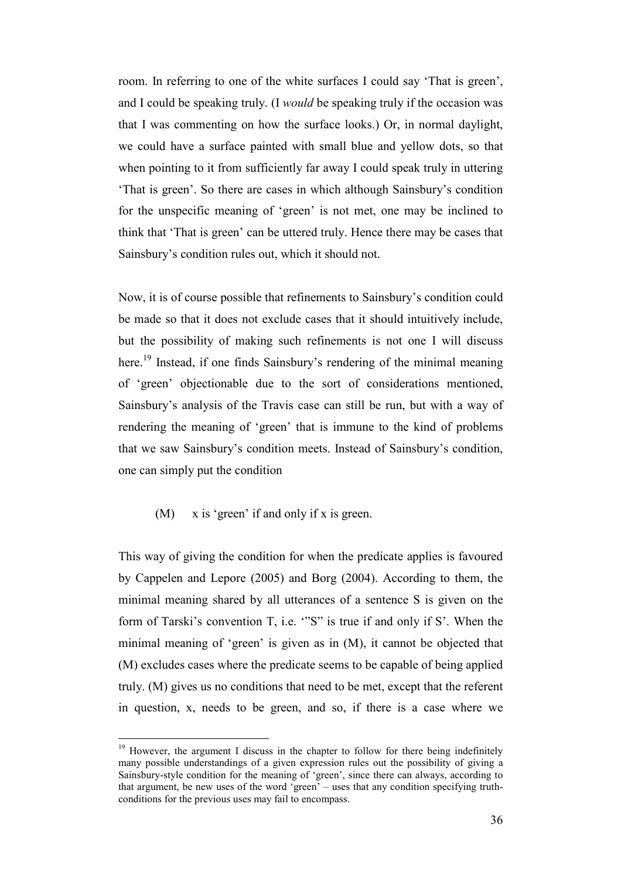room. In referring to one of the white surfaces I could say 'That is green', and I could be speaking truly. (I *would* be speaking truly if the occasion was that I was commenting on how the surface looks.) Or, in normal daylight, we could have a surface painted with small blue and yellow dots, so that when pointing to it from sufficiently far away I could speak truly in uttering 'That is green'. So there are cases in which although Sainsbury's condition for the unspecific meaning of 'green' is not met, one may be inclined to think that 'That is green' can be uttered truly. Hence there may be cases that Sainsbury's condition rules out, which it should not.

Now, it is of course possible that refinements to Sainsbury's condition could be made so that it does not exclude cases that it should intuitively include, but the possibility of making such refinements is not one I will discuss here.<sup>19</sup> Instead, if one finds Sainsbury's rendering of the minimal meaning of 'green' objectionable due to the sort of considerations mentioned, Sainsbury's analysis of the Travis case can still be run, but with a way of rendering the meaning of 'green' that is immune to the kind of problems that we saw Sainsbury's condition meets. Instead of Sainsbury's condition, one can simply put the condition

 $(M)$  x is 'green' if and only if x is green.

 $\overline{a}$ 

This way of giving the condition for when the predicate applies is favoured by Cappelen and Lepore (2005) and Borg (2004). According to them, the minimal meaning shared by all utterances of a sentence S is given on the form of Tarski's convention T, i.e. '"S" is true if and only if S'. When the minimal meaning of 'green' is given as in (M), it cannot be objected that (M) excludes cases where the predicate seems to be capable of being applied truly. (M) gives us no conditions that need to be met, except that the referent in question, x, needs to be green, and so, if there is a case where we

<sup>&</sup>lt;sup>19</sup> However, the argument I discuss in the chapter to follow for there being indefinitely many possible understandings of a given expression rules out the possibility of giving a Sainsbury-style condition for the meaning of 'green', since there can always, according to that argument, be new uses of the word 'green' – uses that any condition specifying truthconditions for the previous uses may fail to encompass.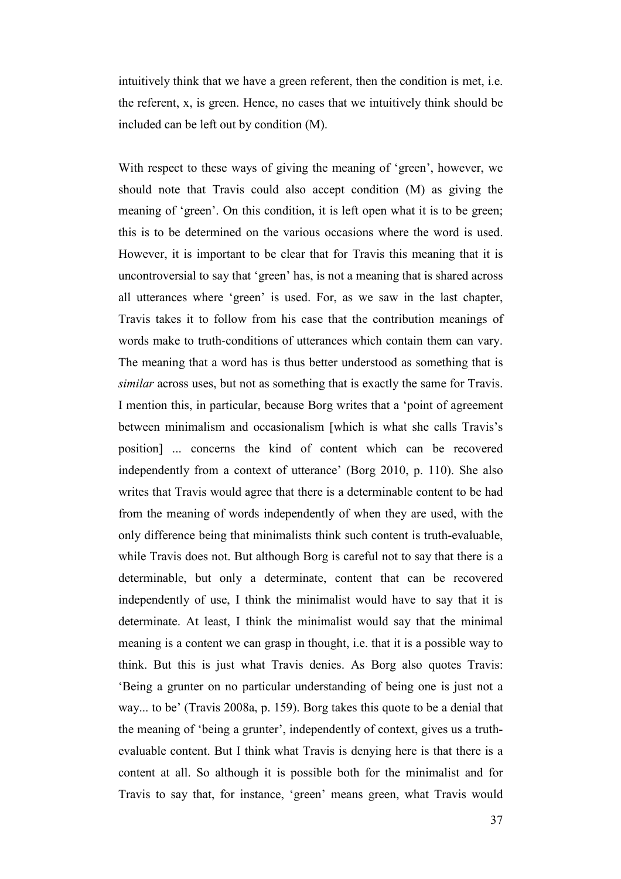intuitively think that we have a green referent, then the condition is met, i.e. the referent, x, is green. Hence, no cases that we intuitively think should be included can be left out by condition (M).

With respect to these ways of giving the meaning of 'green', however, we should note that Travis could also accept condition (M) as giving the meaning of 'green'. On this condition, it is left open what it is to be green; this is to be determined on the various occasions where the word is used. However, it is important to be clear that for Travis this meaning that it is uncontroversial to say that 'green' has, is not a meaning that is shared across all utterances where 'green' is used. For, as we saw in the last chapter, Travis takes it to follow from his case that the contribution meanings of words make to truth-conditions of utterances which contain them can vary. The meaning that a word has is thus better understood as something that is *similar* across uses, but not as something that is exactly the same for Travis. I mention this, in particular, because Borg writes that a 'point of agreement between minimalism and occasionalism [which is what she calls Travis's position] ... concerns the kind of content which can be recovered independently from a context of utterance' (Borg 2010, p. 110). She also writes that Travis would agree that there is a determinable content to be had from the meaning of words independently of when they are used, with the only difference being that minimalists think such content is truth-evaluable, while Travis does not. But although Borg is careful not to say that there is a determinable, but only a determinate, content that can be recovered independently of use, I think the minimalist would have to say that it is determinate. At least, I think the minimalist would say that the minimal meaning is a content we can grasp in thought, i.e. that it is a possible way to think. But this is just what Travis denies. As Borg also quotes Travis: 'Being a grunter on no particular understanding of being one is just not a way... to be' (Travis 2008a, p. 159). Borg takes this quote to be a denial that the meaning of 'being a grunter', independently of context, gives us a truthevaluable content. But I think what Travis is denying here is that there is a content at all. So although it is possible both for the minimalist and for Travis to say that, for instance, 'green' means green, what Travis would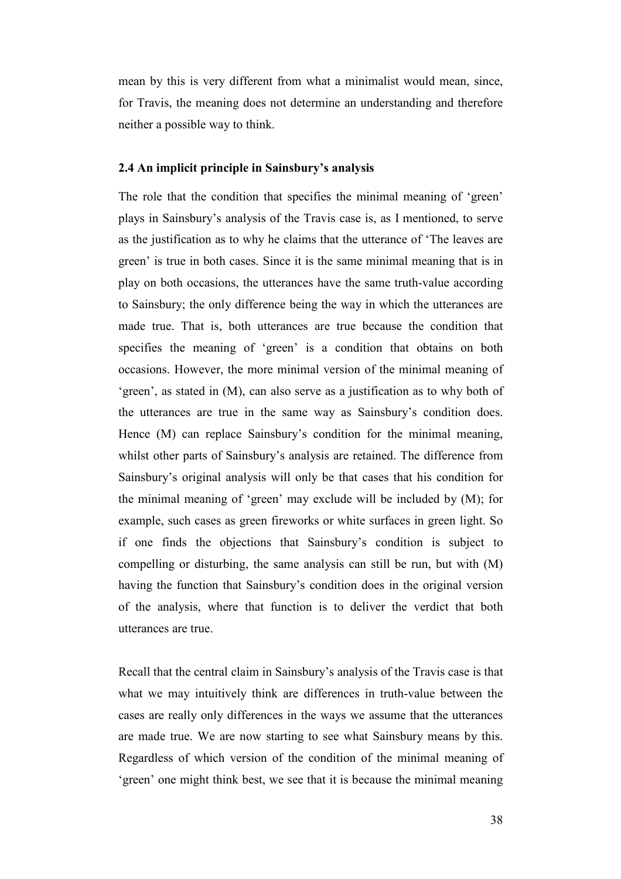mean by this is very different from what a minimalist would mean, since, for Travis, the meaning does not determine an understanding and therefore neither a possible way to think.

#### **2.4 An implicit principle in Sainsbury's analysis**

The role that the condition that specifies the minimal meaning of 'green' plays in Sainsbury's analysis of the Travis case is, as I mentioned, to serve as the justification as to why he claims that the utterance of 'The leaves are green' is true in both cases. Since it is the same minimal meaning that is in play on both occasions, the utterances have the same truth-value according to Sainsbury; the only difference being the way in which the utterances are made true. That is, both utterances are true because the condition that specifies the meaning of 'green' is a condition that obtains on both occasions. However, the more minimal version of the minimal meaning of 'green', as stated in (M), can also serve as a justification as to why both of the utterances are true in the same way as Sainsbury's condition does. Hence (M) can replace Sainsbury's condition for the minimal meaning, whilst other parts of Sainsbury's analysis are retained. The difference from Sainsbury's original analysis will only be that cases that his condition for the minimal meaning of 'green' may exclude will be included by (M); for example, such cases as green fireworks or white surfaces in green light. So if one finds the objections that Sainsbury's condition is subject to compelling or disturbing, the same analysis can still be run, but with (M) having the function that Sainsbury's condition does in the original version of the analysis, where that function is to deliver the verdict that both utterances are true.

Recall that the central claim in Sainsbury's analysis of the Travis case is that what we may intuitively think are differences in truth-value between the cases are really only differences in the ways we assume that the utterances are made true. We are now starting to see what Sainsbury means by this. Regardless of which version of the condition of the minimal meaning of 'green' one might think best, we see that it is because the minimal meaning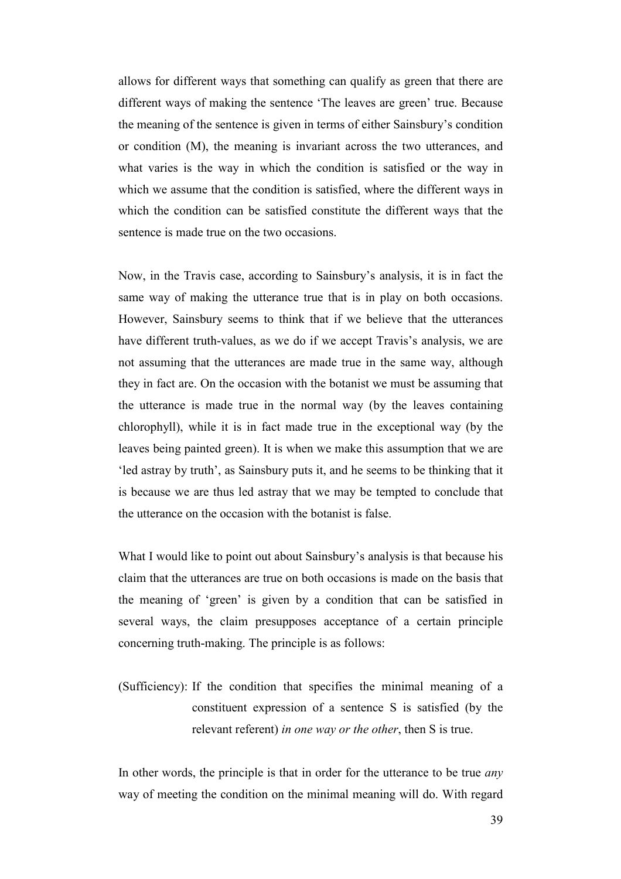allows for different ways that something can qualify as green that there are different ways of making the sentence 'The leaves are green' true. Because the meaning of the sentence is given in terms of either Sainsbury's condition or condition (M), the meaning is invariant across the two utterances, and what varies is the way in which the condition is satisfied or the way in which we assume that the condition is satisfied, where the different ways in which the condition can be satisfied constitute the different ways that the sentence is made true on the two occasions.

Now, in the Travis case, according to Sainsbury's analysis, it is in fact the same way of making the utterance true that is in play on both occasions. However, Sainsbury seems to think that if we believe that the utterances have different truth-values, as we do if we accept Travis's analysis, we are not assuming that the utterances are made true in the same way, although they in fact are. On the occasion with the botanist we must be assuming that the utterance is made true in the normal way (by the leaves containing chlorophyll), while it is in fact made true in the exceptional way (by the leaves being painted green). It is when we make this assumption that we are 'led astray by truth', as Sainsbury puts it, and he seems to be thinking that it is because we are thus led astray that we may be tempted to conclude that the utterance on the occasion with the botanist is false.

What I would like to point out about Sainsbury's analysis is that because his claim that the utterances are true on both occasions is made on the basis that the meaning of 'green' is given by a condition that can be satisfied in several ways, the claim presupposes acceptance of a certain principle concerning truth-making. The principle is as follows:

(Sufficiency): If the condition that specifies the minimal meaning of a constituent expression of a sentence S is satisfied (by the relevant referent) *in one way or the other*, then S is true.

In other words, the principle is that in order for the utterance to be true *any* way of meeting the condition on the minimal meaning will do. With regard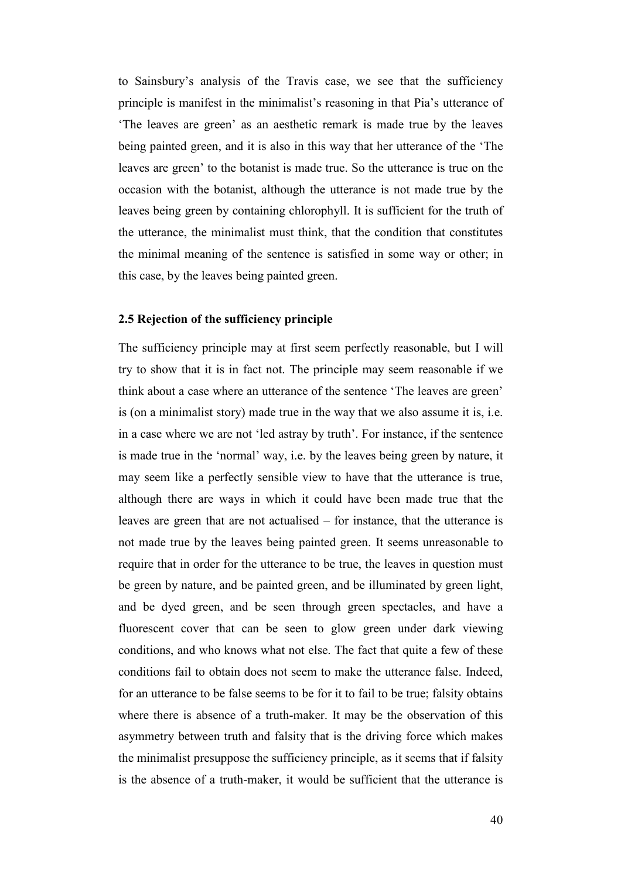to Sainsbury's analysis of the Travis case, we see that the sufficiency principle is manifest in the minimalist's reasoning in that Pia's utterance of 'The leaves are green' as an aesthetic remark is made true by the leaves being painted green, and it is also in this way that her utterance of the 'The leaves are green' to the botanist is made true. So the utterance is true on the occasion with the botanist, although the utterance is not made true by the leaves being green by containing chlorophyll. It is sufficient for the truth of the utterance, the minimalist must think, that the condition that constitutes the minimal meaning of the sentence is satisfied in some way or other; in this case, by the leaves being painted green.

#### **2.5 Rejection of the sufficiency principle**

The sufficiency principle may at first seem perfectly reasonable, but I will try to show that it is in fact not. The principle may seem reasonable if we think about a case where an utterance of the sentence 'The leaves are green' is (on a minimalist story) made true in the way that we also assume it is, i.e. in a case where we are not 'led astray by truth'. For instance, if the sentence is made true in the 'normal' way, i.e. by the leaves being green by nature, it may seem like a perfectly sensible view to have that the utterance is true, although there are ways in which it could have been made true that the leaves are green that are not actualised – for instance, that the utterance is not made true by the leaves being painted green. It seems unreasonable to require that in order for the utterance to be true, the leaves in question must be green by nature, and be painted green, and be illuminated by green light, and be dyed green, and be seen through green spectacles, and have a fluorescent cover that can be seen to glow green under dark viewing conditions, and who knows what not else. The fact that quite a few of these conditions fail to obtain does not seem to make the utterance false. Indeed, for an utterance to be false seems to be for it to fail to be true; falsity obtains where there is absence of a truth-maker. It may be the observation of this asymmetry between truth and falsity that is the driving force which makes the minimalist presuppose the sufficiency principle, as it seems that if falsity is the absence of a truth-maker, it would be sufficient that the utterance is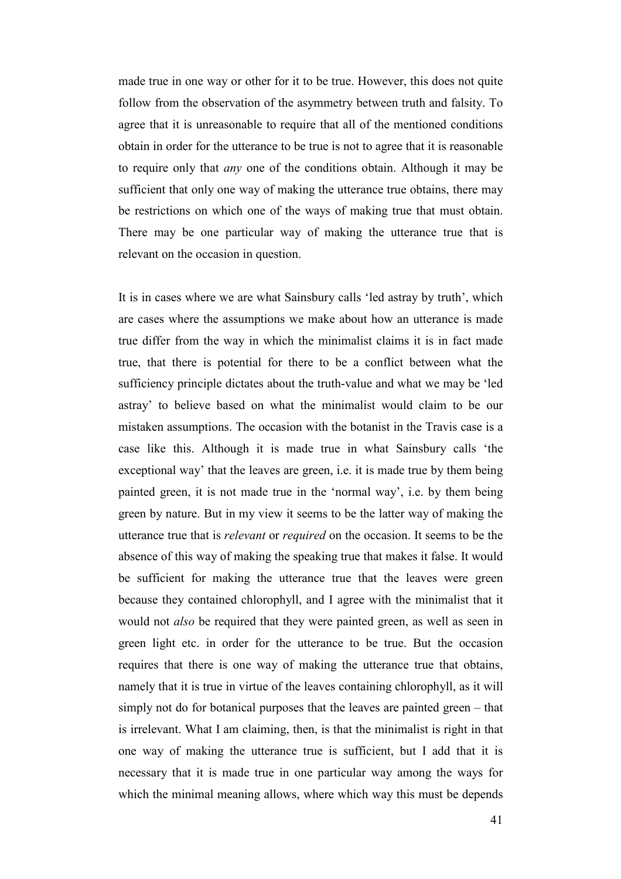made true in one way or other for it to be true. However, this does not quite follow from the observation of the asymmetry between truth and falsity. To agree that it is unreasonable to require that all of the mentioned conditions obtain in order for the utterance to be true is not to agree that it is reasonable to require only that *any* one of the conditions obtain. Although it may be sufficient that only one way of making the utterance true obtains, there may be restrictions on which one of the ways of making true that must obtain. There may be one particular way of making the utterance true that is relevant on the occasion in question.

It is in cases where we are what Sainsbury calls 'led astray by truth', which are cases where the assumptions we make about how an utterance is made true differ from the way in which the minimalist claims it is in fact made true, that there is potential for there to be a conflict between what the sufficiency principle dictates about the truth-value and what we may be 'led astray' to believe based on what the minimalist would claim to be our mistaken assumptions. The occasion with the botanist in the Travis case is a case like this. Although it is made true in what Sainsbury calls 'the exceptional way' that the leaves are green, i.e. it is made true by them being painted green, it is not made true in the 'normal way', i.e. by them being green by nature. But in my view it seems to be the latter way of making the utterance true that is *relevant* or *required* on the occasion. It seems to be the absence of this way of making the speaking true that makes it false. It would be sufficient for making the utterance true that the leaves were green because they contained chlorophyll, and I agree with the minimalist that it would not *also* be required that they were painted green, as well as seen in green light etc. in order for the utterance to be true. But the occasion requires that there is one way of making the utterance true that obtains, namely that it is true in virtue of the leaves containing chlorophyll, as it will simply not do for botanical purposes that the leaves are painted green – that is irrelevant. What I am claiming, then, is that the minimalist is right in that one way of making the utterance true is sufficient, but I add that it is necessary that it is made true in one particular way among the ways for which the minimal meaning allows, where which way this must be depends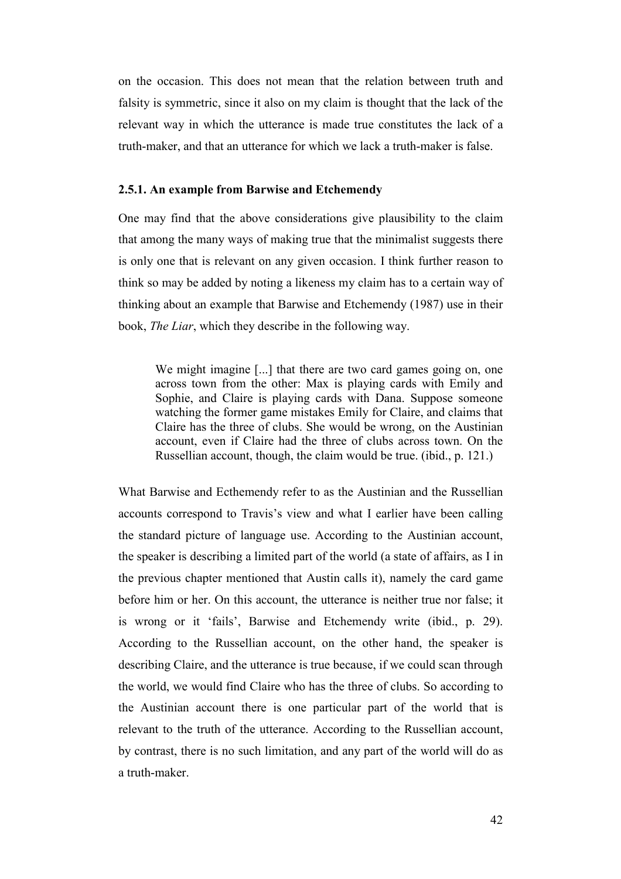on the occasion. This does not mean that the relation between truth and falsity is symmetric, since it also on my claim is thought that the lack of the relevant way in which the utterance is made true constitutes the lack of a truth-maker, and that an utterance for which we lack a truth-maker is false.

#### **2.5.1. An example from Barwise and Etchemendy**

One may find that the above considerations give plausibility to the claim that among the many ways of making true that the minimalist suggests there is only one that is relevant on any given occasion. I think further reason to think so may be added by noting a likeness my claim has to a certain way of thinking about an example that Barwise and Etchemendy (1987) use in their book, *The Liar*, which they describe in the following way.

We might imagine [...] that there are two card games going on, one across town from the other: Max is playing cards with Emily and Sophie, and Claire is playing cards with Dana. Suppose someone watching the former game mistakes Emily for Claire, and claims that Claire has the three of clubs. She would be wrong, on the Austinian account, even if Claire had the three of clubs across town. On the Russellian account, though, the claim would be true. (ibid., p. 121.)

What Barwise and Ecthemendy refer to as the Austinian and the Russellian accounts correspond to Travis's view and what I earlier have been calling the standard picture of language use. According to the Austinian account, the speaker is describing a limited part of the world (a state of affairs, as I in the previous chapter mentioned that Austin calls it), namely the card game before him or her. On this account, the utterance is neither true nor false; it is wrong or it 'fails', Barwise and Etchemendy write (ibid., p. 29). According to the Russellian account, on the other hand, the speaker is describing Claire, and the utterance is true because, if we could scan through the world, we would find Claire who has the three of clubs. So according to the Austinian account there is one particular part of the world that is relevant to the truth of the utterance. According to the Russellian account, by contrast, there is no such limitation, and any part of the world will do as a truth-maker.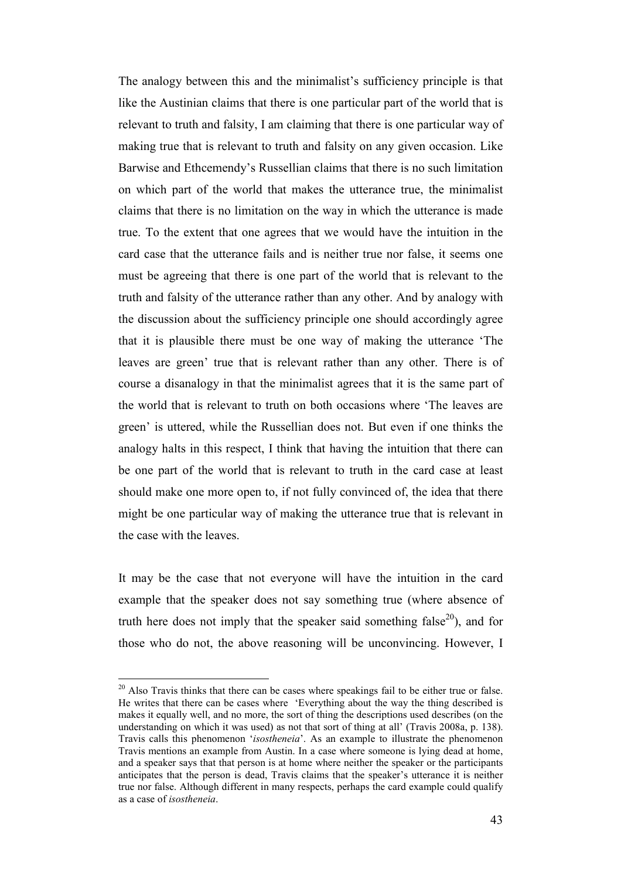The analogy between this and the minimalist's sufficiency principle is that like the Austinian claims that there is one particular part of the world that is relevant to truth and falsity, I am claiming that there is one particular way of making true that is relevant to truth and falsity on any given occasion. Like Barwise and Ethcemendy's Russellian claims that there is no such limitation on which part of the world that makes the utterance true, the minimalist claims that there is no limitation on the way in which the utterance is made true. To the extent that one agrees that we would have the intuition in the card case that the utterance fails and is neither true nor false, it seems one must be agreeing that there is one part of the world that is relevant to the truth and falsity of the utterance rather than any other. And by analogy with the discussion about the sufficiency principle one should accordingly agree that it is plausible there must be one way of making the utterance 'The leaves are green' true that is relevant rather than any other. There is of course a disanalogy in that the minimalist agrees that it is the same part of the world that is relevant to truth on both occasions where 'The leaves are green' is uttered, while the Russellian does not. But even if one thinks the analogy halts in this respect, I think that having the intuition that there can be one part of the world that is relevant to truth in the card case at least should make one more open to, if not fully convinced of, the idea that there might be one particular way of making the utterance true that is relevant in the case with the leaves.

It may be the case that not everyone will have the intuition in the card example that the speaker does not say something true (where absence of truth here does not imply that the speaker said something false<sup>20</sup>), and for those who do not, the above reasoning will be unconvincing. However, I

 $20$  Also Travis thinks that there can be cases where speakings fail to be either true or false. He writes that there can be cases where 'Everything about the way the thing described is makes it equally well, and no more, the sort of thing the descriptions used describes (on the understanding on which it was used) as not that sort of thing at all' (Travis 2008a, p. 138). Travis calls this phenomenon '*isostheneia*'. As an example to illustrate the phenomenon Travis mentions an example from Austin. In a case where someone is lying dead at home, and a speaker says that that person is at home where neither the speaker or the participants anticipates that the person is dead, Travis claims that the speaker's utterance it is neither true nor false. Although different in many respects, perhaps the card example could qualify as a case of *isostheneia*.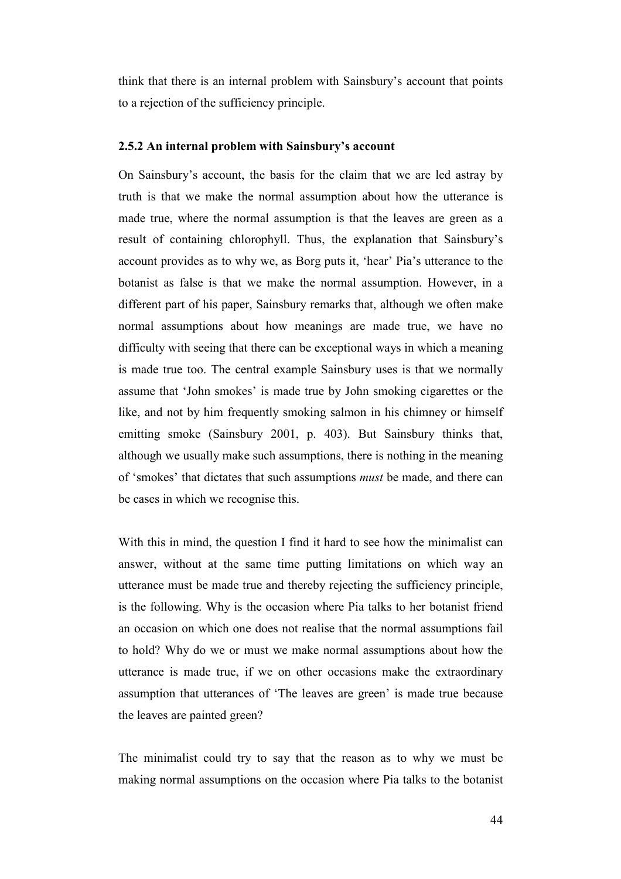think that there is an internal problem with Sainsbury's account that points to a rejection of the sufficiency principle.

#### **2.5.2 An internal problem with Sainsbury's account**

On Sainsbury's account, the basis for the claim that we are led astray by truth is that we make the normal assumption about how the utterance is made true, where the normal assumption is that the leaves are green as a result of containing chlorophyll. Thus, the explanation that Sainsbury's account provides as to why we, as Borg puts it, 'hear' Pia's utterance to the botanist as false is that we make the normal assumption. However, in a different part of his paper, Sainsbury remarks that, although we often make normal assumptions about how meanings are made true, we have no difficulty with seeing that there can be exceptional ways in which a meaning is made true too. The central example Sainsbury uses is that we normally assume that 'John smokes' is made true by John smoking cigarettes or the like, and not by him frequently smoking salmon in his chimney or himself emitting smoke (Sainsbury 2001, p. 403). But Sainsbury thinks that, although we usually make such assumptions, there is nothing in the meaning of 'smokes' that dictates that such assumptions *must* be made, and there can be cases in which we recognise this.

With this in mind, the question I find it hard to see how the minimalist can answer, without at the same time putting limitations on which way an utterance must be made true and thereby rejecting the sufficiency principle, is the following. Why is the occasion where Pia talks to her botanist friend an occasion on which one does not realise that the normal assumptions fail to hold? Why do we or must we make normal assumptions about how the utterance is made true, if we on other occasions make the extraordinary assumption that utterances of 'The leaves are green' is made true because the leaves are painted green?

The minimalist could try to say that the reason as to why we must be making normal assumptions on the occasion where Pia talks to the botanist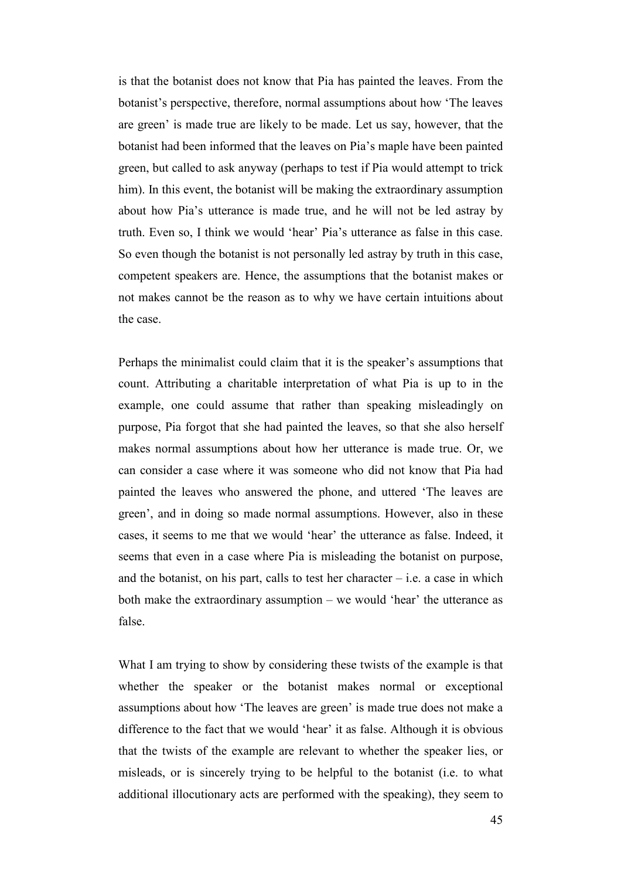is that the botanist does not know that Pia has painted the leaves. From the botanist's perspective, therefore, normal assumptions about how 'The leaves are green' is made true are likely to be made. Let us say, however, that the botanist had been informed that the leaves on Pia's maple have been painted green, but called to ask anyway (perhaps to test if Pia would attempt to trick him). In this event, the botanist will be making the extraordinary assumption about how Pia's utterance is made true, and he will not be led astray by truth. Even so, I think we would 'hear' Pia's utterance as false in this case. So even though the botanist is not personally led astray by truth in this case, competent speakers are. Hence, the assumptions that the botanist makes or not makes cannot be the reason as to why we have certain intuitions about the case.

Perhaps the minimalist could claim that it is the speaker's assumptions that count. Attributing a charitable interpretation of what Pia is up to in the example, one could assume that rather than speaking misleadingly on purpose, Pia forgot that she had painted the leaves, so that she also herself makes normal assumptions about how her utterance is made true. Or, we can consider a case where it was someone who did not know that Pia had painted the leaves who answered the phone, and uttered 'The leaves are green', and in doing so made normal assumptions. However, also in these cases, it seems to me that we would 'hear' the utterance as false. Indeed, it seems that even in a case where Pia is misleading the botanist on purpose, and the botanist, on his part, calls to test her character  $-$  i.e. a case in which both make the extraordinary assumption – we would 'hear' the utterance as false.

What I am trying to show by considering these twists of the example is that whether the speaker or the botanist makes normal or exceptional assumptions about how 'The leaves are green' is made true does not make a difference to the fact that we would 'hear' it as false. Although it is obvious that the twists of the example are relevant to whether the speaker lies, or misleads, or is sincerely trying to be helpful to the botanist (i.e. to what additional illocutionary acts are performed with the speaking), they seem to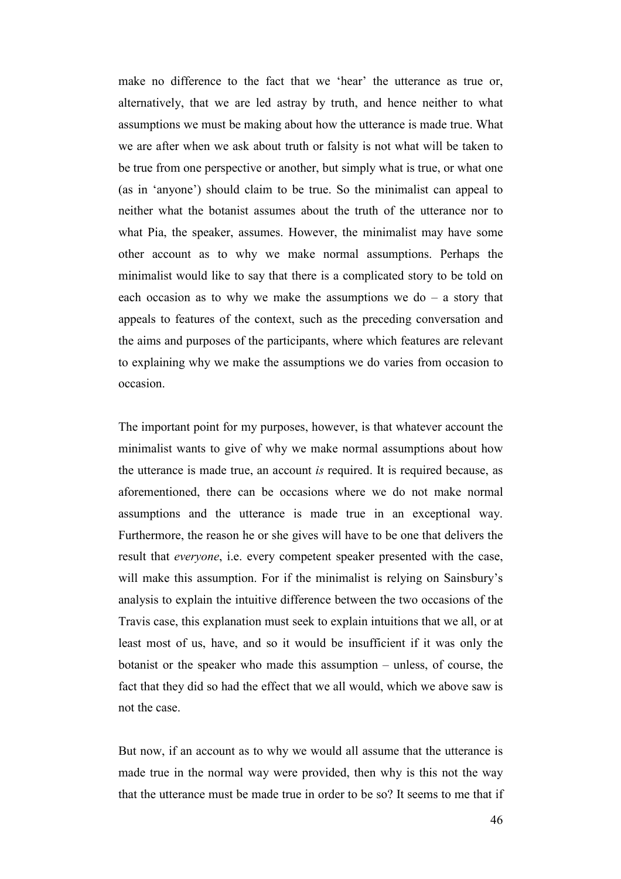make no difference to the fact that we 'hear' the utterance as true or, alternatively, that we are led astray by truth, and hence neither to what assumptions we must be making about how the utterance is made true. What we are after when we ask about truth or falsity is not what will be taken to be true from one perspective or another, but simply what is true, or what one (as in 'anyone') should claim to be true. So the minimalist can appeal to neither what the botanist assumes about the truth of the utterance nor to what Pia, the speaker, assumes. However, the minimalist may have some other account as to why we make normal assumptions. Perhaps the minimalist would like to say that there is a complicated story to be told on each occasion as to why we make the assumptions we do  $-$  a story that appeals to features of the context, such as the preceding conversation and the aims and purposes of the participants, where which features are relevant to explaining why we make the assumptions we do varies from occasion to occasion.

The important point for my purposes, however, is that whatever account the minimalist wants to give of why we make normal assumptions about how the utterance is made true, an account *is* required. It is required because, as aforementioned, there can be occasions where we do not make normal assumptions and the utterance is made true in an exceptional way. Furthermore, the reason he or she gives will have to be one that delivers the result that *everyone*, i.e. every competent speaker presented with the case, will make this assumption. For if the minimalist is relying on Sainsbury's analysis to explain the intuitive difference between the two occasions of the Travis case, this explanation must seek to explain intuitions that we all, or at least most of us, have, and so it would be insufficient if it was only the botanist or the speaker who made this assumption – unless, of course, the fact that they did so had the effect that we all would, which we above saw is not the case.

But now, if an account as to why we would all assume that the utterance is made true in the normal way were provided, then why is this not the way that the utterance must be made true in order to be so? It seems to me that if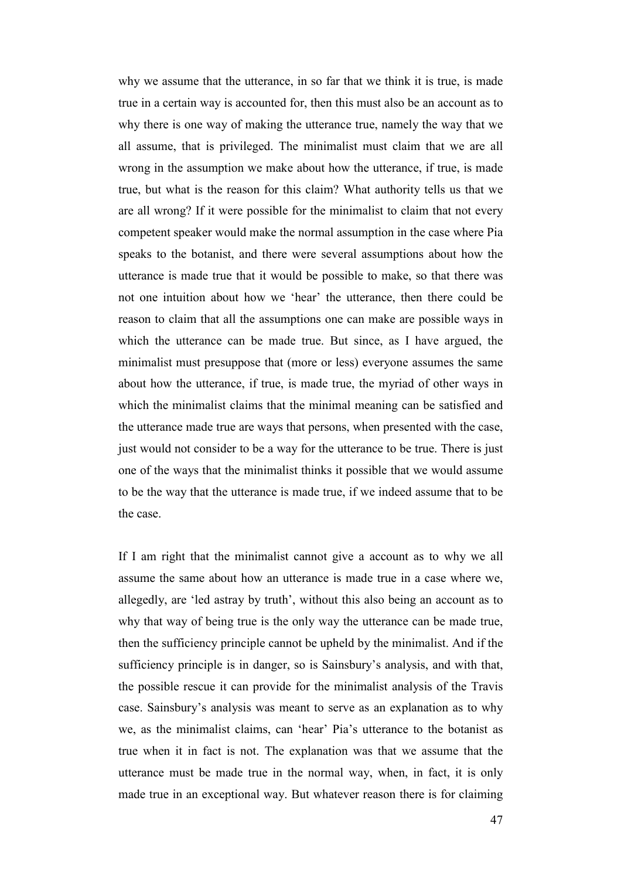why we assume that the utterance, in so far that we think it is true, is made true in a certain way is accounted for, then this must also be an account as to why there is one way of making the utterance true, namely the way that we all assume, that is privileged. The minimalist must claim that we are all wrong in the assumption we make about how the utterance, if true, is made true, but what is the reason for this claim? What authority tells us that we are all wrong? If it were possible for the minimalist to claim that not every competent speaker would make the normal assumption in the case where Pia speaks to the botanist, and there were several assumptions about how the utterance is made true that it would be possible to make, so that there was not one intuition about how we 'hear' the utterance, then there could be reason to claim that all the assumptions one can make are possible ways in which the utterance can be made true. But since, as I have argued, the minimalist must presuppose that (more or less) everyone assumes the same about how the utterance, if true, is made true, the myriad of other ways in which the minimalist claims that the minimal meaning can be satisfied and the utterance made true are ways that persons, when presented with the case, just would not consider to be a way for the utterance to be true. There is just one of the ways that the minimalist thinks it possible that we would assume to be the way that the utterance is made true, if we indeed assume that to be the case.

If I am right that the minimalist cannot give a account as to why we all assume the same about how an utterance is made true in a case where we, allegedly, are 'led astray by truth', without this also being an account as to why that way of being true is the only way the utterance can be made true, then the sufficiency principle cannot be upheld by the minimalist. And if the sufficiency principle is in danger, so is Sainsbury's analysis, and with that, the possible rescue it can provide for the minimalist analysis of the Travis case. Sainsbury's analysis was meant to serve as an explanation as to why we, as the minimalist claims, can 'hear' Pia's utterance to the botanist as true when it in fact is not. The explanation was that we assume that the utterance must be made true in the normal way, when, in fact, it is only made true in an exceptional way. But whatever reason there is for claiming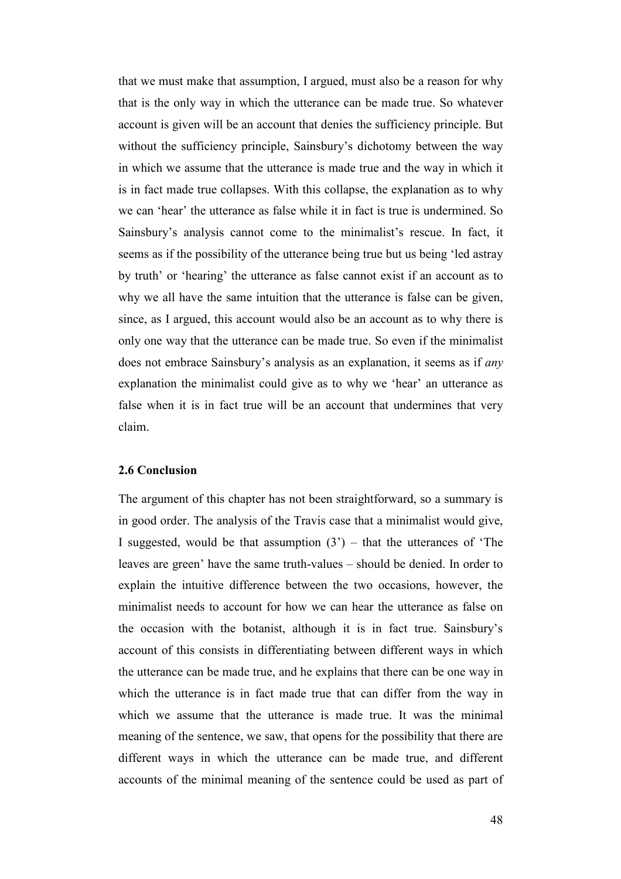that we must make that assumption, I argued, must also be a reason for why that is the only way in which the utterance can be made true. So whatever account is given will be an account that denies the sufficiency principle. But without the sufficiency principle, Sainsbury's dichotomy between the way in which we assume that the utterance is made true and the way in which it is in fact made true collapses. With this collapse, the explanation as to why we can 'hear' the utterance as false while it in fact is true is undermined. So Sainsbury's analysis cannot come to the minimalist's rescue. In fact, it seems as if the possibility of the utterance being true but us being 'led astray by truth' or 'hearing' the utterance as false cannot exist if an account as to why we all have the same intuition that the utterance is false can be given, since, as I argued, this account would also be an account as to why there is only one way that the utterance can be made true. So even if the minimalist does not embrace Sainsbury's analysis as an explanation, it seems as if *any* explanation the minimalist could give as to why we 'hear' an utterance as false when it is in fact true will be an account that undermines that very claim.

#### **2.6 Conclusion**

The argument of this chapter has not been straightforward, so a summary is in good order. The analysis of the Travis case that a minimalist would give, I suggested, would be that assumption  $(3')$  – that the utterances of 'The leaves are green' have the same truth-values – should be denied. In order to explain the intuitive difference between the two occasions, however, the minimalist needs to account for how we can hear the utterance as false on the occasion with the botanist, although it is in fact true. Sainsbury's account of this consists in differentiating between different ways in which the utterance can be made true, and he explains that there can be one way in which the utterance is in fact made true that can differ from the way in which we assume that the utterance is made true. It was the minimal meaning of the sentence, we saw, that opens for the possibility that there are different ways in which the utterance can be made true, and different accounts of the minimal meaning of the sentence could be used as part of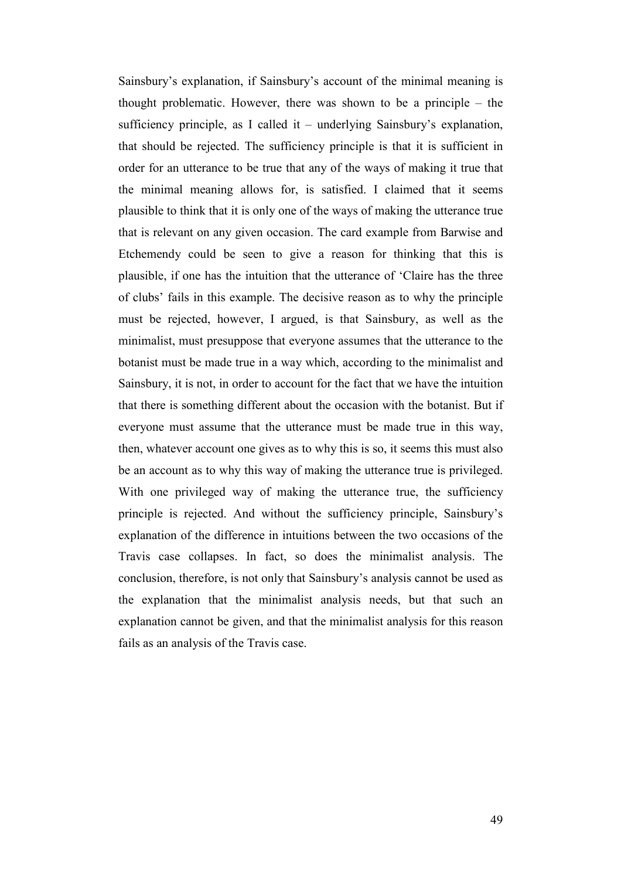Sainsbury's explanation, if Sainsbury's account of the minimal meaning is thought problematic. However, there was shown to be a principle – the sufficiency principle, as I called it – underlying Sainsbury's explanation, that should be rejected. The sufficiency principle is that it is sufficient in order for an utterance to be true that any of the ways of making it true that the minimal meaning allows for, is satisfied. I claimed that it seems plausible to think that it is only one of the ways of making the utterance true that is relevant on any given occasion. The card example from Barwise and Etchemendy could be seen to give a reason for thinking that this is plausible, if one has the intuition that the utterance of 'Claire has the three of clubs' fails in this example. The decisive reason as to why the principle must be rejected, however, I argued, is that Sainsbury, as well as the minimalist, must presuppose that everyone assumes that the utterance to the botanist must be made true in a way which, according to the minimalist and Sainsbury, it is not, in order to account for the fact that we have the intuition that there is something different about the occasion with the botanist. But if everyone must assume that the utterance must be made true in this way, then, whatever account one gives as to why this is so, it seems this must also be an account as to why this way of making the utterance true is privileged. With one privileged way of making the utterance true, the sufficiency principle is rejected. And without the sufficiency principle, Sainsbury's explanation of the difference in intuitions between the two occasions of the Travis case collapses. In fact, so does the minimalist analysis. The conclusion, therefore, is not only that Sainsbury's analysis cannot be used as the explanation that the minimalist analysis needs, but that such an explanation cannot be given, and that the minimalist analysis for this reason fails as an analysis of the Travis case.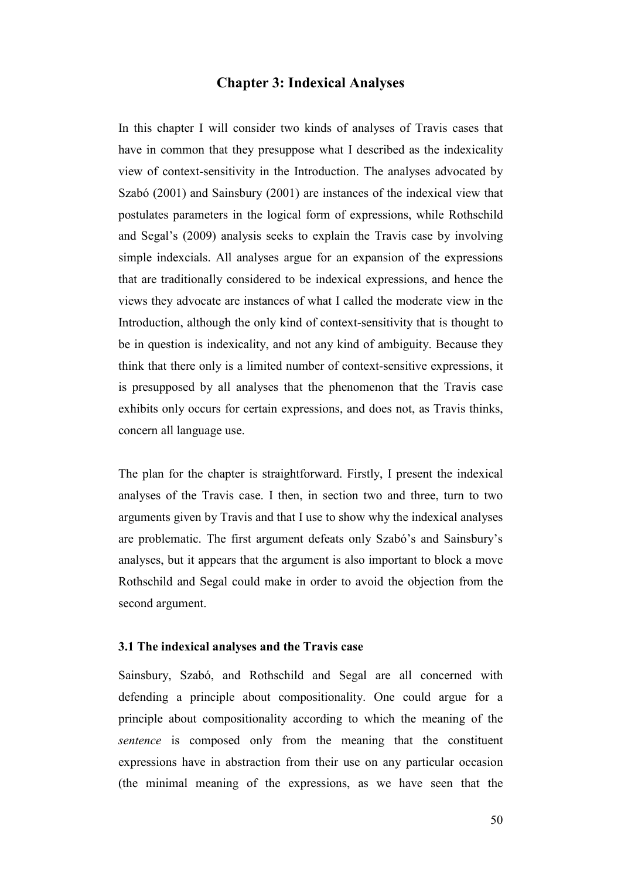### **Chapter 3: Indexical Analyses**

In this chapter I will consider two kinds of analyses of Travis cases that have in common that they presuppose what I described as the indexicality view of context-sensitivity in the Introduction. The analyses advocated by Szabó (2001) and Sainsbury (2001) are instances of the indexical view that postulates parameters in the logical form of expressions, while Rothschild and Segal's (2009) analysis seeks to explain the Travis case by involving simple indexcials. All analyses argue for an expansion of the expressions that are traditionally considered to be indexical expressions, and hence the views they advocate are instances of what I called the moderate view in the Introduction, although the only kind of context-sensitivity that is thought to be in question is indexicality, and not any kind of ambiguity. Because they think that there only is a limited number of context-sensitive expressions, it is presupposed by all analyses that the phenomenon that the Travis case exhibits only occurs for certain expressions, and does not, as Travis thinks, concern all language use.

The plan for the chapter is straightforward. Firstly, I present the indexical analyses of the Travis case. I then, in section two and three, turn to two arguments given by Travis and that I use to show why the indexical analyses are problematic. The first argument defeats only Szabó's and Sainsbury's analyses, but it appears that the argument is also important to block a move Rothschild and Segal could make in order to avoid the objection from the second argument.

#### **3.1 The indexical analyses and the Travis case**

Sainsbury, Szabó, and Rothschild and Segal are all concerned with defending a principle about compositionality. One could argue for a principle about compositionality according to which the meaning of the *sentence* is composed only from the meaning that the constituent expressions have in abstraction from their use on any particular occasion (the minimal meaning of the expressions, as we have seen that the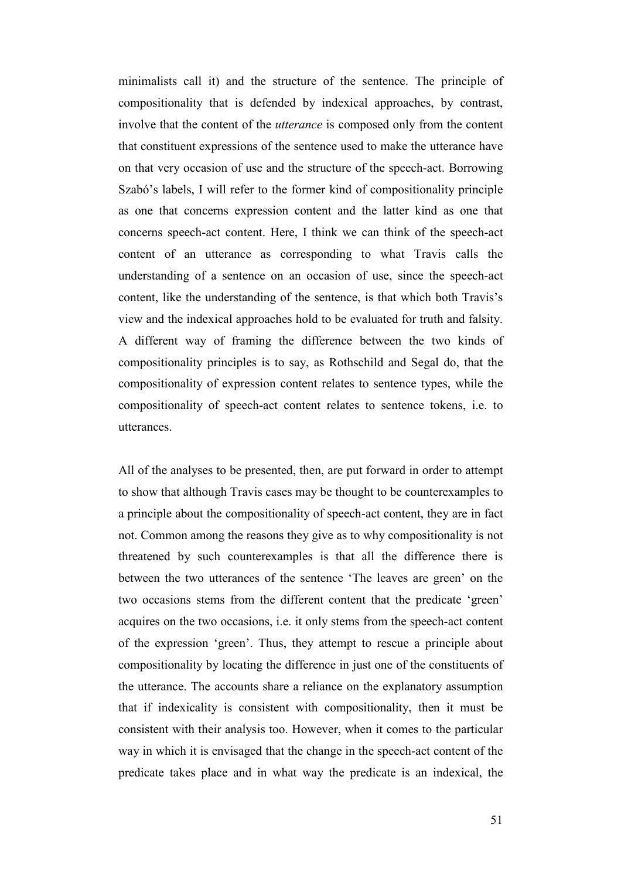minimalists call it) and the structure of the sentence. The principle of compositionality that is defended by indexical approaches, by contrast, involve that the content of the *utterance* is composed only from the content that constituent expressions of the sentence used to make the utterance have on that very occasion of use and the structure of the speech-act. Borrowing Szabó's labels, I will refer to the former kind of compositionality principle as one that concerns expression content and the latter kind as one that concerns speech-act content. Here, I think we can think of the speech-act content of an utterance as corresponding to what Travis calls the understanding of a sentence on an occasion of use, since the speech-act content, like the understanding of the sentence, is that which both Travis's view and the indexical approaches hold to be evaluated for truth and falsity. A different way of framing the difference between the two kinds of compositionality principles is to say, as Rothschild and Segal do, that the compositionality of expression content relates to sentence types, while the compositionality of speech-act content relates to sentence tokens, i.e. to utterances.

All of the analyses to be presented, then, are put forward in order to attempt to show that although Travis cases may be thought to be counterexamples to a principle about the compositionality of speech-act content, they are in fact not. Common among the reasons they give as to why compositionality is not threatened by such counterexamples is that all the difference there is between the two utterances of the sentence 'The leaves are green' on the two occasions stems from the different content that the predicate 'green' acquires on the two occasions, i.e. it only stems from the speech-act content of the expression 'green'. Thus, they attempt to rescue a principle about compositionality by locating the difference in just one of the constituents of the utterance. The accounts share a reliance on the explanatory assumption that if indexicality is consistent with compositionality, then it must be consistent with their analysis too. However, when it comes to the particular way in which it is envisaged that the change in the speech-act content of the predicate takes place and in what way the predicate is an indexical, the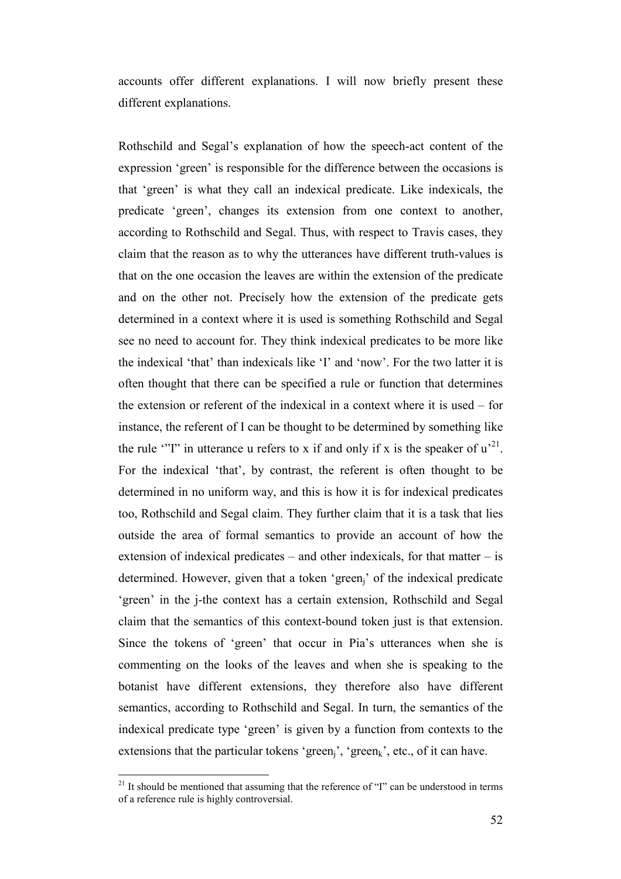accounts offer different explanations. I will now briefly present these different explanations.

Rothschild and Segal's explanation of how the speech-act content of the expression 'green' is responsible for the difference between the occasions is that 'green' is what they call an indexical predicate. Like indexicals, the predicate 'green', changes its extension from one context to another, according to Rothschild and Segal. Thus, with respect to Travis cases, they claim that the reason as to why the utterances have different truth-values is that on the one occasion the leaves are within the extension of the predicate and on the other not. Precisely how the extension of the predicate gets determined in a context where it is used is something Rothschild and Segal see no need to account for. They think indexical predicates to be more like the indexical 'that' than indexicals like 'I' and 'now'. For the two latter it is often thought that there can be specified a rule or function that determines the extension or referent of the indexical in a context where it is used – for instance, the referent of I can be thought to be determined by something like the rule "'I" in utterance u refers to x if and only if x is the speaker of  $u^2$ . For the indexical 'that', by contrast, the referent is often thought to be determined in no uniform way, and this is how it is for indexical predicates too, Rothschild and Segal claim. They further claim that it is a task that lies outside the area of formal semantics to provide an account of how the extension of indexical predicates – and other indexicals, for that matter – is determined. However, given that a token 'green<sub>i</sub>' of the indexical predicate 'green' in the j-the context has a certain extension, Rothschild and Segal claim that the semantics of this context-bound token just is that extension. Since the tokens of 'green' that occur in Pia's utterances when she is commenting on the looks of the leaves and when she is speaking to the botanist have different extensions, they therefore also have different semantics, according to Rothschild and Segal. In turn, the semantics of the indexical predicate type 'green' is given by a function from contexts to the extensions that the particular tokens 'green<sub>i</sub>', 'green<sub>k</sub>', etc., of it can have.

 $21$  It should be mentioned that assuming that the reference of "I" can be understood in terms of a reference rule is highly controversial.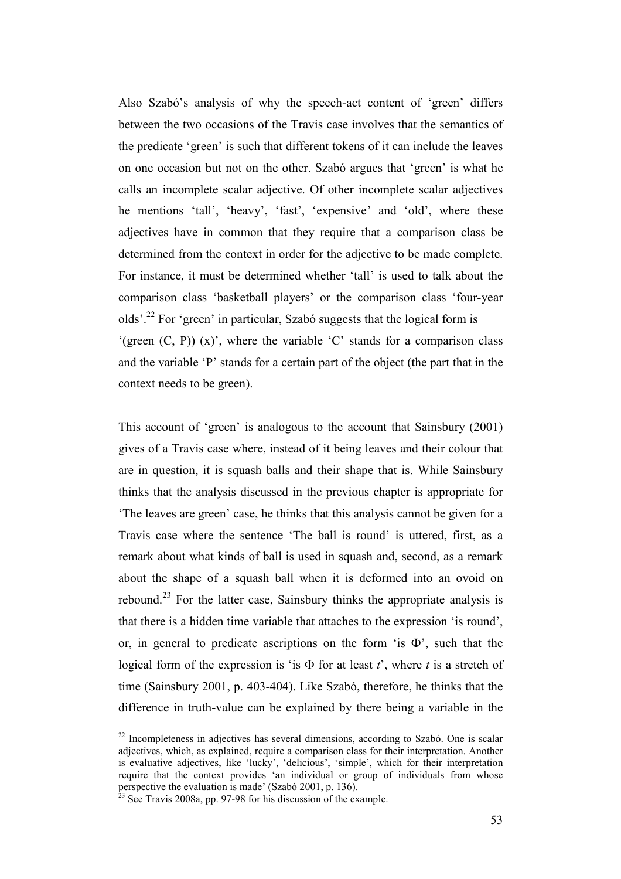Also Szabó's analysis of why the speech-act content of 'green' differs between the two occasions of the Travis case involves that the semantics of the predicate 'green' is such that different tokens of it can include the leaves on one occasion but not on the other. Szabó argues that 'green' is what he calls an incomplete scalar adjective. Of other incomplete scalar adjectives he mentions 'tall', 'heavy', 'fast', 'expensive' and 'old', where these adjectives have in common that they require that a comparison class be determined from the context in order for the adjective to be made complete. For instance, it must be determined whether 'tall' is used to talk about the comparison class 'basketball players' or the comparison class 'four-year olds'.<sup>22</sup> For 'green' in particular, Szabó suggests that the logical form is '(green  $(C, P)$ )  $(x)$ ', where the variable 'C' stands for a comparison class and the variable 'P' stands for a certain part of the object (the part that in the context needs to be green).

This account of 'green' is analogous to the account that Sainsbury (2001) gives of a Travis case where, instead of it being leaves and their colour that are in question, it is squash balls and their shape that is. While Sainsbury thinks that the analysis discussed in the previous chapter is appropriate for 'The leaves are green' case, he thinks that this analysis cannot be given for a Travis case where the sentence 'The ball is round' is uttered, first, as a remark about what kinds of ball is used in squash and, second, as a remark about the shape of a squash ball when it is deformed into an ovoid on rebound.<sup>23</sup> For the latter case, Sainsbury thinks the appropriate analysis is that there is a hidden time variable that attaches to the expression 'is round', or, in general to predicate ascriptions on the form 'is  $\Phi$ ', such that the logical form of the expression is 'is  $\Phi$  for at least *t*', where *t* is a stretch of time (Sainsbury 2001, p. 403-404). Like Szabó, therefore, he thinks that the difference in truth-value can be explained by there being a variable in the

 $22$  Incompleteness in adjectives has several dimensions, according to Szabó. One is scalar adjectives, which, as explained, require a comparison class for their interpretation. Another is evaluative adjectives, like 'lucky', 'delicious', 'simple', which for their interpretation require that the context provides 'an individual or group of individuals from whose perspective the evaluation is made' (Szabó 2001, p. 136).

 $3 \text{ See}$  Travis 2008a, pp. 97-98 for his discussion of the example.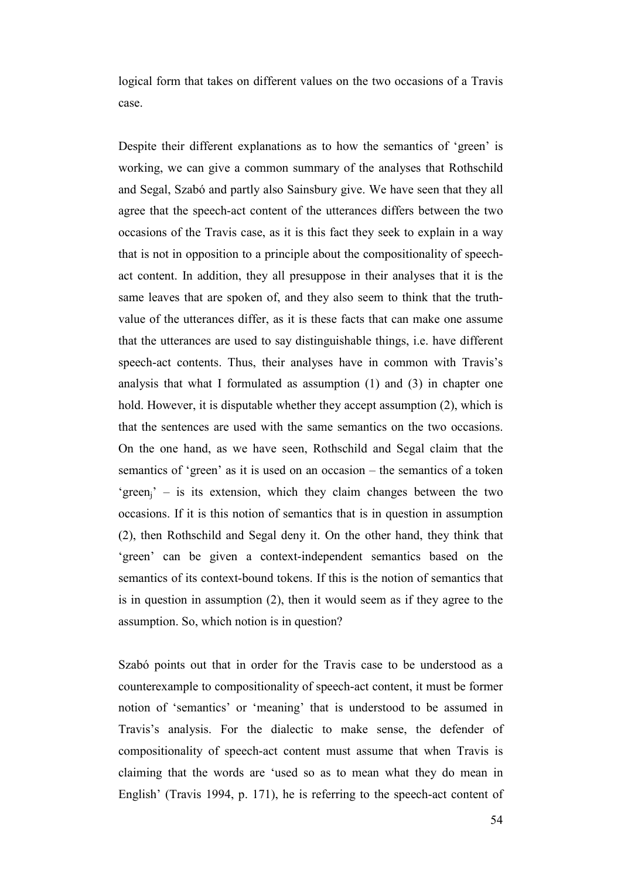logical form that takes on different values on the two occasions of a Travis case.

Despite their different explanations as to how the semantics of 'green' is working, we can give a common summary of the analyses that Rothschild and Segal, Szabó and partly also Sainsbury give. We have seen that they all agree that the speech-act content of the utterances differs between the two occasions of the Travis case, as it is this fact they seek to explain in a way that is not in opposition to a principle about the compositionality of speechact content. In addition, they all presuppose in their analyses that it is the same leaves that are spoken of, and they also seem to think that the truthvalue of the utterances differ, as it is these facts that can make one assume that the utterances are used to say distinguishable things, i.e. have different speech-act contents. Thus, their analyses have in common with Travis's analysis that what I formulated as assumption (1) and (3) in chapter one hold. However, it is disputable whether they accept assumption (2), which is that the sentences are used with the same semantics on the two occasions. On the one hand, as we have seen, Rothschild and Segal claim that the semantics of 'green' as it is used on an occasion – the semantics of a token  $'$ green<sub>i</sub>' – is its extension, which they claim changes between the two occasions. If it is this notion of semantics that is in question in assumption (2), then Rothschild and Segal deny it. On the other hand, they think that 'green' can be given a context-independent semantics based on the semantics of its context-bound tokens. If this is the notion of semantics that is in question in assumption (2), then it would seem as if they agree to the assumption. So, which notion is in question?

Szabó points out that in order for the Travis case to be understood as a counterexample to compositionality of speech-act content, it must be former notion of 'semantics' or 'meaning' that is understood to be assumed in Travis's analysis. For the dialectic to make sense, the defender of compositionality of speech-act content must assume that when Travis is claiming that the words are 'used so as to mean what they do mean in English' (Travis 1994, p. 171), he is referring to the speech-act content of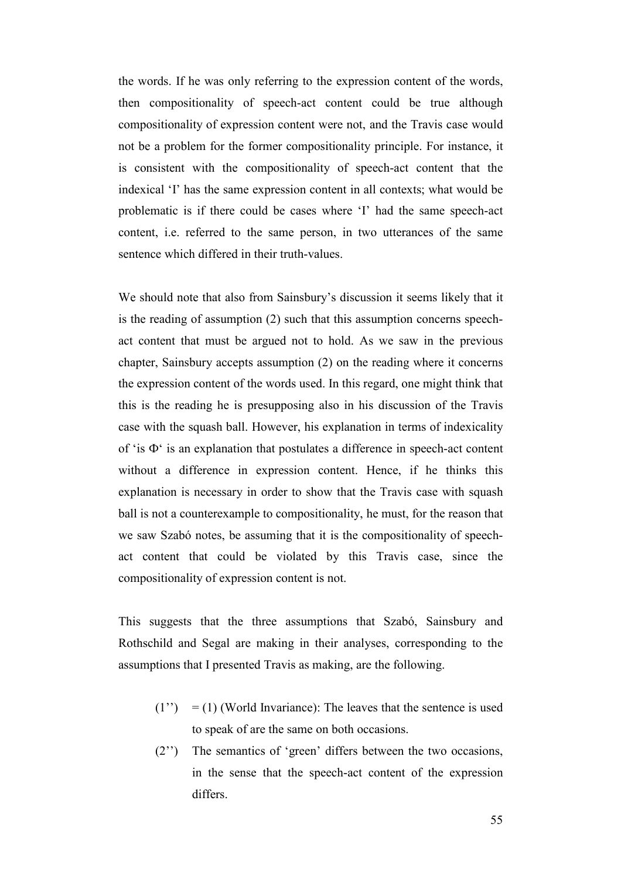the words. If he was only referring to the expression content of the words, then compositionality of speech-act content could be true although compositionality of expression content were not, and the Travis case would not be a problem for the former compositionality principle. For instance, it is consistent with the compositionality of speech-act content that the indexical 'I' has the same expression content in all contexts; what would be problematic is if there could be cases where 'I' had the same speech-act content, i.e. referred to the same person, in two utterances of the same sentence which differed in their truth-values.

We should note that also from Sainsbury's discussion it seems likely that it is the reading of assumption (2) such that this assumption concerns speechact content that must be argued not to hold. As we saw in the previous chapter, Sainsbury accepts assumption (2) on the reading where it concerns the expression content of the words used. In this regard, one might think that this is the reading he is presupposing also in his discussion of the Travis case with the squash ball. However, his explanation in terms of indexicality of 'is Ф' is an explanation that postulates a difference in speech-act content without a difference in expression content. Hence, if he thinks this explanation is necessary in order to show that the Travis case with squash ball is not a counterexample to compositionality, he must, for the reason that we saw Szabó notes, be assuming that it is the compositionality of speechact content that could be violated by this Travis case, since the compositionality of expression content is not.

This suggests that the three assumptions that Szabó, Sainsbury and Rothschild and Segal are making in their analyses, corresponding to the assumptions that I presented Travis as making, are the following.

- $(1'') = (1)$  (World Invariance): The leaves that the sentence is used to speak of are the same on both occasions.
- (2'') The semantics of 'green' differs between the two occasions, in the sense that the speech-act content of the expression differs.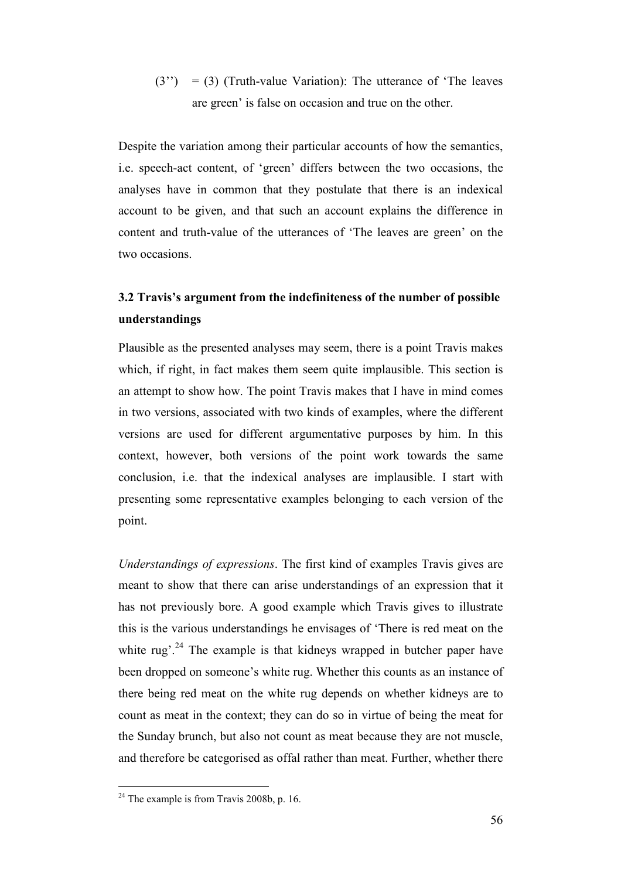$(3'') = (3)$  (Truth-value Variation): The utterance of 'The leaves are green' is false on occasion and true on the other.

Despite the variation among their particular accounts of how the semantics, i.e. speech-act content, of 'green' differs between the two occasions, the analyses have in common that they postulate that there is an indexical account to be given, and that such an account explains the difference in content and truth-value of the utterances of 'The leaves are green' on the two occasions.

# **3.2 Travis's argument from the indefiniteness of the number of possible understandings**

Plausible as the presented analyses may seem, there is a point Travis makes which, if right, in fact makes them seem quite implausible. This section is an attempt to show how. The point Travis makes that I have in mind comes in two versions, associated with two kinds of examples, where the different versions are used for different argumentative purposes by him. In this context, however, both versions of the point work towards the same conclusion, i.e. that the indexical analyses are implausible. I start with presenting some representative examples belonging to each version of the point.

*Understandings of expressions*. The first kind of examples Travis gives are meant to show that there can arise understandings of an expression that it has not previously bore. A good example which Travis gives to illustrate this is the various understandings he envisages of 'There is red meat on the white rug'.<sup>24</sup> The example is that kidneys wrapped in butcher paper have been dropped on someone's white rug. Whether this counts as an instance of there being red meat on the white rug depends on whether kidneys are to count as meat in the context; they can do so in virtue of being the meat for the Sunday brunch, but also not count as meat because they are not muscle, and therefore be categorised as offal rather than meat. Further, whether there

 $2<sup>24</sup>$  The example is from Travis 2008b, p. 16.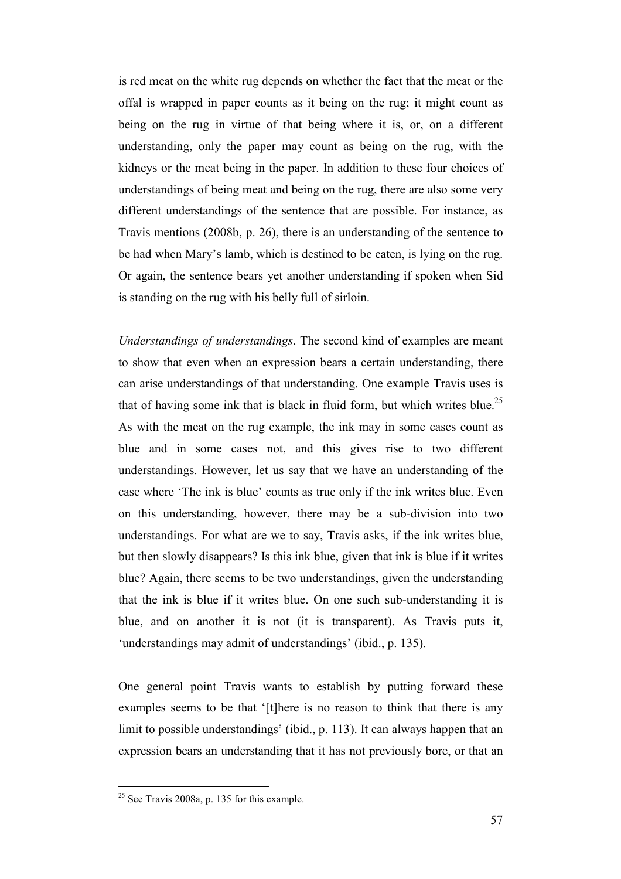is red meat on the white rug depends on whether the fact that the meat or the offal is wrapped in paper counts as it being on the rug; it might count as being on the rug in virtue of that being where it is, or, on a different understanding, only the paper may count as being on the rug, with the kidneys or the meat being in the paper. In addition to these four choices of understandings of being meat and being on the rug, there are also some very different understandings of the sentence that are possible. For instance, as Travis mentions (2008b, p. 26), there is an understanding of the sentence to be had when Mary's lamb, which is destined to be eaten, is lying on the rug. Or again, the sentence bears yet another understanding if spoken when Sid is standing on the rug with his belly full of sirloin.

*Understandings of understandings*. The second kind of examples are meant to show that even when an expression bears a certain understanding, there can arise understandings of that understanding. One example Travis uses is that of having some ink that is black in fluid form, but which writes blue.<sup>25</sup> As with the meat on the rug example, the ink may in some cases count as blue and in some cases not, and this gives rise to two different understandings. However, let us say that we have an understanding of the case where 'The ink is blue' counts as true only if the ink writes blue. Even on this understanding, however, there may be a sub-division into two understandings. For what are we to say, Travis asks, if the ink writes blue, but then slowly disappears? Is this ink blue, given that ink is blue if it writes blue? Again, there seems to be two understandings, given the understanding that the ink is blue if it writes blue. On one such sub-understanding it is blue, and on another it is not (it is transparent). As Travis puts it, 'understandings may admit of understandings' (ibid., p. 135).

One general point Travis wants to establish by putting forward these examples seems to be that '[t]here is no reason to think that there is any limit to possible understandings' (ibid., p. 113). It can always happen that an expression bears an understanding that it has not previously bore, or that an

 $25$  See Travis 2008a, p. 135 for this example.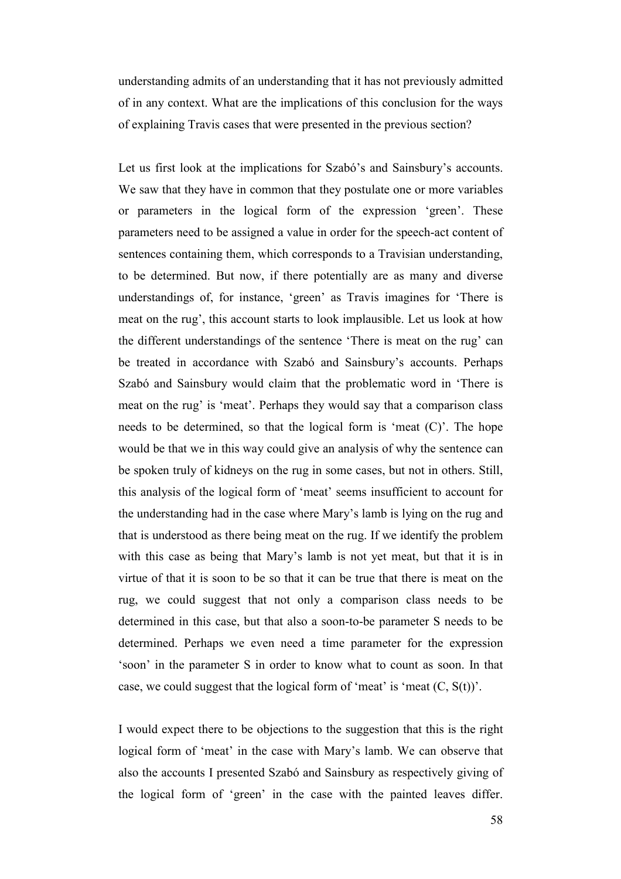understanding admits of an understanding that it has not previously admitted of in any context. What are the implications of this conclusion for the ways of explaining Travis cases that were presented in the previous section?

Let us first look at the implications for Szabó's and Sainsbury's accounts. We saw that they have in common that they postulate one or more variables or parameters in the logical form of the expression 'green'. These parameters need to be assigned a value in order for the speech-act content of sentences containing them, which corresponds to a Travisian understanding, to be determined. But now, if there potentially are as many and diverse understandings of, for instance, 'green' as Travis imagines for 'There is meat on the rug', this account starts to look implausible. Let us look at how the different understandings of the sentence 'There is meat on the rug' can be treated in accordance with Szabó and Sainsbury's accounts. Perhaps Szabó and Sainsbury would claim that the problematic word in 'There is meat on the rug' is 'meat'. Perhaps they would say that a comparison class needs to be determined, so that the logical form is 'meat (C)'. The hope would be that we in this way could give an analysis of why the sentence can be spoken truly of kidneys on the rug in some cases, but not in others. Still, this analysis of the logical form of 'meat' seems insufficient to account for the understanding had in the case where Mary's lamb is lying on the rug and that is understood as there being meat on the rug. If we identify the problem with this case as being that Mary's lamb is not yet meat, but that it is in virtue of that it is soon to be so that it can be true that there is meat on the rug, we could suggest that not only a comparison class needs to be determined in this case, but that also a soon-to-be parameter S needs to be determined. Perhaps we even need a time parameter for the expression 'soon' in the parameter S in order to know what to count as soon. In that case, we could suggest that the logical form of 'meat' is 'meat  $(C, S(t))$ '.

I would expect there to be objections to the suggestion that this is the right logical form of 'meat' in the case with Mary's lamb. We can observe that also the accounts I presented Szabó and Sainsbury as respectively giving of the logical form of 'green' in the case with the painted leaves differ.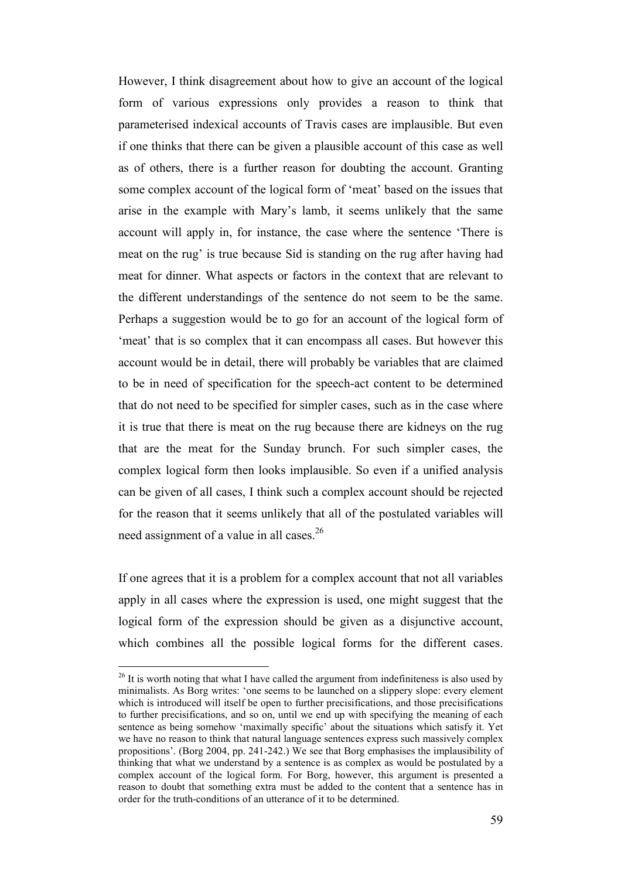However, I think disagreement about how to give an account of the logical form of various expressions only provides a reason to think that parameterised indexical accounts of Travis cases are implausible. But even if one thinks that there can be given a plausible account of this case as well as of others, there is a further reason for doubting the account. Granting some complex account of the logical form of 'meat' based on the issues that arise in the example with Mary's lamb, it seems unlikely that the same account will apply in, for instance, the case where the sentence 'There is meat on the rug' is true because Sid is standing on the rug after having had meat for dinner. What aspects or factors in the context that are relevant to the different understandings of the sentence do not seem to be the same. Perhaps a suggestion would be to go for an account of the logical form of 'meat' that is so complex that it can encompass all cases. But however this account would be in detail, there will probably be variables that are claimed to be in need of specification for the speech-act content to be determined that do not need to be specified for simpler cases, such as in the case where it is true that there is meat on the rug because there are kidneys on the rug that are the meat for the Sunday brunch. For such simpler cases, the complex logical form then looks implausible. So even if a unified analysis can be given of all cases, I think such a complex account should be rejected for the reason that it seems unlikely that all of the postulated variables will need assignment of a value in all cases.<sup>26</sup>

If one agrees that it is a problem for a complex account that not all variables apply in all cases where the expression is used, one might suggest that the logical form of the expression should be given as a disjunctive account, which combines all the possible logical forms for the different cases.

 $26$  It is worth noting that what I have called the argument from indefiniteness is also used by minimalists. As Borg writes: 'one seems to be launched on a slippery slope: every element which is introduced will itself be open to further precisifications, and those precisifications to further precisifications, and so on, until we end up with specifying the meaning of each sentence as being somehow 'maximally specific' about the situations which satisfy it. Yet we have no reason to think that natural language sentences express such massively complex propositions'. (Borg 2004, pp. 241-242.) We see that Borg emphasises the implausibility of thinking that what we understand by a sentence is as complex as would be postulated by a complex account of the logical form. For Borg, however, this argument is presented a reason to doubt that something extra must be added to the content that a sentence has in order for the truth-conditions of an utterance of it to be determined.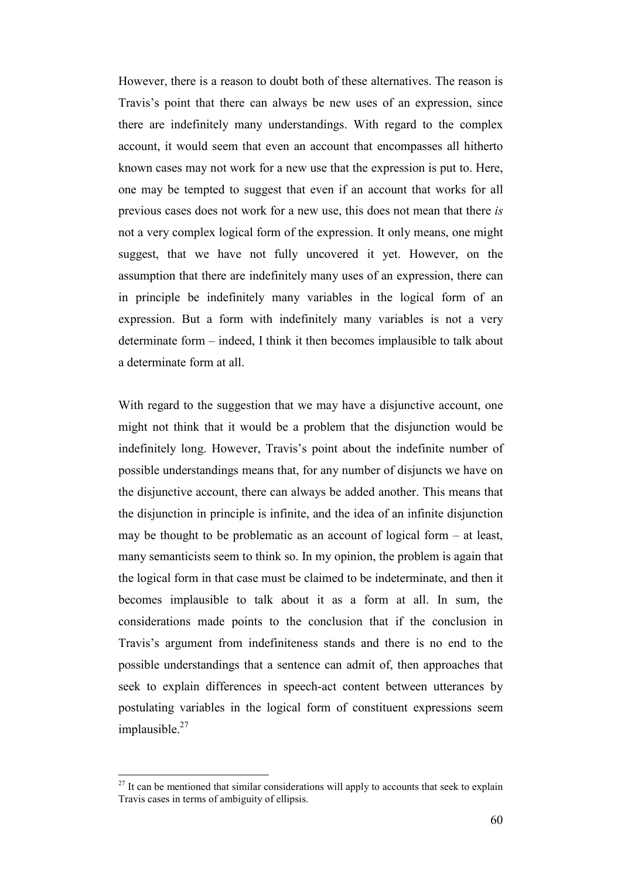However, there is a reason to doubt both of these alternatives. The reason is Travis's point that there can always be new uses of an expression, since there are indefinitely many understandings. With regard to the complex account, it would seem that even an account that encompasses all hitherto known cases may not work for a new use that the expression is put to. Here, one may be tempted to suggest that even if an account that works for all previous cases does not work for a new use, this does not mean that there *is* not a very complex logical form of the expression. It only means, one might suggest, that we have not fully uncovered it yet. However, on the assumption that there are indefinitely many uses of an expression, there can in principle be indefinitely many variables in the logical form of an expression. But a form with indefinitely many variables is not a very determinate form – indeed, I think it then becomes implausible to talk about a determinate form at all.

With regard to the suggestion that we may have a disjunctive account, one might not think that it would be a problem that the disjunction would be indefinitely long. However, Travis's point about the indefinite number of possible understandings means that, for any number of disjuncts we have on the disjunctive account, there can always be added another. This means that the disjunction in principle is infinite, and the idea of an infinite disjunction may be thought to be problematic as an account of logical form – at least, many semanticists seem to think so. In my opinion, the problem is again that the logical form in that case must be claimed to be indeterminate, and then it becomes implausible to talk about it as a form at all. In sum, the considerations made points to the conclusion that if the conclusion in Travis's argument from indefiniteness stands and there is no end to the possible understandings that a sentence can admit of, then approaches that seek to explain differences in speech-act content between utterances by postulating variables in the logical form of constituent expressions seem implausible.<sup>27</sup>

 $27$  It can be mentioned that similar considerations will apply to accounts that seek to explain Travis cases in terms of ambiguity of ellipsis.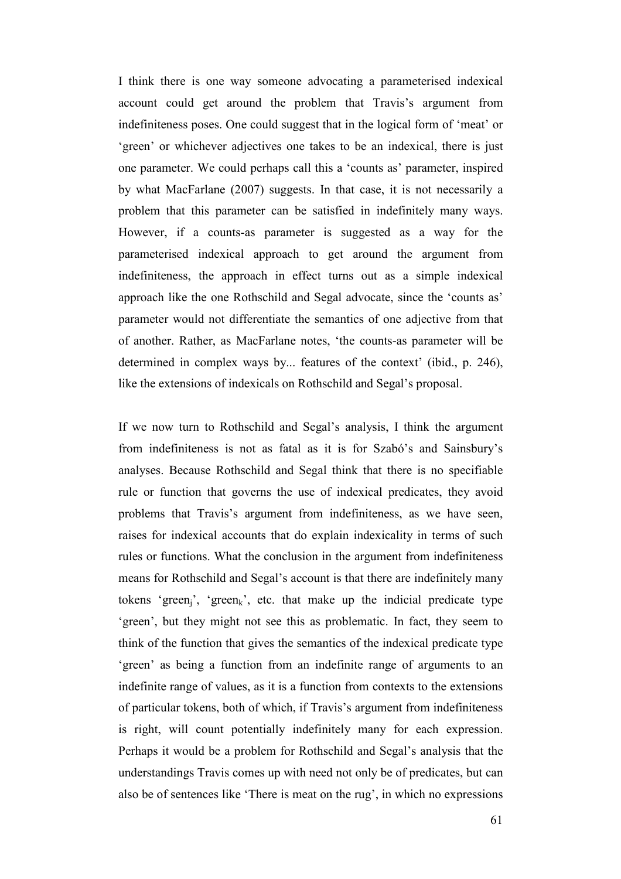I think there is one way someone advocating a parameterised indexical account could get around the problem that Travis's argument from indefiniteness poses. One could suggest that in the logical form of 'meat' or 'green' or whichever adjectives one takes to be an indexical, there is just one parameter. We could perhaps call this a 'counts as' parameter, inspired by what MacFarlane (2007) suggests. In that case, it is not necessarily a problem that this parameter can be satisfied in indefinitely many ways. However, if a counts-as parameter is suggested as a way for the parameterised indexical approach to get around the argument from indefiniteness, the approach in effect turns out as a simple indexical approach like the one Rothschild and Segal advocate, since the 'counts as' parameter would not differentiate the semantics of one adjective from that of another. Rather, as MacFarlane notes, 'the counts-as parameter will be determined in complex ways by... features of the context' (ibid., p. 246), like the extensions of indexicals on Rothschild and Segal's proposal.

If we now turn to Rothschild and Segal's analysis, I think the argument from indefiniteness is not as fatal as it is for Szabó's and Sainsbury's analyses. Because Rothschild and Segal think that there is no specifiable rule or function that governs the use of indexical predicates, they avoid problems that Travis's argument from indefiniteness, as we have seen, raises for indexical accounts that do explain indexicality in terms of such rules or functions. What the conclusion in the argument from indefiniteness means for Rothschild and Segal's account is that there are indefinitely many tokens 'green<sub>i</sub>', 'green<sub>k</sub>', etc. that make up the indicial predicate type 'green', but they might not see this as problematic. In fact, they seem to think of the function that gives the semantics of the indexical predicate type 'green' as being a function from an indefinite range of arguments to an indefinite range of values, as it is a function from contexts to the extensions of particular tokens, both of which, if Travis's argument from indefiniteness is right, will count potentially indefinitely many for each expression. Perhaps it would be a problem for Rothschild and Segal's analysis that the understandings Travis comes up with need not only be of predicates, but can also be of sentences like 'There is meat on the rug', in which no expressions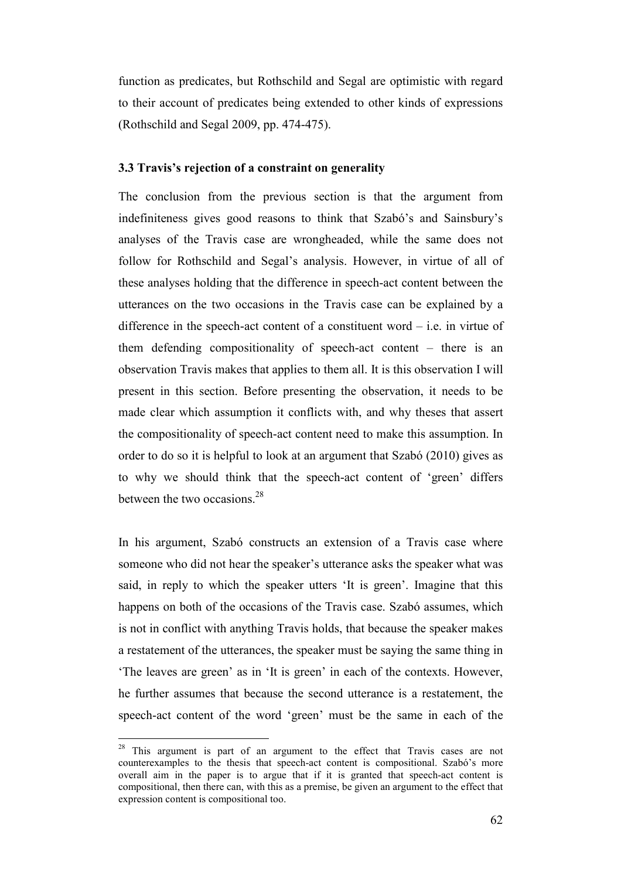function as predicates, but Rothschild and Segal are optimistic with regard to their account of predicates being extended to other kinds of expressions (Rothschild and Segal 2009, pp. 474-475).

#### **3.3 Travis's rejection of a constraint on generality**

The conclusion from the previous section is that the argument from indefiniteness gives good reasons to think that Szabó's and Sainsbury's analyses of the Travis case are wrongheaded, while the same does not follow for Rothschild and Segal's analysis. However, in virtue of all of these analyses holding that the difference in speech-act content between the utterances on the two occasions in the Travis case can be explained by a difference in the speech-act content of a constituent word – i.e. in virtue of them defending compositionality of speech-act content – there is an observation Travis makes that applies to them all. It is this observation I will present in this section. Before presenting the observation, it needs to be made clear which assumption it conflicts with, and why theses that assert the compositionality of speech-act content need to make this assumption. In order to do so it is helpful to look at an argument that Szabó (2010) gives as to why we should think that the speech-act content of 'green' differs between the two occasions.<sup>28</sup>

In his argument, Szabó constructs an extension of a Travis case where someone who did not hear the speaker's utterance asks the speaker what was said, in reply to which the speaker utters 'It is green'. Imagine that this happens on both of the occasions of the Travis case. Szabó assumes, which is not in conflict with anything Travis holds, that because the speaker makes a restatement of the utterances, the speaker must be saying the same thing in 'The leaves are green' as in 'It is green' in each of the contexts. However, he further assumes that because the second utterance is a restatement, the speech-act content of the word 'green' must be the same in each of the

<sup>&</sup>lt;sup>28</sup> This argument is part of an argument to the effect that Travis cases are not counterexamples to the thesis that speech-act content is compositional. Szabó's more overall aim in the paper is to argue that if it is granted that speech-act content is compositional, then there can, with this as a premise, be given an argument to the effect that expression content is compositional too.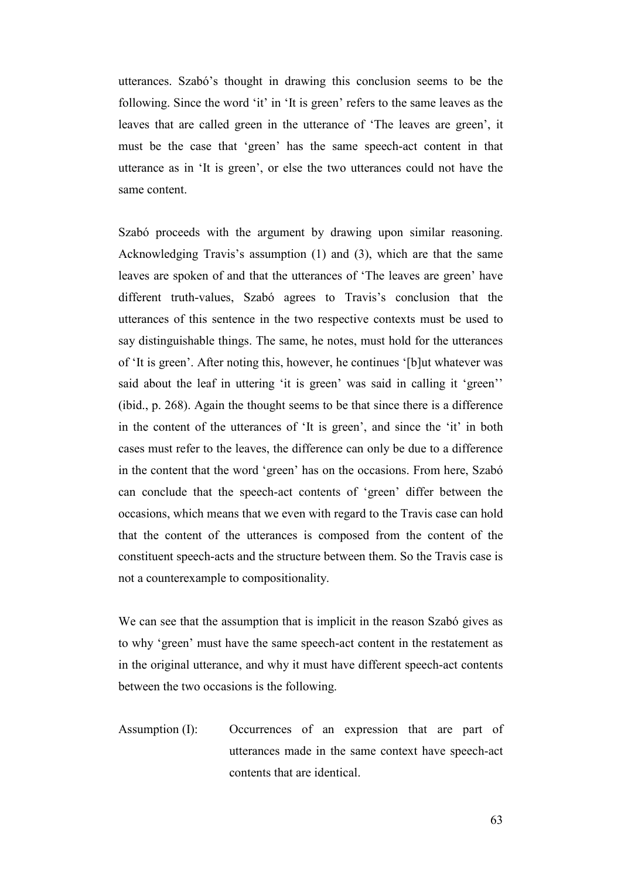utterances. Szabó's thought in drawing this conclusion seems to be the following. Since the word 'it' in 'It is green' refers to the same leaves as the leaves that are called green in the utterance of 'The leaves are green', it must be the case that 'green' has the same speech-act content in that utterance as in 'It is green', or else the two utterances could not have the same content.

Szabó proceeds with the argument by drawing upon similar reasoning. Acknowledging Travis's assumption (1) and (3), which are that the same leaves are spoken of and that the utterances of 'The leaves are green' have different truth-values, Szabó agrees to Travis's conclusion that the utterances of this sentence in the two respective contexts must be used to say distinguishable things. The same, he notes, must hold for the utterances of 'It is green'. After noting this, however, he continues '[b]ut whatever was said about the leaf in uttering 'it is green' was said in calling it 'green'' (ibid., p. 268). Again the thought seems to be that since there is a difference in the content of the utterances of 'It is green', and since the 'it' in both cases must refer to the leaves, the difference can only be due to a difference in the content that the word 'green' has on the occasions. From here, Szabó can conclude that the speech-act contents of 'green' differ between the occasions, which means that we even with regard to the Travis case can hold that the content of the utterances is composed from the content of the constituent speech-acts and the structure between them. So the Travis case is not a counterexample to compositionality.

We can see that the assumption that is implicit in the reason Szabó gives as to why 'green' must have the same speech-act content in the restatement as in the original utterance, and why it must have different speech-act contents between the two occasions is the following.

Assumption (I): Occurrences of an expression that are part of utterances made in the same context have speech-act contents that are identical.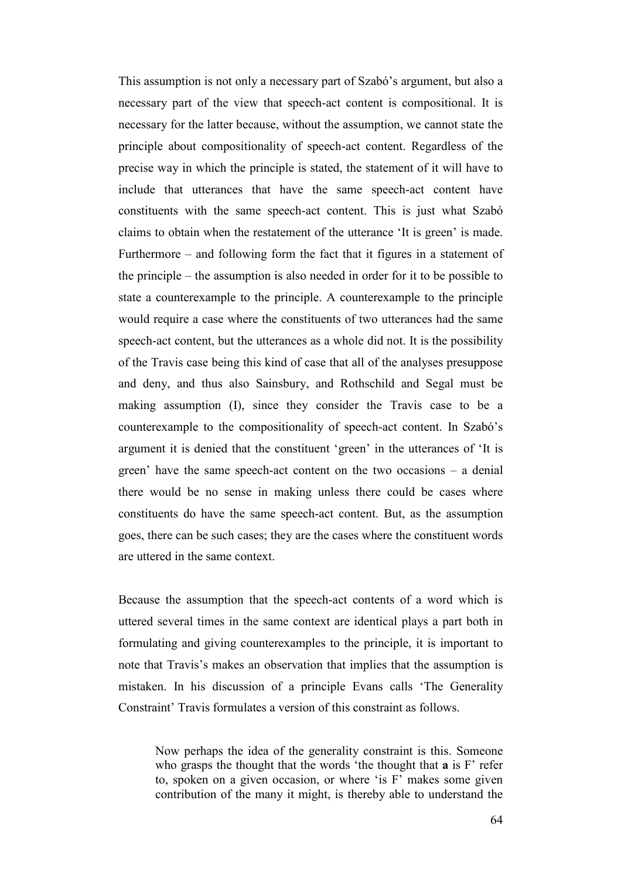This assumption is not only a necessary part of Szabó's argument, but also a necessary part of the view that speech-act content is compositional. It is necessary for the latter because, without the assumption, we cannot state the principle about compositionality of speech-act content. Regardless of the precise way in which the principle is stated, the statement of it will have to include that utterances that have the same speech-act content have constituents with the same speech-act content. This is just what Szabó claims to obtain when the restatement of the utterance 'It is green' is made. Furthermore – and following form the fact that it figures in a statement of the principle – the assumption is also needed in order for it to be possible to state a counterexample to the principle. A counterexample to the principle would require a case where the constituents of two utterances had the same speech-act content, but the utterances as a whole did not. It is the possibility of the Travis case being this kind of case that all of the analyses presuppose and deny, and thus also Sainsbury, and Rothschild and Segal must be making assumption (I), since they consider the Travis case to be a counterexample to the compositionality of speech-act content. In Szabó's argument it is denied that the constituent 'green' in the utterances of 'It is green' have the same speech-act content on the two occasions – a denial there would be no sense in making unless there could be cases where constituents do have the same speech-act content. But, as the assumption goes, there can be such cases; they are the cases where the constituent words are uttered in the same context.

Because the assumption that the speech-act contents of a word which is uttered several times in the same context are identical plays a part both in formulating and giving counterexamples to the principle, it is important to note that Travis's makes an observation that implies that the assumption is mistaken. In his discussion of a principle Evans calls 'The Generality Constraint' Travis formulates a version of this constraint as follows.

Now perhaps the idea of the generality constraint is this. Someone who grasps the thought that the words 'the thought that **a** is F' refer to, spoken on a given occasion, or where 'is F' makes some given contribution of the many it might, is thereby able to understand the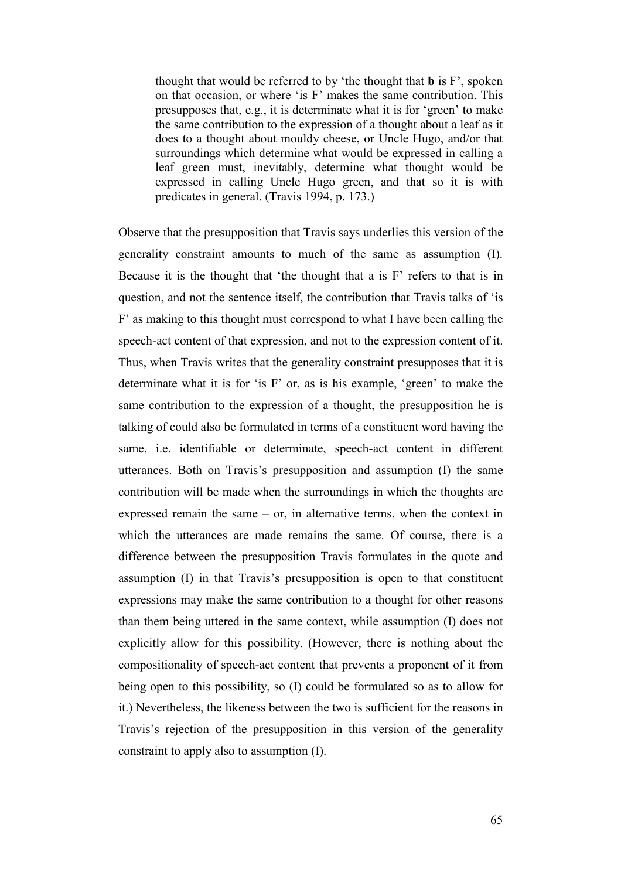thought that would be referred to by 'the thought that **b** is F', spoken on that occasion, or where 'is F' makes the same contribution. This presupposes that, e.g., it is determinate what it is for 'green' to make the same contribution to the expression of a thought about a leaf as it does to a thought about mouldy cheese, or Uncle Hugo, and/or that surroundings which determine what would be expressed in calling a leaf green must, inevitably, determine what thought would be expressed in calling Uncle Hugo green, and that so it is with predicates in general. (Travis 1994, p. 173.)

Observe that the presupposition that Travis says underlies this version of the generality constraint amounts to much of the same as assumption (I). Because it is the thought that 'the thought that a is F' refers to that is in question, and not the sentence itself, the contribution that Travis talks of 'is F' as making to this thought must correspond to what I have been calling the speech-act content of that expression, and not to the expression content of it. Thus, when Travis writes that the generality constraint presupposes that it is determinate what it is for 'is F' or, as is his example, 'green' to make the same contribution to the expression of a thought, the presupposition he is talking of could also be formulated in terms of a constituent word having the same, i.e. identifiable or determinate, speech-act content in different utterances. Both on Travis's presupposition and assumption (I) the same contribution will be made when the surroundings in which the thoughts are expressed remain the same – or, in alternative terms, when the context in which the utterances are made remains the same. Of course, there is a difference between the presupposition Travis formulates in the quote and assumption (I) in that Travis's presupposition is open to that constituent expressions may make the same contribution to a thought for other reasons than them being uttered in the same context, while assumption (I) does not explicitly allow for this possibility. (However, there is nothing about the compositionality of speech-act content that prevents a proponent of it from being open to this possibility, so (I) could be formulated so as to allow for it.) Nevertheless, the likeness between the two is sufficient for the reasons in Travis's rejection of the presupposition in this version of the generality constraint to apply also to assumption (I).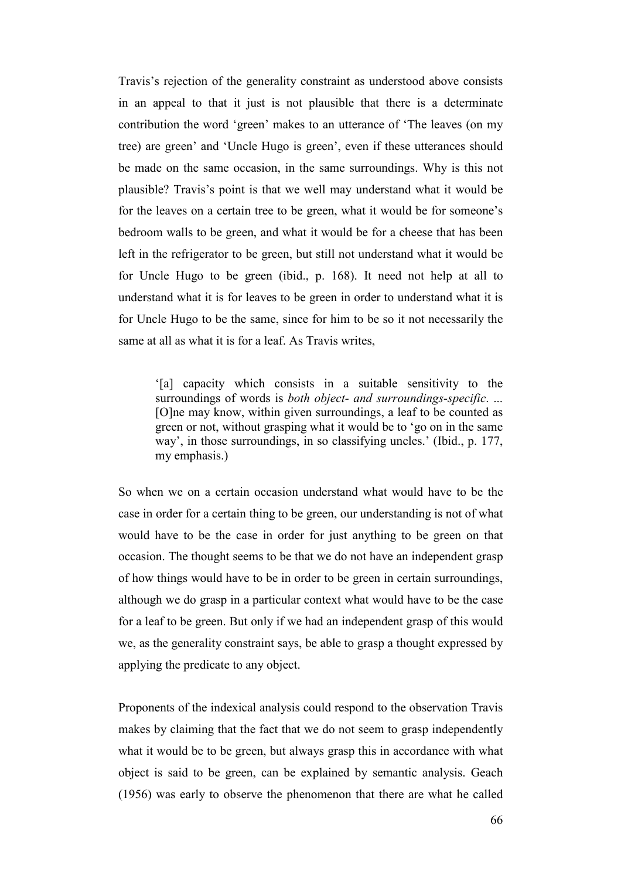Travis's rejection of the generality constraint as understood above consists in an appeal to that it just is not plausible that there is a determinate contribution the word 'green' makes to an utterance of 'The leaves (on my tree) are green' and 'Uncle Hugo is green', even if these utterances should be made on the same occasion, in the same surroundings. Why is this not plausible? Travis's point is that we well may understand what it would be for the leaves on a certain tree to be green, what it would be for someone's bedroom walls to be green, and what it would be for a cheese that has been left in the refrigerator to be green, but still not understand what it would be for Uncle Hugo to be green (ibid., p. 168). It need not help at all to understand what it is for leaves to be green in order to understand what it is for Uncle Hugo to be the same, since for him to be so it not necessarily the same at all as what it is for a leaf. As Travis writes,

'[a] capacity which consists in a suitable sensitivity to the surroundings of words is *both object- and surroundings-specific*. ... [O]ne may know, within given surroundings, a leaf to be counted as green or not, without grasping what it would be to 'go on in the same way', in those surroundings, in so classifying uncles.' (Ibid., p. 177, my emphasis.)

So when we on a certain occasion understand what would have to be the case in order for a certain thing to be green, our understanding is not of what would have to be the case in order for just anything to be green on that occasion. The thought seems to be that we do not have an independent grasp of how things would have to be in order to be green in certain surroundings, although we do grasp in a particular context what would have to be the case for a leaf to be green. But only if we had an independent grasp of this would we, as the generality constraint says, be able to grasp a thought expressed by applying the predicate to any object.

Proponents of the indexical analysis could respond to the observation Travis makes by claiming that the fact that we do not seem to grasp independently what it would be to be green, but always grasp this in accordance with what object is said to be green, can be explained by semantic analysis. Geach (1956) was early to observe the phenomenon that there are what he called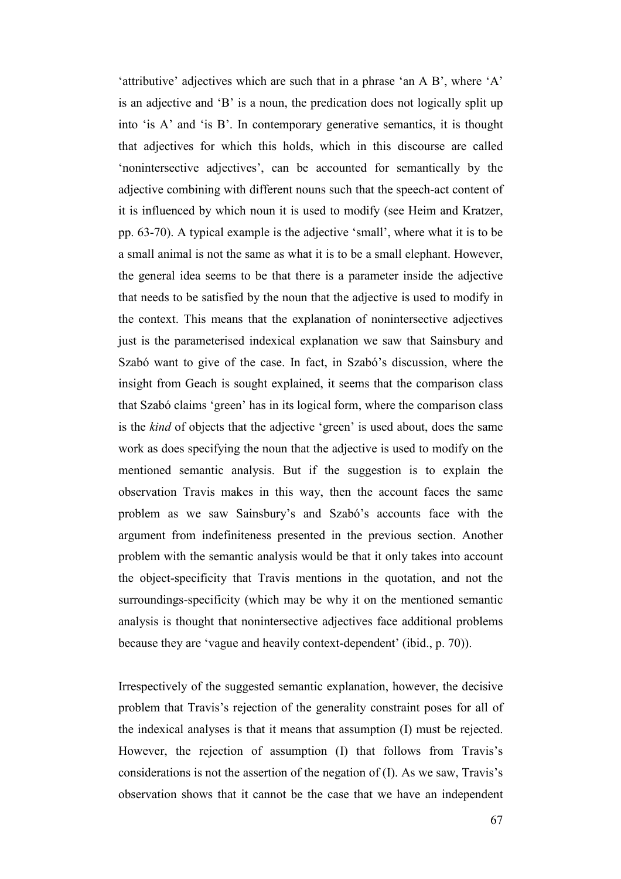'attributive' adjectives which are such that in a phrase 'an A B', where 'A' is an adjective and 'B' is a noun, the predication does not logically split up into 'is A' and 'is B'. In contemporary generative semantics, it is thought that adjectives for which this holds, which in this discourse are called 'nonintersective adjectives', can be accounted for semantically by the adjective combining with different nouns such that the speech-act content of it is influenced by which noun it is used to modify (see Heim and Kratzer, pp. 63-70). A typical example is the adjective 'small', where what it is to be a small animal is not the same as what it is to be a small elephant. However, the general idea seems to be that there is a parameter inside the adjective that needs to be satisfied by the noun that the adjective is used to modify in the context. This means that the explanation of nonintersective adjectives just is the parameterised indexical explanation we saw that Sainsbury and Szabó want to give of the case. In fact, in Szabó's discussion, where the insight from Geach is sought explained, it seems that the comparison class that Szabó claims 'green' has in its logical form, where the comparison class is the *kind* of objects that the adjective 'green' is used about, does the same work as does specifying the noun that the adjective is used to modify on the mentioned semantic analysis. But if the suggestion is to explain the observation Travis makes in this way, then the account faces the same problem as we saw Sainsbury's and Szabó's accounts face with the argument from indefiniteness presented in the previous section. Another problem with the semantic analysis would be that it only takes into account the object-specificity that Travis mentions in the quotation, and not the surroundings-specificity (which may be why it on the mentioned semantic analysis is thought that nonintersective adjectives face additional problems because they are 'vague and heavily context-dependent' (ibid., p. 70)).

Irrespectively of the suggested semantic explanation, however, the decisive problem that Travis's rejection of the generality constraint poses for all of the indexical analyses is that it means that assumption (I) must be rejected. However, the rejection of assumption (I) that follows from Travis's considerations is not the assertion of the negation of (I). As we saw, Travis's observation shows that it cannot be the case that we have an independent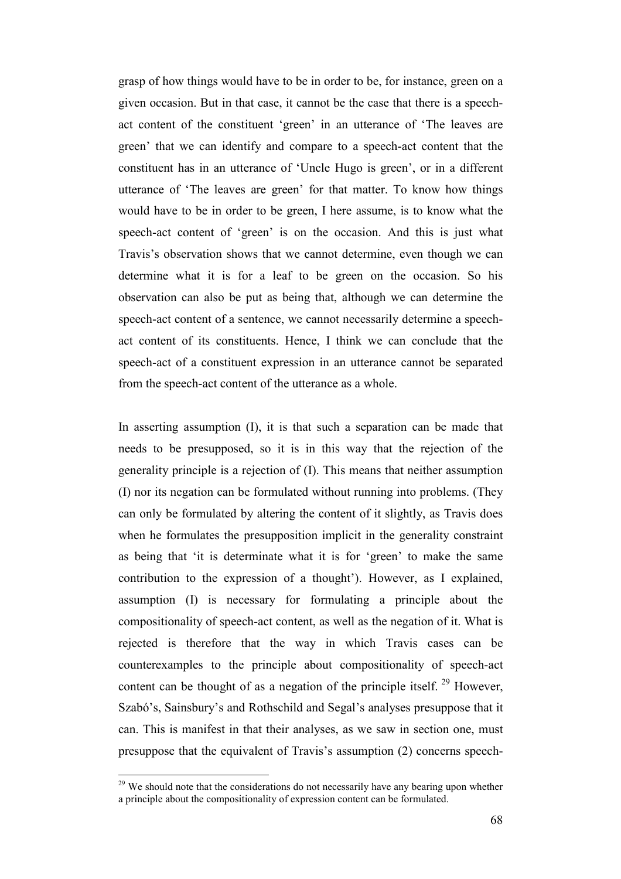grasp of how things would have to be in order to be, for instance, green on a given occasion. But in that case, it cannot be the case that there is a speechact content of the constituent 'green' in an utterance of 'The leaves are green' that we can identify and compare to a speech-act content that the constituent has in an utterance of 'Uncle Hugo is green', or in a different utterance of 'The leaves are green' for that matter. To know how things would have to be in order to be green, I here assume, is to know what the speech-act content of 'green' is on the occasion. And this is just what Travis's observation shows that we cannot determine, even though we can determine what it is for a leaf to be green on the occasion. So his observation can also be put as being that, although we can determine the speech-act content of a sentence, we cannot necessarily determine a speechact content of its constituents. Hence, I think we can conclude that the speech-act of a constituent expression in an utterance cannot be separated from the speech-act content of the utterance as a whole.

In asserting assumption (I), it is that such a separation can be made that needs to be presupposed, so it is in this way that the rejection of the generality principle is a rejection of (I). This means that neither assumption (I) nor its negation can be formulated without running into problems. (They can only be formulated by altering the content of it slightly, as Travis does when he formulates the presupposition implicit in the generality constraint as being that 'it is determinate what it is for 'green' to make the same contribution to the expression of a thought'). However, as I explained, assumption (I) is necessary for formulating a principle about the compositionality of speech-act content, as well as the negation of it. What is rejected is therefore that the way in which Travis cases can be counterexamples to the principle about compositionality of speech-act content can be thought of as a negation of the principle itself.<sup>29</sup> However, Szabó's, Sainsbury's and Rothschild and Segal's analyses presuppose that it can. This is manifest in that their analyses, as we saw in section one, must presuppose that the equivalent of Travis's assumption (2) concerns speech-

<sup>&</sup>lt;sup>29</sup> We should note that the considerations do not necessarily have any bearing upon whether a principle about the compositionality of expression content can be formulated.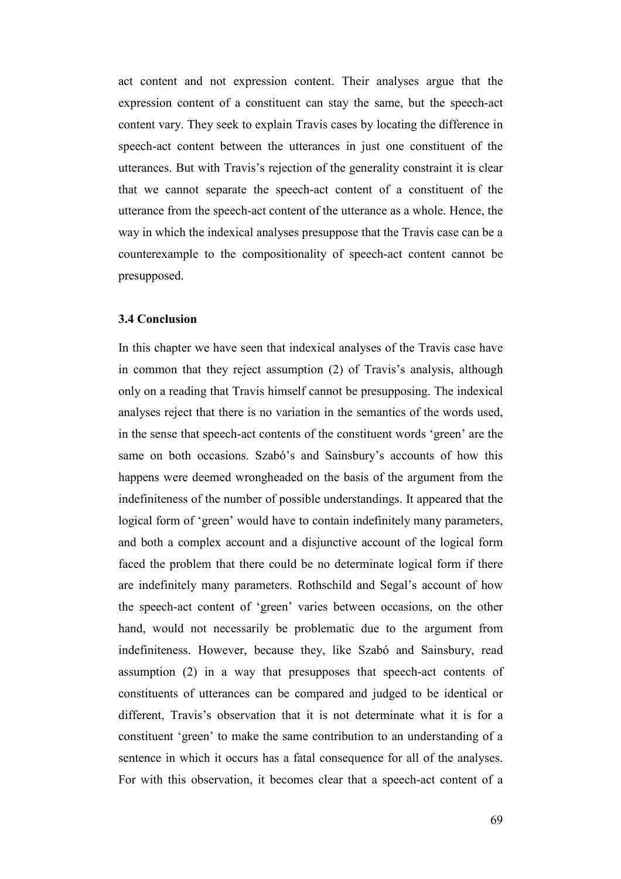act content and not expression content. Their analyses argue that the expression content of a constituent can stay the same, but the speech-act content vary. They seek to explain Travis cases by locating the difference in speech-act content between the utterances in just one constituent of the utterances. But with Travis's rejection of the generality constraint it is clear that we cannot separate the speech-act content of a constituent of the utterance from the speech-act content of the utterance as a whole. Hence, the way in which the indexical analyses presuppose that the Travis case can be a counterexample to the compositionality of speech-act content cannot be presupposed.

#### **3.4 Conclusion**

In this chapter we have seen that indexical analyses of the Travis case have in common that they reject assumption (2) of Travis's analysis, although only on a reading that Travis himself cannot be presupposing. The indexical analyses reject that there is no variation in the semantics of the words used, in the sense that speech-act contents of the constituent words 'green' are the same on both occasions. Szabó's and Sainsbury's accounts of how this happens were deemed wrongheaded on the basis of the argument from the indefiniteness of the number of possible understandings. It appeared that the logical form of 'green' would have to contain indefinitely many parameters, and both a complex account and a disjunctive account of the logical form faced the problem that there could be no determinate logical form if there are indefinitely many parameters. Rothschild and Segal's account of how the speech-act content of 'green' varies between occasions, on the other hand, would not necessarily be problematic due to the argument from indefiniteness. However, because they, like Szabó and Sainsbury, read assumption (2) in a way that presupposes that speech-act contents of constituents of utterances can be compared and judged to be identical or different, Travis's observation that it is not determinate what it is for a constituent 'green' to make the same contribution to an understanding of a sentence in which it occurs has a fatal consequence for all of the analyses. For with this observation, it becomes clear that a speech-act content of a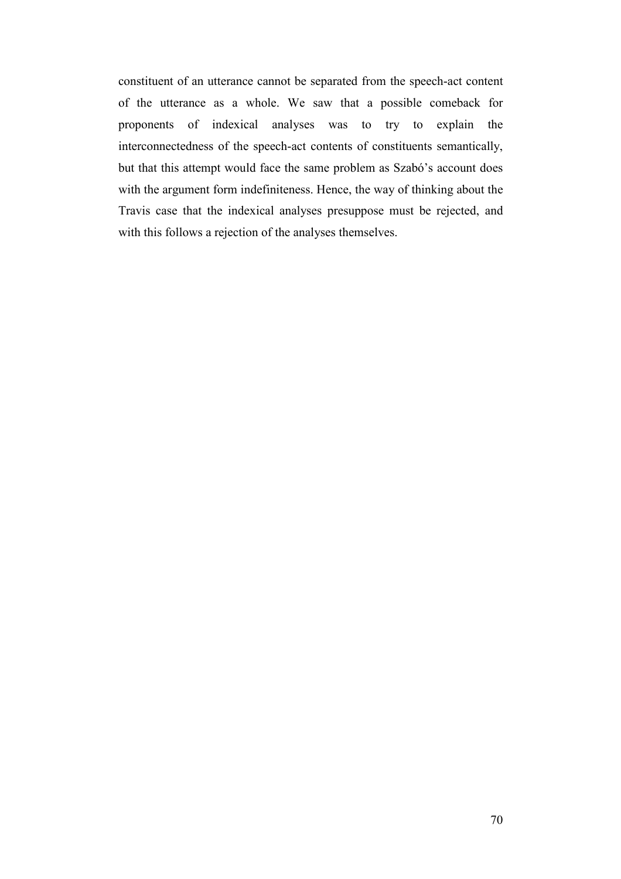constituent of an utterance cannot be separated from the speech-act content of the utterance as a whole. We saw that a possible comeback for proponents of indexical analyses was to try to explain the interconnectedness of the speech-act contents of constituents semantically, but that this attempt would face the same problem as Szabó's account does with the argument form indefiniteness. Hence, the way of thinking about the Travis case that the indexical analyses presuppose must be rejected, and with this follows a rejection of the analyses themselves.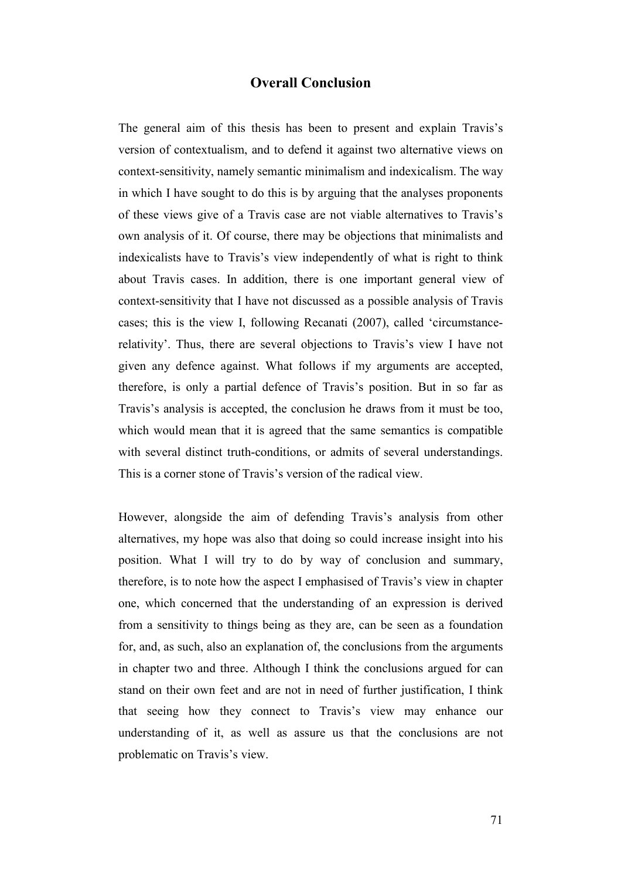## **Overall Conclusion**

The general aim of this thesis has been to present and explain Travis's version of contextualism, and to defend it against two alternative views on context-sensitivity, namely semantic minimalism and indexicalism. The way in which I have sought to do this is by arguing that the analyses proponents of these views give of a Travis case are not viable alternatives to Travis's own analysis of it. Of course, there may be objections that minimalists and indexicalists have to Travis's view independently of what is right to think about Travis cases. In addition, there is one important general view of context-sensitivity that I have not discussed as a possible analysis of Travis cases; this is the view I, following Recanati (2007), called 'circumstancerelativity'. Thus, there are several objections to Travis's view I have not given any defence against. What follows if my arguments are accepted, therefore, is only a partial defence of Travis's position. But in so far as Travis's analysis is accepted, the conclusion he draws from it must be too, which would mean that it is agreed that the same semantics is compatible with several distinct truth-conditions, or admits of several understandings. This is a corner stone of Travis's version of the radical view.

However, alongside the aim of defending Travis's analysis from other alternatives, my hope was also that doing so could increase insight into his position. What I will try to do by way of conclusion and summary, therefore, is to note how the aspect I emphasised of Travis's view in chapter one, which concerned that the understanding of an expression is derived from a sensitivity to things being as they are, can be seen as a foundation for, and, as such, also an explanation of, the conclusions from the arguments in chapter two and three. Although I think the conclusions argued for can stand on their own feet and are not in need of further justification, I think that seeing how they connect to Travis's view may enhance our understanding of it, as well as assure us that the conclusions are not problematic on Travis's view.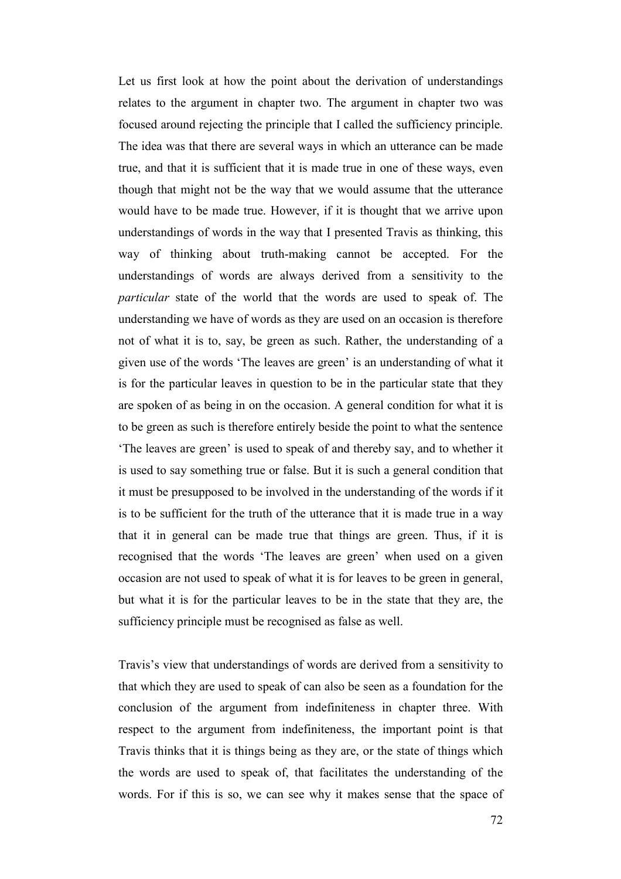Let us first look at how the point about the derivation of understandings relates to the argument in chapter two. The argument in chapter two was focused around rejecting the principle that I called the sufficiency principle. The idea was that there are several ways in which an utterance can be made true, and that it is sufficient that it is made true in one of these ways, even though that might not be the way that we would assume that the utterance would have to be made true. However, if it is thought that we arrive upon understandings of words in the way that I presented Travis as thinking, this way of thinking about truth-making cannot be accepted. For the understandings of words are always derived from a sensitivity to the *particular* state of the world that the words are used to speak of. The understanding we have of words as they are used on an occasion is therefore not of what it is to, say, be green as such. Rather, the understanding of a given use of the words 'The leaves are green' is an understanding of what it is for the particular leaves in question to be in the particular state that they are spoken of as being in on the occasion. A general condition for what it is to be green as such is therefore entirely beside the point to what the sentence 'The leaves are green' is used to speak of and thereby say, and to whether it is used to say something true or false. But it is such a general condition that it must be presupposed to be involved in the understanding of the words if it is to be sufficient for the truth of the utterance that it is made true in a way that it in general can be made true that things are green. Thus, if it is recognised that the words 'The leaves are green' when used on a given occasion are not used to speak of what it is for leaves to be green in general, but what it is for the particular leaves to be in the state that they are, the sufficiency principle must be recognised as false as well.

Travis's view that understandings of words are derived from a sensitivity to that which they are used to speak of can also be seen as a foundation for the conclusion of the argument from indefiniteness in chapter three. With respect to the argument from indefiniteness, the important point is that Travis thinks that it is things being as they are, or the state of things which the words are used to speak of, that facilitates the understanding of the words. For if this is so, we can see why it makes sense that the space of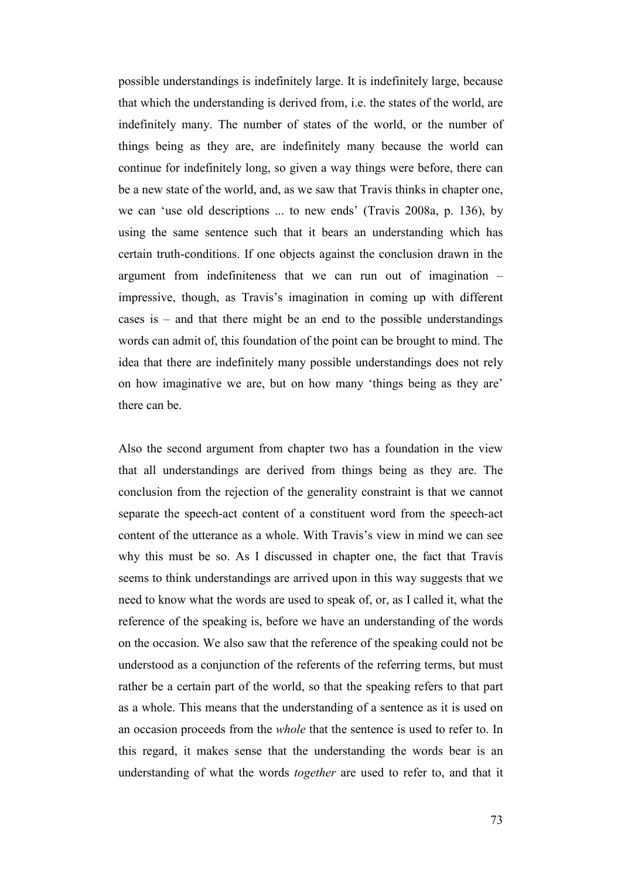possible understandings is indefinitely large. It is indefinitely large, because that which the understanding is derived from, i.e. the states of the world, are indefinitely many. The number of states of the world, or the number of things being as they are, are indefinitely many because the world can continue for indefinitely long, so given a way things were before, there can be a new state of the world, and, as we saw that Travis thinks in chapter one, we can 'use old descriptions ... to new ends' (Travis 2008a, p. 136), by using the same sentence such that it bears an understanding which has certain truth-conditions. If one objects against the conclusion drawn in the argument from indefiniteness that we can run out of imagination – impressive, though, as Travis's imagination in coming up with different cases is – and that there might be an end to the possible understandings words can admit of, this foundation of the point can be brought to mind. The idea that there are indefinitely many possible understandings does not rely on how imaginative we are, but on how many 'things being as they are' there can be.

Also the second argument from chapter two has a foundation in the view that all understandings are derived from things being as they are. The conclusion from the rejection of the generality constraint is that we cannot separate the speech-act content of a constituent word from the speech-act content of the utterance as a whole. With Travis's view in mind we can see why this must be so. As I discussed in chapter one, the fact that Travis seems to think understandings are arrived upon in this way suggests that we need to know what the words are used to speak of, or, as I called it, what the reference of the speaking is, before we have an understanding of the words on the occasion. We also saw that the reference of the speaking could not be understood as a conjunction of the referents of the referring terms, but must rather be a certain part of the world, so that the speaking refers to that part as a whole. This means that the understanding of a sentence as it is used on an occasion proceeds from the *whole* that the sentence is used to refer to. In this regard, it makes sense that the understanding the words bear is an understanding of what the words *together* are used to refer to, and that it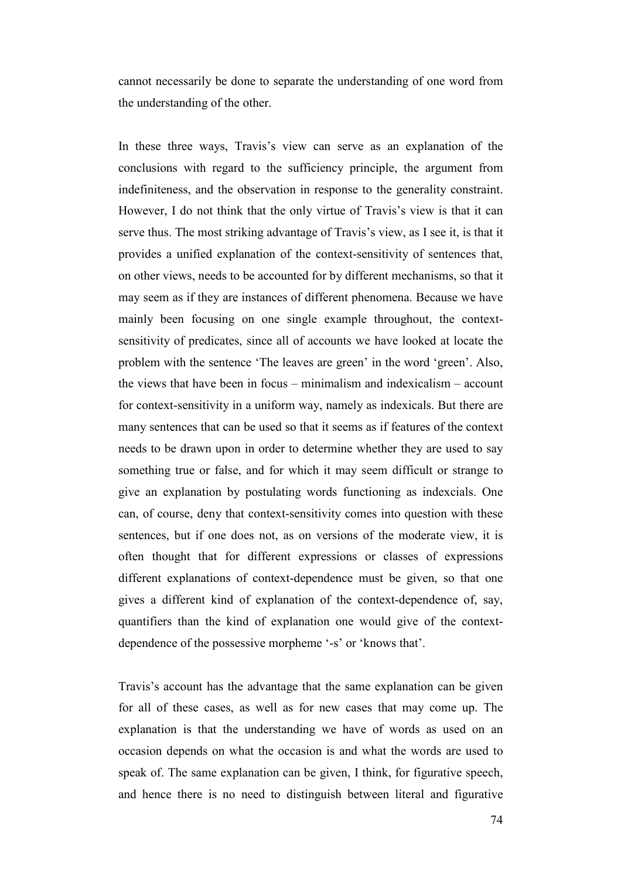cannot necessarily be done to separate the understanding of one word from the understanding of the other.

In these three ways, Travis's view can serve as an explanation of the conclusions with regard to the sufficiency principle, the argument from indefiniteness, and the observation in response to the generality constraint. However, I do not think that the only virtue of Travis's view is that it can serve thus. The most striking advantage of Travis's view, as I see it, is that it provides a unified explanation of the context-sensitivity of sentences that, on other views, needs to be accounted for by different mechanisms, so that it may seem as if they are instances of different phenomena. Because we have mainly been focusing on one single example throughout, the contextsensitivity of predicates, since all of accounts we have looked at locate the problem with the sentence 'The leaves are green' in the word 'green'. Also, the views that have been in focus – minimalism and indexicalism – account for context-sensitivity in a uniform way, namely as indexicals. But there are many sentences that can be used so that it seems as if features of the context needs to be drawn upon in order to determine whether they are used to say something true or false, and for which it may seem difficult or strange to give an explanation by postulating words functioning as indexcials. One can, of course, deny that context-sensitivity comes into question with these sentences, but if one does not, as on versions of the moderate view, it is often thought that for different expressions or classes of expressions different explanations of context-dependence must be given, so that one gives a different kind of explanation of the context-dependence of, say, quantifiers than the kind of explanation one would give of the contextdependence of the possessive morpheme '-s' or 'knows that'.

Travis's account has the advantage that the same explanation can be given for all of these cases, as well as for new cases that may come up. The explanation is that the understanding we have of words as used on an occasion depends on what the occasion is and what the words are used to speak of. The same explanation can be given, I think, for figurative speech, and hence there is no need to distinguish between literal and figurative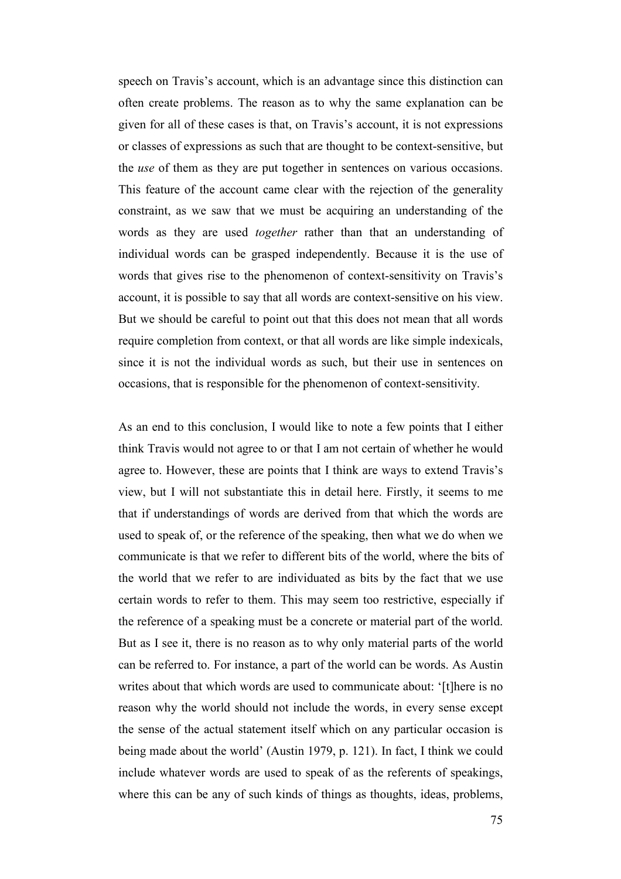speech on Travis's account, which is an advantage since this distinction can often create problems. The reason as to why the same explanation can be given for all of these cases is that, on Travis's account, it is not expressions or classes of expressions as such that are thought to be context-sensitive, but the *use* of them as they are put together in sentences on various occasions. This feature of the account came clear with the rejection of the generality constraint, as we saw that we must be acquiring an understanding of the words as they are used *together* rather than that an understanding of individual words can be grasped independently. Because it is the use of words that gives rise to the phenomenon of context-sensitivity on Travis's account, it is possible to say that all words are context-sensitive on his view. But we should be careful to point out that this does not mean that all words require completion from context, or that all words are like simple indexicals, since it is not the individual words as such, but their use in sentences on occasions, that is responsible for the phenomenon of context-sensitivity.

As an end to this conclusion, I would like to note a few points that I either think Travis would not agree to or that I am not certain of whether he would agree to. However, these are points that I think are ways to extend Travis's view, but I will not substantiate this in detail here. Firstly, it seems to me that if understandings of words are derived from that which the words are used to speak of, or the reference of the speaking, then what we do when we communicate is that we refer to different bits of the world, where the bits of the world that we refer to are individuated as bits by the fact that we use certain words to refer to them. This may seem too restrictive, especially if the reference of a speaking must be a concrete or material part of the world. But as I see it, there is no reason as to why only material parts of the world can be referred to. For instance, a part of the world can be words. As Austin writes about that which words are used to communicate about: '[t]here is no reason why the world should not include the words, in every sense except the sense of the actual statement itself which on any particular occasion is being made about the world' (Austin 1979, p. 121). In fact, I think we could include whatever words are used to speak of as the referents of speakings, where this can be any of such kinds of things as thoughts, ideas, problems,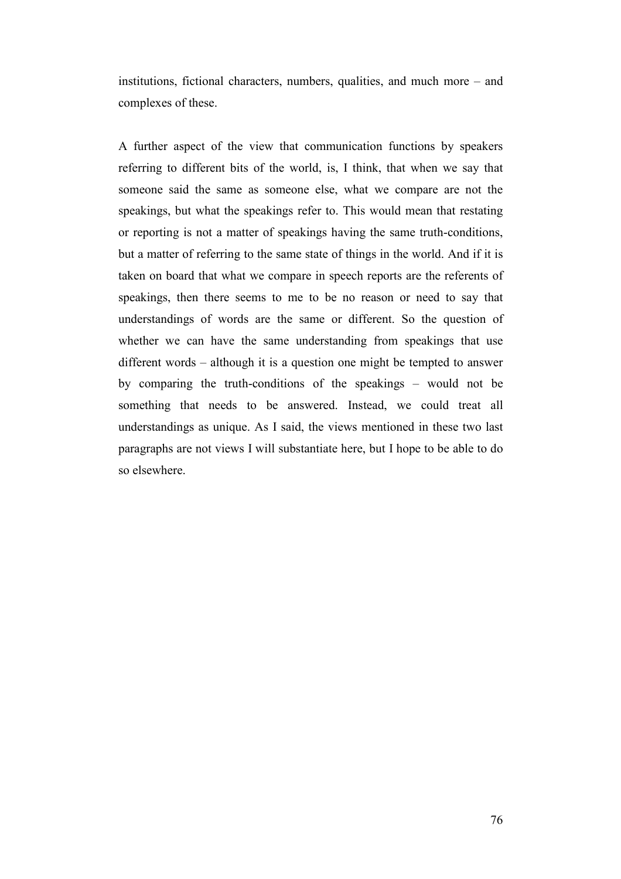institutions, fictional characters, numbers, qualities, and much more – and complexes of these.

A further aspect of the view that communication functions by speakers referring to different bits of the world, is, I think, that when we say that someone said the same as someone else, what we compare are not the speakings, but what the speakings refer to. This would mean that restating or reporting is not a matter of speakings having the same truth-conditions, but a matter of referring to the same state of things in the world. And if it is taken on board that what we compare in speech reports are the referents of speakings, then there seems to me to be no reason or need to say that understandings of words are the same or different. So the question of whether we can have the same understanding from speakings that use different words – although it is a question one might be tempted to answer by comparing the truth-conditions of the speakings – would not be something that needs to be answered. Instead, we could treat all understandings as unique. As I said, the views mentioned in these two last paragraphs are not views I will substantiate here, but I hope to be able to do so elsewhere.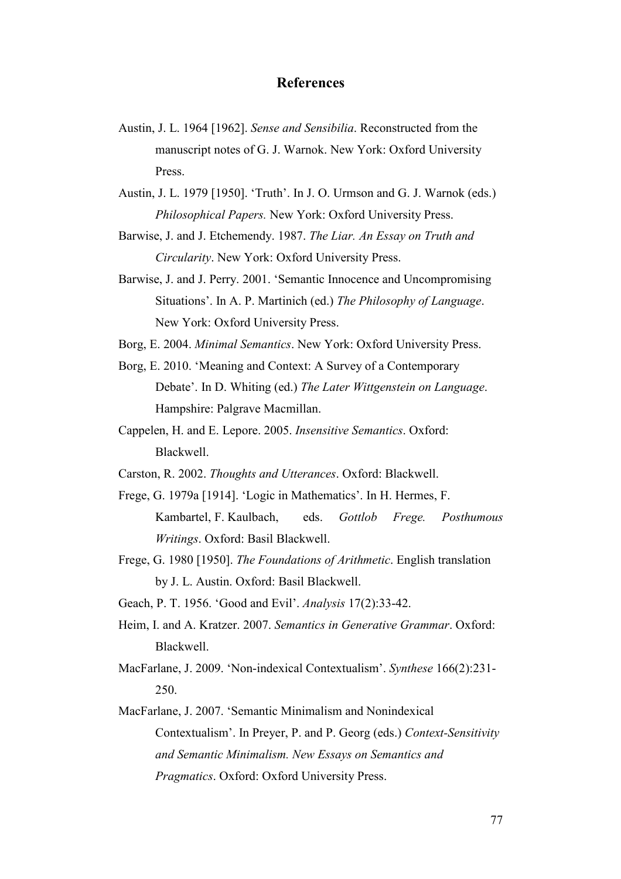## **References**

- Austin, J. L. 1964 [1962]. *Sense and Sensibilia*. Reconstructed from the manuscript notes of G. J. Warnok. New York: Oxford University Press.
- Austin, J. L. 1979 [1950]. 'Truth'. In J. O. Urmson and G. J. Warnok (eds.) *Philosophical Papers.* New York: Oxford University Press.
- Barwise, J. and J. Etchemendy. 1987. *The Liar. An Essay on Truth and Circularity*. New York: Oxford University Press.
- Barwise, J. and J. Perry. 2001. 'Semantic Innocence and Uncompromising Situations'. In A. P. Martinich (ed.) *The Philosophy of Language*. New York: Oxford University Press.
- Borg, E. 2004. *Minimal Semantics*. New York: Oxford University Press.
- Borg, E. 2010. 'Meaning and Context: A Survey of a Contemporary Debate'. In D. Whiting (ed.) *The Later Wittgenstein on Language*. Hampshire: Palgrave Macmillan.
- Cappelen, H. and E. Lepore. 2005. *Insensitive Semantics*. Oxford: Blackwell.
- Carston, R. 2002. *Thoughts and Utterances*. Oxford: Blackwell.
- Frege, G. 1979a [1914]. 'Logic in Mathematics'. In H. Hermes, F. Kambartel, F. Kaulbach, eds. *Gottlob Frege. Posthumous Writings*. Oxford: Basil Blackwell.
- Frege, G. 1980 [1950]. *The Foundations of Arithmetic*. English translation by J. L. Austin. Oxford: Basil Blackwell.
- Geach, P. T. 1956. 'Good and Evil'. *Analysis* 17(2):33-42.
- Heim, I. and A. Kratzer. 2007. *Semantics in Generative Grammar*. Oxford: Blackwell.
- MacFarlane, J. 2009. 'Non-indexical Contextualism'. *Synthese* 166(2):231- 250.
- MacFarlane, J. 2007. 'Semantic Minimalism and Nonindexical Contextualism'. In Preyer, P. and P. Georg (eds.) *Context-Sensitivity and Semantic Minimalism. New Essays on Semantics and Pragmatics*. Oxford: Oxford University Press.